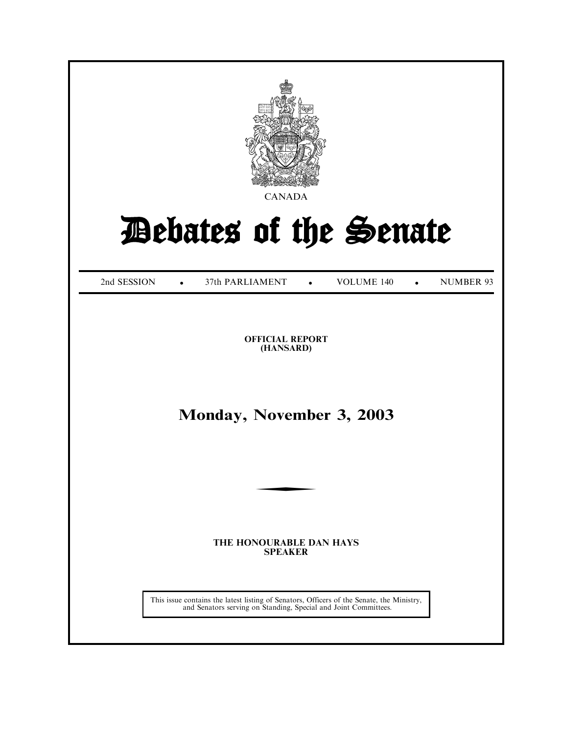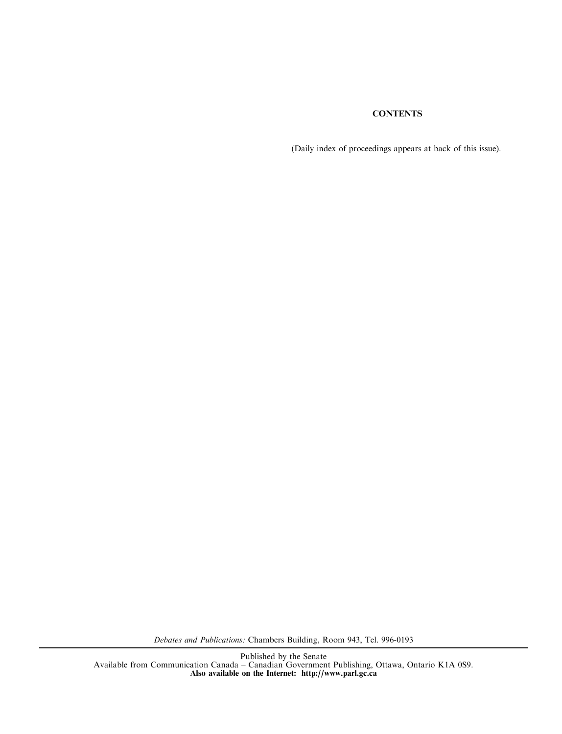# **CONTENTS**

(Daily index of proceedings appears at back of this issue).

Debates and Publications: Chambers Building, Room 943, Tel. 996-0193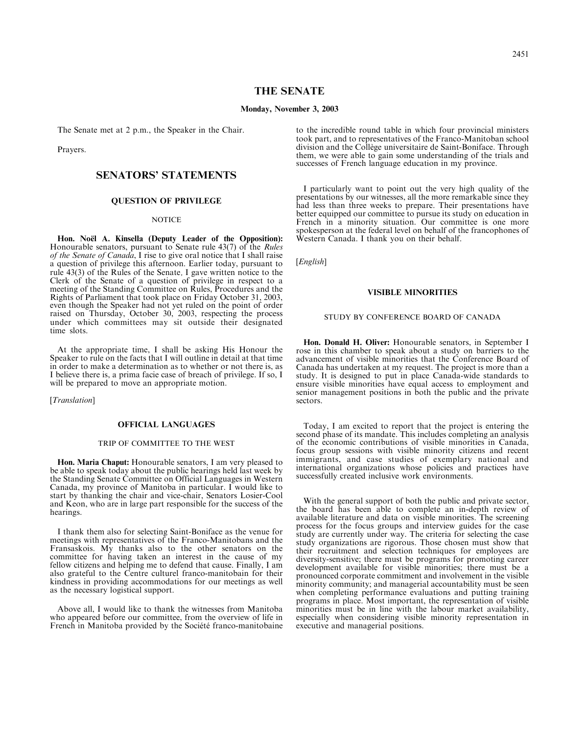# THE SENATE

#### Monday, November 3, 2003

The Senate met at 2 p.m., the Speaker in the Chair.

Prayers.

# SENATORS' STATEMENTS

## QUESTION OF PRIVILEGE

#### **NOTICE**

Hon. No**ë**l A. Kinsella (Deputy Leader of the Opposition): Honourable senators, pursuant to Senate rule 43(7) of the Rules of the Senate of Canada, I rise to give oral notice that I shall raise a question of privilege this afternoon. Earlier today, pursuant to rule 43(3) of the Rules of the Senate, I gave written notice to the Clerk of the Senate of a question of privilege in respect to a meeting of the Standing Committee on Rules, Procedures and the Rights of Parliament that took place on Friday October 31, 2003, even though the Speaker had not yet ruled on the point of order raised on Thursday, October 30, 2003, respecting the process under which committees may sit outside their designated time slots.

At the appropriate time, I shall be asking His Honour the Speaker to rule on the facts that I will outline in detail at that time in order to make a determination as to whether or not there is, as I believe there is, a prima facie case of breach of privilege. If so, I will be prepared to move an appropriate motion.

[*Translation*]

# OFFICIAL LANGUAGES

## TRIP OF COMMITTEE TO THE WEST

Hon. Maria Chaput: Honourable senators, I am very pleased to be able to speak today about the public hearings held last week by the Standing Senate Committee on Official Languages in Western Canada, my province of Manitoba in particular. I would like to start by thanking the chair and vice-chair, Senators Losier-Cool and Keon, who are in large part responsible for the success of the hearings.

I thank them also for selecting Saint-Boniface as the venue for meetings with representatives of the Franco-Manitobans and the Fransaskois. My thanks also to the other senators on the committee for having taken an interest in the cause of my fellow citizens and helping me to defend that cause. Finally, I am also grateful to the Centre culturel franco-manitobain for their kindness in providing accommodations for our meetings as well as the necessary logistical support.

Above all, I would like to thank the witnesses from Manitoba who appeared before our committee, from the overview of life in French in Manitoba provided by the Société franco-manitobaine to the incredible round table in which four provincial ministers took part, and to representatives of the Franco-Manitoban school division and the Collège universitaire de Saint-Boniface. Through them, we were able to gain some understanding of the trials and successes of French language education in my province.

I particularly want to point out the very high quality of the presentations by our witnesses, all the more remarkable since they had less than three weeks to prepare. Their presentations have better equipped our committee to pursue its study on education in French in a minority situation. Our committee is one more spokesperson at the federal level on behalf of the francophones of Western Canada. I thank you on their behalf.

[*English*]

## VISIBLE MINORITIES

#### STUDY BY CONFERENCE BOARD OF CANADA

Hon. Donald H. Oliver: Honourable senators, in September I rose in this chamber to speak about a study on barriers to the advancement of visible minorities that the Conference Board of Canada has undertaken at my request. The project is more than a study. It is designed to put in place Canada-wide standards to ensure visible minorities have equal access to employment and senior management positions in both the public and the private sectors.

Today, I am excited to report that the project is entering the second phase of its mandate. This includes completing an analysis of the economic contributions of visible minorities in Canada, focus group sessions with visible minority citizens and recent immigrants, and case studies of exemplary national and international organizations whose policies and practices have successfully created inclusive work environments.

With the general support of both the public and private sector, the board has been able to complete an in-depth review of available literature and data on visible minorities. The screening process for the focus groups and interview guides for the case study are currently under way. The criteria for selecting the case study organizations are rigorous. Those chosen must show that their recruitment and selection techniques for employees are diversity-sensitive; there must be programs for promoting career development available for visible minorities; there must be a pronounced corporate commitment and involvement in the visible minority community; and managerial accountability must be seen when completing performance evaluations and putting training programs in place. Most important, the representation of visible minorities must be in line with the labour market availability, especially when considering visible minority representation in executive and managerial positions.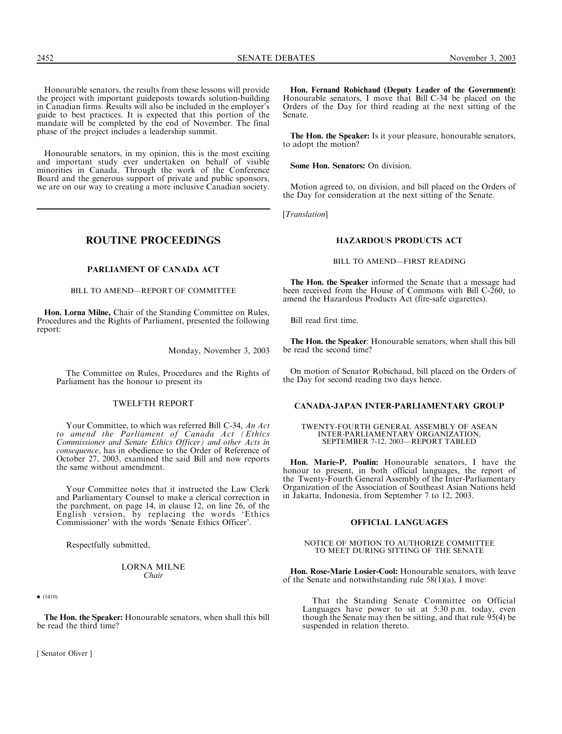Honourable senators, in my opinion, this is the most exciting and important study ever undertaken on behalf of visible minorities in Canada. Through the work of the Conference Board and the generous support of private and public sponsors, we are on our way to creating a more inclusive Canadian society.

ROUTINE PROCEEDINGS

# PARLIAMENT OF CANADA ACT

BILL TO AMEND—REPORT OF COMMITTEE

Hon. Lorna Milne, Chair of the Standing Committee on Rules, Procedures and the Rights of Parliament, presented the following report:

Monday, November 3, 2003

The Committee on Rules, Procedures and the Rights of Parliament has the honour to present its

# TWELFTH REPORT

Your Committee, to which was referred Bill C-34, An Act to amend the Parliament of Canada Act (Ethics Commissioner and Senate Ethics Officer) and other Acts in consequence, has in obedience to the Order of Reference of October 27, 2003, examined the said Bill and now reports the same without amendment.

Your Committee notes that it instructed the Law Clerk and Parliamentary Counsel to make a clerical correction in the parchment, on page 14, in clause 12, on line 26, of the English version, by replacing the words 'Ethics Commissioner' with the words 'Senate Ethics Officer'.

Respectfully submitted,

#### LORNA MILNE Chair

 $\bullet$  (1410)

The Hon. the Speaker: Honourable senators, when shall this bill be read the third time?

[ Senator Oliver ]

Hon. Fernand Robichaud (Deputy Leader of the Government): Honourable senators, I move that Bill C-34 be placed on the Orders of the Day for third reading at the next sitting of the Senate.

The Hon. the Speaker: Is it your pleasure, honourable senators, to adopt the motion?

Some Hon. Senators: On division.

Motion agreed to, on division, and bill placed on the Orders of the Day for consideration at the next sitting of the Senate.

[*Translation*]

# HAZARDOUS PRODUCTS ACT

BILL TO AMEND—FIRST READING

The Hon. the Speaker informed the Senate that a message had been received from the House of Commons with Bill C-260, to amend the Hazardous Products Act (fire-safe cigarettes).

Bill read first time.

The Hon. the Speaker: Honourable senators, when shall this bill be read the second time?

On motion of Senator Robichaud, bill placed on the Orders of the Day for second reading two days hence.

## CANADA-JAPAN INTER-PARLIAMENTARY GROUP

TWENTY-FOURTH GENERAL ASSEMBLY OF ASEAN INTER-PARLIAMENTARY ORGANIZATION, SEPTEMBER 7-12, 2003—REPORT TABLED

Hon. Marie-P. Poulin: Honourable senators, I have the honour to present, in both official languages, the report of the Twenty-Fourth General Assembly of the Inter-Parliamentary Organization of the Association of Southeast Asian Nations held in Jakarta, Indonesia, from September 7 to 12, 2003.

# OFFICIAL LANGUAGES

#### NOTICE OF MOTION TO AUTHORIZE COMMITTEE TO MEET DURING SITTING OF THE SENATE

Hon. Rose-Marie Losier-Cool: Honourable senators, with leave of the Senate and notwithstanding rule 58(1)(a), I move:

That the Standing Senate Committee on Official Languages have power to sit at 5:30 p.m. today, even though the Senate may then be sitting, and that rule 95(4) be suspended in relation thereto.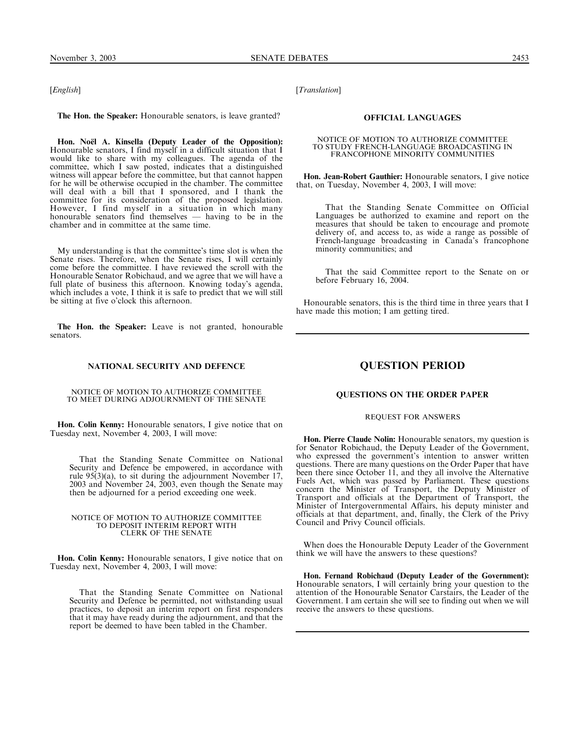[*English*]

The Hon. the Speaker: Honourable senators, is leave granted?

Hon. No**ë**l A. Kinsella (Deputy Leader of the Opposition): Honourable senators, I find myself in a difficult situation that I would like to share with my colleagues. The agenda of the committee, which I saw posted, indicates that a distinguished witness will appear before the committee, but that cannot happen for he will be otherwise occupied in the chamber. The committee will deal with a bill that I sponsored, and I thank the committee for its consideration of the proposed legislation. However, I find myself in a situation in which many honourable senators find themselves — having to be in the chamber and in committee at the same time.

My understanding is that the committee's time slot is when the Senate rises. Therefore, when the Senate rises, I will certainly come before the committee. I have reviewed the scroll with the Honourable Senator Robichaud, and we agree that we will have a full plate of business this afternoon. Knowing today's agenda, which includes a vote, I think it is safe to predict that we will still be sitting at five o'clock this afternoon.

The Hon. the Speaker: Leave is not granted, honourable senators.

#### NATIONAL SECURITY AND DEFENCE

NOTICE OF MOTION TO AUTHORIZE COMMITTEE TO MEET DURING ADJOURNMENT OF THE SENATE

Hon. Colin Kenny: Honourable senators, I give notice that on Tuesday next, November 4, 2003, I will move:

That the Standing Senate Committee on National Security and Defence be empowered, in accordance with rule 95(3)(a), to sit during the adjournment November 17, 2003 and November 24, 2003, even though the Senate may then be adjourned for a period exceeding one week.

#### NOTICE OF MOTION TO AUTHORIZE COMMITTEE TO DEPOSIT INTERIM REPORT WITH CLERK OF THE SENATE

Hon. Colin Kenny: Honourable senators, I give notice that on Tuesday next, November 4, 2003, I will move:

That the Standing Senate Committee on National Security and Defence be permitted, not withstanding usual practices, to deposit an interim report on first responders that it may have ready during the adjournment, and that the report be deemed to have been tabled in the Chamber.

[Translation]

# OFFICIAL LANGUAGES

#### NOTICE OF MOTION TO AUTHORIZE COMMITTEE TO STUDY FRENCH-LANGUAGE BROADCASTING IN FRANCOPHONE MINORITY COMMUNITIES

Hon. Jean-Robert Gauthier: Honourable senators, I give notice that, on Tuesday, November 4, 2003, I will move:

That the Standing Senate Committee on Official Languages be authorized to examine and report on the measures that should be taken to encourage and promote delivery of, and access to, as wide a range as possible of French-language broadcasting in Canada's francophone minority communities; and

That the said Committee report to the Senate on or before February 16, 2004.

Honourable senators, this is the third time in three years that I have made this motion; I am getting tired.

# QUESTION PERIOD

# QUESTIONS ON THE ORDER PAPER

### REQUEST FOR ANSWERS

Hon. Pierre Claude Nolin: Honourable senators, my question is for Senator Robichaud, the Deputy Leader of the Government, who expressed the government's intention to answer written questions. There are many questions on the Order Paper that have been there since October 11, and they all involve the Alternative Fuels Act, which was passed by Parliament. These questions concern the Minister of Transport, the Deputy Minister of Transport and officials at the Department of Transport, the Minister of Intergovernmental Affairs, his deputy minister and officials at that department, and, finally, the Clerk of the Privy Council and Privy Council officials.

When does the Honourable Deputy Leader of the Government think we will have the answers to these questions?

Hon. Fernand Robichaud (Deputy Leader of the Government): Honourable senators, I will certainly bring your question to the attention of the Honourable Senator Carstairs, the Leader of the Government. I am certain she will see to finding out when we will receive the answers to these questions.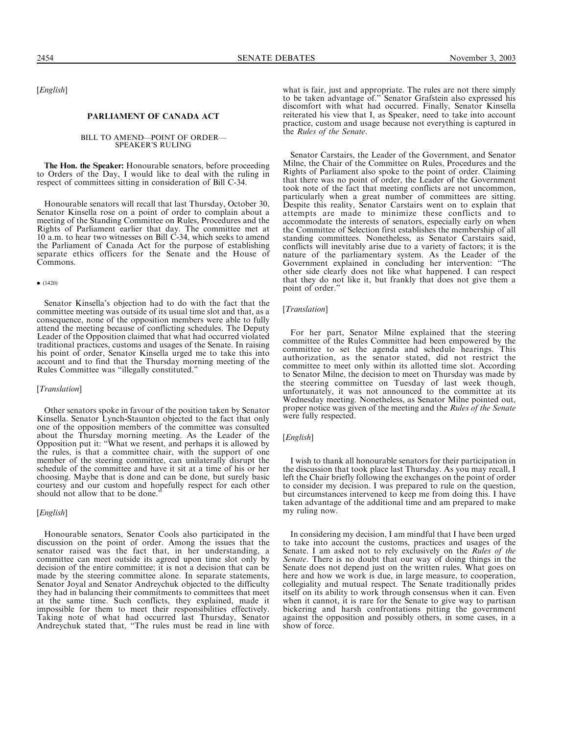[English]

#### PARLIAMENT OF CANADA ACT

# BILL TO AMEND—POINT OF ORDER— SPEAKER'S RULING

The Hon. the Speaker: Honourable senators, before proceeding to Orders of the Day, I would like to deal with the ruling in respect of committees sitting in consideration of Bill C-34.

Honourable senators will recall that last Thursday, October 30, Senator Kinsella rose on a point of order to complain about a meeting of the Standing Committee on Rules, Procedures and the Rights of Parliament earlier that day. The committee met at 10 a.m. to hear two witnesses on Bill C-34, which seeks to amend the Parliament of Canada Act for the purpose of establishing separate ethics officers for the Senate and the House of Commons.

#### $\bullet$  (1420)

Senator Kinsella's objection had to do with the fact that the committee meeting was outside of its usual time slot and that, as a consequence, none of the opposition members were able to fully attend the meeting because of conflicting schedules. The Deputy Leader of the Opposition claimed that what had occurred violated traditional practices, customs and usages of the Senate. In raising his point of order, Senator Kinsella urged me to take this into account and to find that the Thursday morning meeting of the Rules Committee was ''illegally constituted.''

## [*Translation*]

Other senators spoke in favour of the position taken by Senator Kinsella. Senator Lynch-Staunton objected to the fact that only one of the opposition members of the committee was consulted about the Thursday morning meeting. As the Leader of the Opposition put it: ''What we resent, and perhaps it is allowed by the rules, is that a committee chair, with the support of one member of the steering committee, can unilaterally disrupt the schedule of the committee and have it sit at a time of his or her choosing. Maybe that is done and can be done, but surely basic courtesy and our custom and hopefully respect for each other should not allow that to be done.''

#### [*English*]

Honourable senators, Senator Cools also participated in the discussion on the point of order. Among the issues that the senator raised was the fact that, in her understanding, a committee can meet outside its agreed upon time slot only by decision of the entire committee; it is not a decision that can be made by the steering committee alone. In separate statements, Senator Joyal and Senator Andreychuk objected to the difficulty they had in balancing their commitments to committees that meet at the same time. Such conflicts, they explained, made it impossible for them to meet their responsibilities effectively. Taking note of what had occurred last Thursday, Senator Andreychuk stated that, ''The rules must be read in line with

what is fair, just and appropriate. The rules are not there simply to be taken advantage of.'' Senator Grafstein also expressed his discomfort with what had occurred. Finally, Senator Kinsella reiterated his view that I, as Speaker, need to take into account practice, custom and usage because not everything is captured in the Rules of the Senate.

Senator Carstairs, the Leader of the Government, and Senator Milne, the Chair of the Committee on Rules, Procedures and the Rights of Parliament also spoke to the point of order. Claiming that there was no point of order, the Leader of the Government took note of the fact that meeting conflicts are not uncommon, particularly when a great number of committees are sitting. Despite this reality, Senator Carstairs went on to explain that attempts are made to minimize these conflicts and to accommodate the interests of senators, especially early on when the Committee of Selection first establishes the membership of all standing committees. Nonetheless, as Senator Carstairs said, conflicts will inevitably arise due to a variety of factors; it is the nature of the parliamentary system. As the Leader of the Government explained in concluding her intervention: ''The other side clearly does not like what happened. I can respect that they do not like it, but frankly that does not give them a point of order.'

# [Translation]

For her part, Senator Milne explained that the steering committee of the Rules Committee had been empowered by the committee to set the agenda and schedule hearings. This authorization, as the senator stated, did not restrict the committee to meet only within its allotted time slot. According to Senator Milne, the decision to meet on Thursday was made by the steering committee on Tuesday of last week though, unfortunately, it was not announced to the committee at its Wednesday meeting. Nonetheless, as Senator Milne pointed out, proper notice was given of the meeting and the Rules of the Senate were fully respected.

#### [English]

I wish to thank all honourable senators for their participation in the discussion that took place last Thursday. As you may recall, I left the Chair briefly following the exchanges on the point of order to consider my decision. I was prepared to rule on the question, but circumstances intervened to keep me from doing this. I have taken advantage of the additional time and am prepared to make my ruling now.

In considering my decision, I am mindful that I have been urged to take into account the customs, practices and usages of the Senate. I am asked not to rely exclusively on the Rules of the Senate. There is no doubt that our way of doing things in the Senate does not depend just on the written rules. What goes on here and how we work is due, in large measure, to cooperation, collegiality and mutual respect. The Senate traditionally prides itself on its ability to work through consensus when it can. Even when it cannot, it is rare for the Senate to give way to partisan bickering and harsh confrontations pitting the government against the opposition and possibly others, in some cases, in a show of force.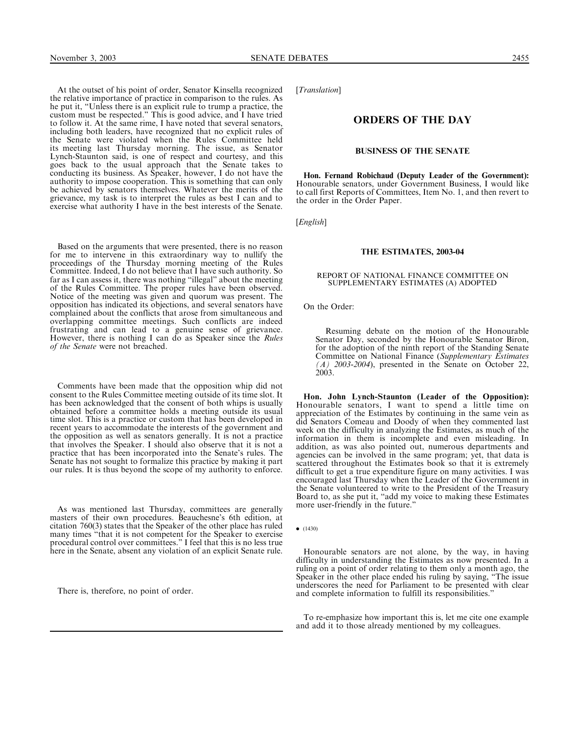At the outset of his point of order, Senator Kinsella recognized the relative importance of practice in comparison to the rules. As he put it, ''Unless there is an explicit rule to trump a practice, the custom must be respected.'' This is good advice, and I have tried to follow it. At the same rime, I have noted that several senators, including both leaders, have recognized that no explicit rules of the Senate were violated when the Rules Committee held its meeting last Thursday morning. The issue, as Senator Lynch-Staunton said, is one of respect and courtesy, and this goes back to the usual approach that the Senate takes to conducting its business. As Speaker, however, I do not have the authority to impose cooperation. This is something that can only be achieved by senators themselves. Whatever the merits of the grievance, my task is to interpret the rules as best I can and to exercise what authority I have in the best interests of the Senate.

Based on the arguments that were presented, there is no reason for me to intervene in this extraordinary way to nullify the proceedings of the Thursday morning meeting of the Rules Committee. Indeed, I do not believe that I have such authority. So far as I can assess it, there was nothing ''illegal'' about the meeting of the Rules Committee. The proper rules have been observed. Notice of the meeting was given and quorum was present. The opposition has indicated its objections, and several senators have complained about the conflicts that arose from simultaneous and overlapping committee meetings. Such conflicts are indeed frustrating and can lead to a genuine sense of grievance. However, there is nothing I can do as Speaker since the Rules of the Senate were not breached.

Comments have been made that the opposition whip did not consent to the Rules Committee meeting outside of its time slot. It has been acknowledged that the consent of both whips is usually obtained before a committee holds a meeting outside its usual time slot. This is a practice or custom that has been developed in recent years to accommodate the interests of the government and the opposition as well as senators generally. It is not a practice that involves the Speaker. I should also observe that it is not a practice that has been incorporated into the Senate's rules. The Senate has not sought to formalize this practice by making it part our rules. It is thus beyond the scope of my authority to enforce.

As was mentioned last Thursday, committees are generally masters of their own procedures. Beauchesne's 6th edition, at citation 760(3) states that the Speaker of the other place has ruled many times ''that it is not competent for the Speaker to exercise procedural control over committees.'' I feel that this is no less true here in the Senate, absent any violation of an explicit Senate rule.

There is, therefore, no point of order.

[Translation]

# ORDERS OF THE DAY

#### BUSINESS OF THE SENATE

Hon. Fernand Robichaud (Deputy Leader of the Government): Honourable senators, under Government Business, I would like to call first Reports of Committees, Item No. 1, and then revert to the order in the Order Paper.

[*English*]

#### THE ESTIMATES, 2003-04

#### REPORT OF NATIONAL FINANCE COMMITTEE ON SUPPLEMENTARY ESTIMATES (A) ADOPTED

On the Order:

Resuming debate on the motion of the Honourable Senator Day, seconded by the Honourable Senator Biron, for the adoption of the ninth report of the Standing Senate Committee on National Finance (Supplementary Estimates  $(A)$  2003-2004), presented in the Senate on October 22, 2003.

Hon. John Lynch-Staunton (Leader of the Opposition): Honourable senators, I want to spend a little time on appreciation of the Estimates by continuing in the same vein as did Senators Comeau and Doody of when they commented last week on the difficulty in analyzing the Estimates, as much of the information in them is incomplete and even misleading. In addition, as was also pointed out, numerous departments and agencies can be involved in the same program; yet, that data is scattered throughout the Estimates book so that it is extremely difficult to get a true expenditure figure on many activities. I was encouraged last Thursday when the Leader of the Government in the Senate volunteered to write to the President of the Treasury Board to, as she put it, ''add my voice to making these Estimates more user-friendly in the future.''

 $\bullet$  (1430)

Honourable senators are not alone, by the way, in having difficulty in understanding the Estimates as now presented. In a ruling on a point of order relating to them only a month ago, the Speaker in the other place ended his ruling by saying, ''The issue underscores the need for Parliament to be presented with clear and complete information to fulfill its responsibilities.''

To re-emphasize how important this is, let me cite one example and add it to those already mentioned by my colleagues.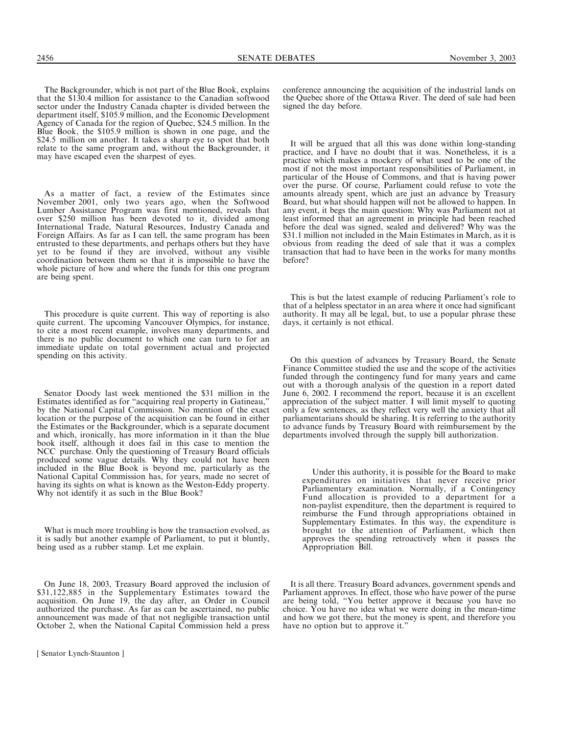The Backgrounder, which is not part of the Blue Book, explains that the \$130.4 million for assistance to the Canadian softwood sector under the Industry Canada chapter is divided between the department itself, \$105.9 million, and the Economic Development Agency of Canada for the region of Quebec, \$24.5 million. In the Blue Book, the \$105.9 million is shown in one page, and the \$24.5 million on another. It takes a sharp eye to spot that both relate to the same program and, without the Backgrounder, it may have escaped even the sharpest of eyes.

As a matter of fact, a review of the Estimates since November 2001, only two years ago, when the Softwood Lumber Assistance Program was first mentioned, reveals that over \$250 million has been devoted to it, divided among International Trade, Natural Resources, Industry Canada and Foreign Affairs. As far as I can tell, the same program has been entrusted to these departments, and perhaps others but they have yet to be found if they are involved, without any visible coordination between them so that it is impossible to have the whole picture of how and where the funds for this one program are being spent.

This procedure is quite current. This way of reporting is also quite current. The upcoming Vancouver Olympics, for instance, to cite a most recent example, involves many departments, and there is no public document to which one can turn to for an immediate update on total government actual and projected spending on this activity.

Senator Doody last week mentioned the \$31 million in the Estimates identified as for ''acquiring real property in Gatineau,'' by the National Capital Commission. No mention of the exact location or the purpose of the acquisition can be found in either the Estimates or the Backgrounder, which is a separate document and which, ironically, has more information in it than the blue book itself, although it does fail in this case to mention the NCC purchase. Only the questioning of Treasury Board officials produced some vague details. Why they could not have been included in the Blue Book is beyond me, particularly as the National Capital Commission has, for years, made no secret of having its sights on what is known as the Weston-Eddy property. Why not identify it as such in the Blue Book?

What is much more troubling is how the transaction evolved, as it is sadly but another example of Parliament, to put it bluntly, being used as a rubber stamp. Let me explain.

On June 18, 2003, Treasury Board approved the inclusion of \$31,122,885 in the Supplementary Estimates toward the acquisition. On June 19, the day after, an Order in Council authorized the purchase. As far as can be ascertained, no public announcement was made of that not negligible transaction until October 2, when the National Capital Commission held a press

conference announcing the acquisition of the industrial lands on the Quebec shore of the Ottawa River. The deed of sale had been signed the day before.

It will be argued that all this was done within long-standing practice, and I have no doubt that it was. Nonetheless, it is a practice which makes a mockery of what used to be one of the most if not the most important responsibilities of Parliament, in particular of the House of Commons, and that is having power over the purse. Of course, Parliament could refuse to vote the amounts already spent, which are just an advance by Treasury Board, but what should happen will not be allowed to happen. In any event, it begs the main question: Why was Parliament not at least informed that an agreement in principle had been reached before the deal was signed, sealed and delivered? Why was the \$31.1 million not included in the Main Estimates in March, as it is obvious from reading the deed of sale that it was a complex transaction that had to have been in the works for many months before?

This is but the latest example of reducing Parliament's role to that of a helpless spectator in an area where it once had significant authority. It may all be legal, but, to use a popular phrase these days, it certainly is not ethical.

On this question of advances by Treasury Board, the Senate Finance Committee studied the use and the scope of the activities funded through the contingency fund for many years and came out with a thorough analysis of the question in a report dated June 6, 2002. I recommend the report, because it is an excellent appreciation of the subject matter. I will limit myself to quoting only a few sentences, as they reflect very well the anxiety that all parliamentarians should be sharing. It is referring to the authority to advance funds by Treasury Board with reimbursement by the departments involved through the supply bill authorization.

Under this authority, it is possible for the Board to make expenditures on initiatives that never receive prior Parliamentary examination. Normally, if a Contingency Fund allocation is provided to a department for a non-paylist expenditure, then the department is required to reimburse the Fund through appropriations obtained in Supplementary Estimates. In this way, the expenditure is brought to the attention of Parliament, which then approves the spending retroactively when it passes the Appropriation Bill.

It is all there. Treasury Board advances, government spends and Parliament approves. In effect, those who have power of the purse are being told, ''You better approve it because you have no choice. You have no idea what we were doing in the mean-time and how we got there, but the money is spent, and therefore you have no option but to approve it.''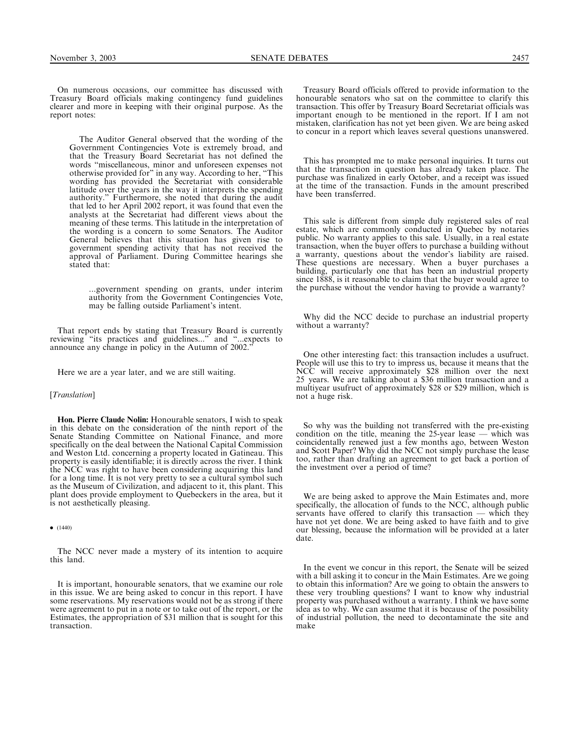On numerous occasions, our committee has discussed with Treasury Board officials making contingency fund guidelines clearer and more in keeping with their original purpose. As the report notes:

The Auditor General observed that the wording of the Government Contingencies Vote is extremely broad, and that the Treasury Board Secretariat has not defined the words ''miscellaneous, minor and unforeseen expenses not otherwise provided for'' in any way. According to her, ''This wording has provided the Secretariat with considerable latitude over the years in the way it interprets the spending authority.'' Furthermore, she noted that during the audit that led to her April 2002 report, it was found that even the analysts at the Secretariat had different views about the meaning of these terms. This latitude in the interpretation of the wording is a concern to some Senators. The Auditor General believes that this situation has given rise to government spending activity that has not received the approval of Parliament. During Committee hearings she stated that:

...government spending on grants, under interim authority from the Government Contingencies Vote, may be falling outside Parliament's intent.

That report ends by stating that Treasury Board is currently reviewing ''its practices and guidelines...'' and ''...expects to announce any change in policy in the Autumn of 2002.''

Here we are a year later, and we are still waiting.

#### [Translation]

Hon. Pierre Claude Nolin: Honourable senators, I wish to speak in this debate on the consideration of the ninth report of the Senate Standing Committee on National Finance, and more specifically on the deal between the National Capital Commission and Weston Ltd. concerning a property located in Gatineau. This property is easily identifiable; it is directly across the river. I think the NCC was right to have been considering acquiring this land for a long time. It is not very pretty to see a cultural symbol such as the Museum of Civilization, and adjacent to it, this plant. This plant does provide employment to Quebeckers in the area, but it is not aesthetically pleasing.

 $\bullet$  (1440)

The NCC never made a mystery of its intention to acquire this land.

It is important, honourable senators, that we examine our role in this issue. We are being asked to concur in this report. I have some reservations. My reservations would not be as strong if there were agreement to put in a note or to take out of the report, or the Estimates, the appropriation of \$31 million that is sought for this transaction.

Treasury Board officials offered to provide information to the honourable senators who sat on the committee to clarify this transaction. This offer by Treasury Board Secretariat officials was important enough to be mentioned in the report. If I am not mistaken, clarification has not yet been given. We are being asked to concur in a report which leaves several questions unanswered.

This has prompted me to make personal inquiries. It turns out that the transaction in question has already taken place. The purchase was finalized in early October, and a receipt was issued at the time of the transaction. Funds in the amount prescribed have been transferred.

This sale is different from simple duly registered sales of real estate, which are commonly conducted in Quebec by notaries public. No warranty applies to this sale. Usually, in a real estate transaction, when the buyer offers to purchase a building without a warranty, questions about the vendor's liability are raised. These questions are necessary. When a buyer purchases a building, particularly one that has been an industrial property since 1888, is it reasonable to claim that the buyer would agree to the purchase without the vendor having to provide a warranty?

Why did the NCC decide to purchase an industrial property without a warranty?

One other interesting fact: this transaction includes a usufruct. People will use this to try to impress us, because it means that the NCC will receive approximately \$28 million over the next 25 years. We are talking about a \$36 million transaction and a multiyear usufruct of approximately \$28 or \$29 million, which is not a huge risk.

So why was the building not transferred with the pre-existing condition on the title, meaning the 25-year lease — which was coincidentally renewed just a few months ago, between Weston and Scott Paper? Why did the NCC not simply purchase the lease too, rather than drafting an agreement to get back a portion of the investment over a period of time?

We are being asked to approve the Main Estimates and, more specifically, the allocation of funds to the NCC, although public servants have offered to clarify this transaction — which they have not yet done. We are being asked to have faith and to give our blessing, because the information will be provided at a later date.

In the event we concur in this report, the Senate will be seized with a bill asking it to concur in the Main Estimates. Are we going to obtain this information? Are we going to obtain the answers to these very troubling questions? I want to know why industrial property was purchased without a warranty. I think we have some idea as to why. We can assume that it is because of the possibility of industrial pollution, the need to decontaminate the site and make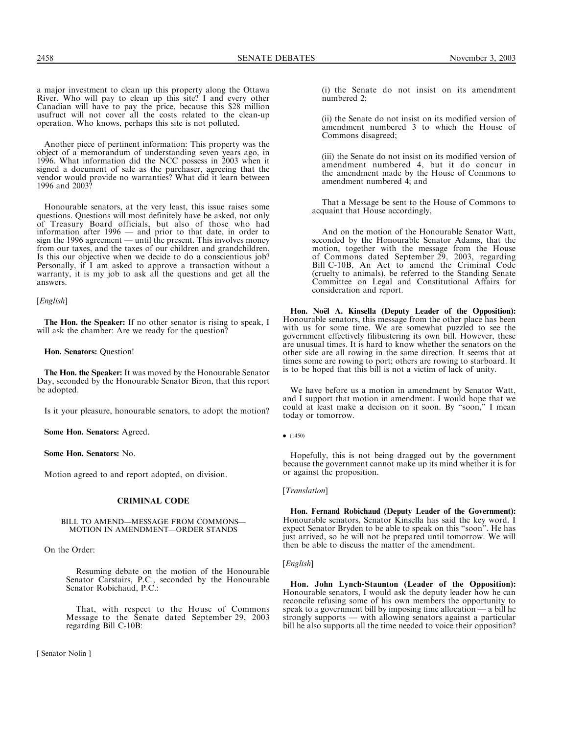Another piece of pertinent information: This property was the object of a memorandum of understanding seven years ago, in 1996. What information did the NCC possess in 2003 when it signed a document of sale as the purchaser, agreeing that the vendor would provide no warranties? What did it learn between 1996 and 2003?

Honourable senators, at the very least, this issue raises some questions. Questions will most definitely have be asked, not only of Treasury Board officials, but also of those who had information after 1996 — and prior to that date, in order to sign the 1996 agreement — until the present. This involves money from our taxes, and the taxes of our children and grandchildren. Is this our objective when we decide to do a conscientious job? Personally, if I am asked to approve a transaction without a warranty, it is my job to ask all the questions and get all the answers.

[*English*]

The Hon. the Speaker: If no other senator is rising to speak, I will ask the chamber: Are we ready for the question?

Hon. Senators: Question!

The Hon. the Speaker: It was moved by the Honourable Senator Day, seconded by the Honourable Senator Biron, that this report be adopted.

Is it your pleasure, honourable senators, to adopt the motion?

Some Hon. Senators: Agreed.

Some Hon. Senators: No.

Motion agreed to and report adopted, on division.

### CRIMINAL CODE

#### BILL TO AMEND—MESSAGE FROM COMMONS— MOTION IN AMENDMENT—ORDER STANDS

On the Order:

Resuming debate on the motion of the Honourable Senator Carstairs, P.C., seconded by the Honourable Senator Robichaud, P.C.:

That, with respect to the House of Commons Message to the Senate dated September 29, 2003 regarding Bill C-10B:

(i) the Senate do not insist on its amendment numbered 2;

(ii) the Senate do not insist on its modified version of amendment numbered 3 to which the House of Commons disagreed;

(iii) the Senate do not insist on its modified version of amendment numbered 4, but it do concur in the amendment made by the House of Commons to amendment numbered 4; and

That a Message be sent to the House of Commons to acquaint that House accordingly,

And on the motion of the Honourable Senator Watt, seconded by the Honourable Senator Adams, that the motion, together with the message from the House of Commons dated September 29, 2003, regarding Bill C-10B, An Act to amend the Criminal Code (cruelty to animals), be referred to the Standing Senate Committee on Legal and Constitutional Affairs for consideration and report.

Hon. No**ë**l A. Kinsella (Deputy Leader of the Opposition): Honourable senators, this message from the other place has been with us for some time. We are somewhat puzzled to see the government effectively filibustering its own bill. However, these are unusual times. It is hard to know whether the senators on the other side are all rowing in the same direction. It seems that at times some are rowing to port; others are rowing to starboard. It is to be hoped that this bill is not a victim of lack of unity.

We have before us a motion in amendment by Senator Watt, and I support that motion in amendment. I would hope that we could at least make a decision on it soon. By ''soon,'' I mean today or tomorrow.

Hopefully, this is not being dragged out by the government because the government cannot make up its mind whether it is for or against the proposition.

#### [Translation]

Hon. Fernand Robichaud (Deputy Leader of the Government): Honourable senators, Senator Kinsella has said the key word. I expect Senator Bryden to be able to speak on this ''soon''. He has just arrived, so he will not be prepared until tomorrow. We will then be able to discuss the matter of the amendment.

# [English]

Hon. John Lynch-Staunton (Leader of the Opposition): Honourable senators, I would ask the deputy leader how he can reconcile refusing some of his own members the opportunity to speak to a government bill by imposing time allocation — a bill he strongly supports — with allowing senators against a particular bill he also supports all the time needed to voice their opposition?

 $\bullet$  (1450)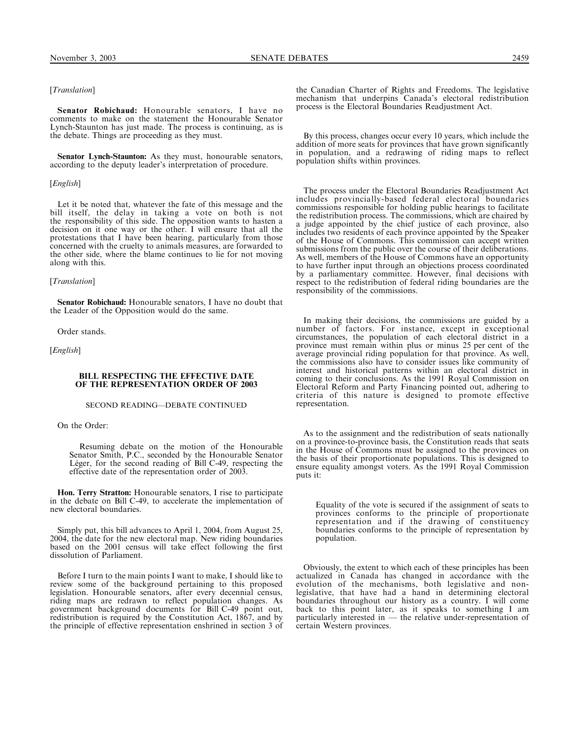# [Translation]

Senator Robichaud: Honourable senators, I have no comments to make on the statement the Honourable Senator Lynch-Staunton has just made. The process is continuing, as is the debate. Things are proceeding as they must.

Senator Lynch-Staunton: As they must, honourable senators, according to the deputy leader's interpretation of procedure.

## [*English*]

Let it be noted that, whatever the fate of this message and the bill itself, the delay in taking a vote on both is not the responsibility of this side. The opposition wants to hasten a decision on it one way or the other. I will ensure that all the protestations that I have been hearing, particularly from those concerned with the cruelty to animals measures, are forwarded to the other side, where the blame continues to lie for not moving along with this.

## [*Translation*]

Senator Robichaud: Honourable senators, I have no doubt that the Leader of the Opposition would do the same.

Order stands.

[*English*]

#### BILL RESPECTING THE EFFECTIVE DATE OF THE REPRESENTATION ORDER OF 2003

## SECOND READING—DEBATE CONTINUED

On the Order:

Resuming debate on the motion of the Honourable Senator Smith, P.C., seconded by the Honourable Senator Léger, for the second reading of Bill C-49, respecting the effective date of the representation order of 2003.

Hon. Terry Stratton: Honourable senators, I rise to participate in the debate on Bill C-49, to accelerate the implementation of new electoral boundaries.

Simply put, this bill advances to April 1, 2004, from August 25, 2004, the date for the new electoral map. New riding boundaries based on the 2001 census will take effect following the first dissolution of Parliament.

Before I turn to the main points I want to make, I should like to review some of the background pertaining to this proposed legislation. Honourable senators, after every decennial census, riding maps are redrawn to reflect population changes. As government background documents for Bill C-49 point out, redistribution is required by the Constitution Act, 1867, and by the principle of effective representation enshrined in section 3 of the Canadian Charter of Rights and Freedoms. The legislative mechanism that underpins Canada's electoral redistribution process is the Electoral Boundaries Readjustment Act.

By this process, changes occur every 10 years, which include the addition of more seats for provinces that have grown significantly in population, and a redrawing of riding maps to reflect population shifts within provinces.

The process under the Electoral Boundaries Readjustment Act includes provincially-based federal electoral boundaries commissions responsible for holding public hearings to facilitate the redistribution process. The commissions, which are chaired by a judge appointed by the chief justice of each province, also includes two residents of each province appointed by the Speaker of the House of Commons. This commission can accept written submissions from the public over the course of their deliberations. As well, members of the House of Commons have an opportunity to have further input through an objections process coordinated by a parliamentary committee. However, final decisions with respect to the redistribution of federal riding boundaries are the responsibility of the commissions.

In making their decisions, the commissions are guided by a number of factors. For instance, except in exceptional circumstances, the population of each electoral district in a province must remain within plus or minus 25 per cent of the average provincial riding population for that province. As well, the commissions also have to consider issues like community of interest and historical patterns within an electoral district in coming to their conclusions. As the 1991 Royal Commission on Electoral Reform and Party Financing pointed out, adhering to criteria of this nature is designed to promote effective representation.

As to the assignment and the redistribution of seats nationally on a province-to-province basis, the Constitution reads that seats in the House of Commons must be assigned to the provinces on the basis of their proportionate populations. This is designed to ensure equality amongst voters. As the 1991 Royal Commission puts it:

Equality of the vote is secured if the assignment of seats to provinces conforms to the principle of proportionate representation and if the drawing of constituency boundaries conforms to the principle of representation by population.

Obviously, the extent to which each of these principles has been actualized in Canada has changed in accordance with the evolution of the mechanisms, both legislative and nonlegislative, that have had a hand in determining electoral boundaries throughout our history as a country. I will come back to this point later, as it speaks to something I am particularly interested in — the relative under-representation of certain Western provinces.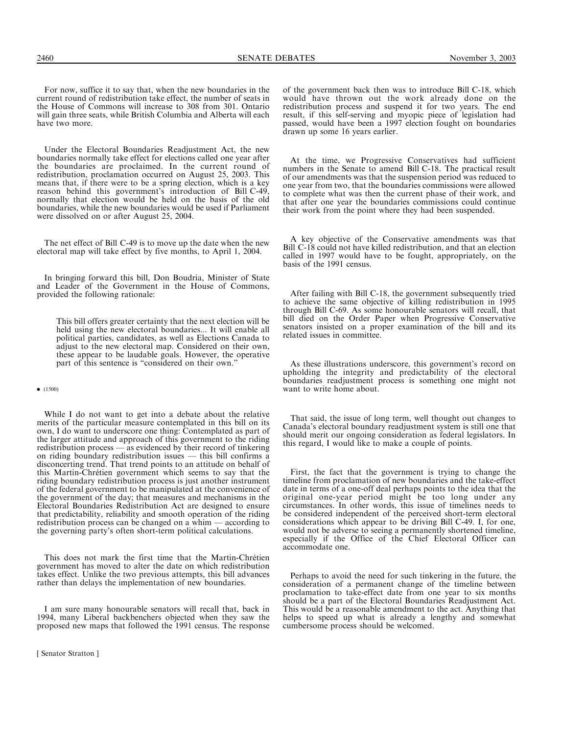For now, suffice it to say that, when the new boundaries in the current round of redistribution take effect, the number of seats in the House of Commons will increase to 308 from 301. Ontario will gain three seats, while British Columbia and Alberta will each have two more.

Under the Electoral Boundaries Readjustment Act, the new boundaries normally take effect for elections called one year after the boundaries are proclaimed. In the current round of redistribution, proclamation occurred on August 25, 2003. This means that, if there were to be a spring election, which is a key reason behind this government's introduction of Bill C-49, normally that election would be held on the basis of the old boundaries, while the new boundaries would be used if Parliament were dissolved on or after August 25, 2004.

The net effect of Bill C-49 is to move up the date when the new electoral map will take effect by five months, to April 1, 2004.

In bringing forward this bill, Don Boudria, Minister of State and Leader of the Government in the House of Commons, provided the following rationale:

This bill offers greater certainty that the next election will be held using the new electoral boundaries... It will enable all political parties, candidates, as well as Elections Canada to adjust to the new electoral map. Considered on their own, these appear to be laudable goals. However, the operative part of this sentence is "considered on their own."

 $\bullet$  (1500)

While I do not want to get into a debate about the relative merits of the particular measure contemplated in this bill on its own, I do want to underscore one thing: Contemplated as part of the larger attitude and approach of this government to the riding redistribution process — as evidenced by their record of tinkering on riding boundary redistribution issues — this bill confirms a disconcerting trend. That trend points to an attitude on behalf of this Martin-Chrétien government which seems to say that the riding boundary redistribution process is just another instrument of the federal government to be manipulated at the convenience of the government of the day; that measures and mechanisms in the Electoral Boundaries Redistribution Act are designed to ensure that predictability, reliability and smooth operation of the riding redistribution process can be changed on a whim — according to the governing party's often short-term political calculations.

This does not mark the first time that the Martin-Chrétien government has moved to alter the date on which redistribution takes effect. Unlike the two previous attempts, this bill advances rather than delays the implementation of new boundaries.

I am sure many honourable senators will recall that, back in 1994, many Liberal backbenchers objected when they saw the proposed new maps that followed the 1991 census. The response

of the government back then was to introduce Bill C-18, which would have thrown out the work already done on the redistribution process and suspend it for two years. The end result, if this self-serving and myopic piece of legislation had passed, would have been a 1997 election fought on boundaries drawn up some 16 years earlier.

At the time, we Progressive Conservatives had sufficient numbers in the Senate to amend Bill C-18. The practical result of our amendments was that the suspension period was reduced to one year from two, that the boundaries commissions were allowed to complete what was then the current phase of their work, and that after one year the boundaries commissions could continue their work from the point where they had been suspended.

A key objective of the Conservative amendments was that Bill C-18 could not have killed redistribution, and that an election called in 1997 would have to be fought, appropriately, on the basis of the 1991 census.

After failing with Bill C-18, the government subsequently tried to achieve the same objective of killing redistribution in 1995 through Bill C-69. As some honourable senators will recall, that bill died on the Order Paper when Progressive Conservative senators insisted on a proper examination of the bill and its related issues in committee.

As these illustrations underscore, this government's record on upholding the integrity and predictability of the electoral boundaries readjustment process is something one might not want to write home about.

That said, the issue of long term, well thought out changes to Canada's electoral boundary readjustment system is still one that should merit our ongoing consideration as federal legislators. In this regard, I would like to make a couple of points.

First, the fact that the government is trying to change the timeline from proclamation of new boundaries and the take-effect date in terms of a one-off deal perhaps points to the idea that the original one-year period might be too long under any circumstances. In other words, this issue of timelines needs to be considered independent of the perceived short-term electoral considerations which appear to be driving Bill C-49. I, for one, would not be adverse to seeing a permanently shortened timeline, especially if the Office of the Chief Electoral Officer can accommodate one.

Perhaps to avoid the need for such tinkering in the future, the consideration of a permanent change of the timeline between proclamation to take-effect date from one year to six months should be a part of the Electoral Boundaries Readjustment Act. This would be a reasonable amendment to the act. Anything that helps to speed up what is already a lengthy and somewhat cumbersome process should be welcomed.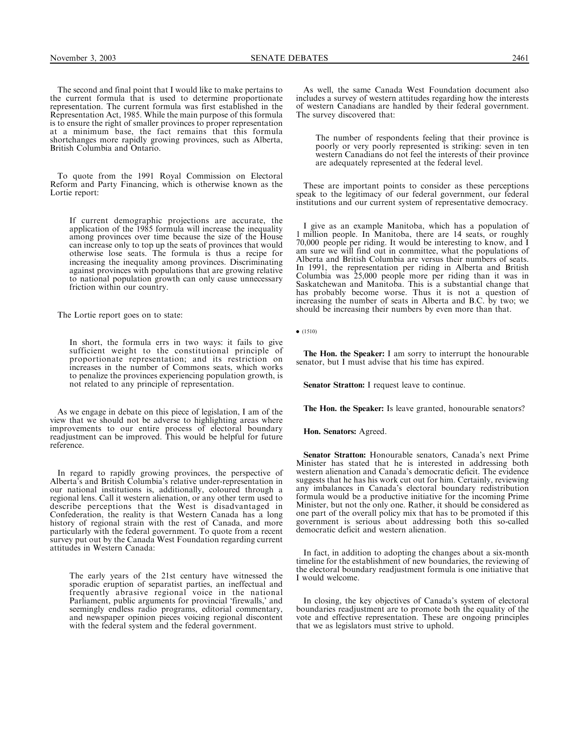The second and final point that I would like to make pertains to the current formula that is used to determine proportionate representation. The current formula was first established in the Representation Act, 1985. While the main purpose of this formula is to ensure the right of smaller provinces to proper representation at a minimum base, the fact remains that this formula shortchanges more rapidly growing provinces, such as Alberta, British Columbia and Ontario.

To quote from the 1991 Royal Commission on Electoral Reform and Party Financing, which is otherwise known as the Lortie report:

If current demographic projections are accurate, the application of the 1985 formula will increase the inequality among provinces over time because the size of the House can increase only to top up the seats of provinces that would otherwise lose seats. The formula is thus a recipe for increasing the inequality among provinces. Discriminating against provinces with populations that are growing relative to national population growth can only cause unnecessary friction within our country.

The Lortie report goes on to state:

In short, the formula errs in two ways: it fails to give sufficient weight to the constitutional principle of proportionate representation; and its restriction on increases in the number of Commons seats, which works to penalize the provinces experiencing population growth, is not related to any principle of representation.

As we engage in debate on this piece of legislation, I am of the view that we should not be adverse to highlighting areas where improvements to our entire process of electoral boundary readjustment can be improved. This would be helpful for future reference.

In regard to rapidly growing provinces, the perspective of Alberta's and British Columbia's relative under-representation in our national institutions is, additionally, coloured through a regional lens. Call it western alienation, or any other term used to describe perceptions that the West is disadvantaged in Confederation, the reality is that Western Canada has a long history of regional strain with the rest of Canada, and more particularly with the federal government. To quote from a recent survey put out by the Canada West Foundation regarding current attitudes in Western Canada:

The early years of the 21st century have witnessed the sporadic eruption of separatist parties, an ineffectual and frequently abrasive regional voice in the national Parliament, public arguments for provincial 'firewalls,' and seemingly endless radio programs, editorial commentary, and newspaper opinion pieces voicing regional discontent with the federal system and the federal government.

As well, the same Canada West Foundation document also includes a survey of western attitudes regarding how the interests of western Canadians are handled by their federal government. The survey discovered that:

The number of respondents feeling that their province is poorly or very poorly represented is striking: seven in ten western Canadians do not feel the interests of their province are adequately represented at the federal level.

These are important points to consider as these perceptions speak to the legitimacy of our federal government, our federal institutions and our current system of representative democracy.

I give as an example Manitoba, which has a population of 1 million people. In Manitoba, there are 14 seats, or roughly 70,000 people per riding. It would be interesting to know, and I am sure we will find out in committee, what the populations of Alberta and British Columbia are versus their numbers of seats. In 1991, the representation per riding in Alberta and British Columbia was 25,000 people more per riding than it was in Saskatchewan and Manitoba. This is a substantial change that has probably become worse. Thus it is not a question of increasing the number of seats in Alberta and B.C. by two; we should be increasing their numbers by even more than that.

 $\bullet$  (1510)

The Hon. the Speaker: I am sorry to interrupt the honourable senator, but I must advise that his time has expired.

Senator Stratton: I request leave to continue.

The Hon. the Speaker: Is leave granted, honourable senators?

Hon. Senators: Agreed.

Senator Stratton: Honourable senators, Canada's next Prime Minister has stated that he is interested in addressing both western alienation and Canada's democratic deficit. The evidence suggests that he has his work cut out for him. Certainly, reviewing any imbalances in Canada's electoral boundary redistribution formula would be a productive initiative for the incoming Prime Minister, but not the only one. Rather, it should be considered as one part of the overall policy mix that has to be promoted if this government is serious about addressing both this so-called democratic deficit and western alienation.

In fact, in addition to adopting the changes about a six-month timeline for the establishment of new boundaries, the reviewing of the electoral boundary readjustment formula is one initiative that I would welcome.

In closing, the key objectives of Canada's system of electoral boundaries readjustment are to promote both the equality of the vote and effective representation. These are ongoing principles that we as legislators must strive to uphold.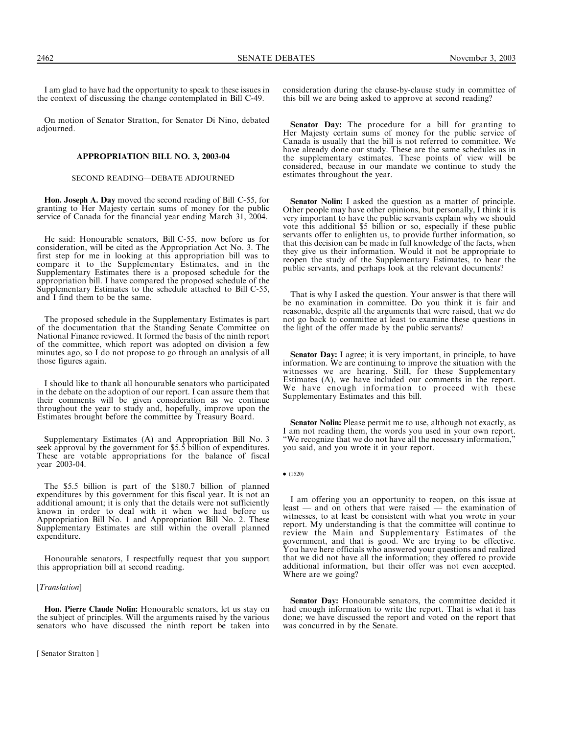I am glad to have had the opportunity to speak to these issues in the context of discussing the change contemplated in Bill C-49.

On motion of Senator Stratton, for Senator Di Nino, debated adjourned.

# APPROPRIATION BILL NO. 3, 2003-04

### SECOND READING—DEBATE ADJOURNED

Hon. Joseph A. Day moved the second reading of Bill C-55, for granting to Her Majesty certain sums of money for the public service of Canada for the financial year ending March 31, 2004.

He said: Honourable senators, Bill C-55, now before us for consideration, will be cited as the Appropriation Act No. 3. The first step for me in looking at this appropriation bill was to compare it to the Supplementary Estimates, and in the Supplementary Estimates there is a proposed schedule for the appropriation bill. I have compared the proposed schedule of the Supplementary Estimates to the schedule attached to Bill C-55, and I find them to be the same.

The proposed schedule in the Supplementary Estimates is part of the documentation that the Standing Senate Committee on National Finance reviewed. It formed the basis of the ninth report of the committee, which report was adopted on division a few minutes ago, so I do not propose to go through an analysis of all those figures again.

I should like to thank all honourable senators who participated in the debate on the adoption of our report. I can assure them that their comments will be given consideration as we continue throughout the year to study and, hopefully, improve upon the Estimates brought before the committee by Treasury Board.

Supplementary Estimates (A) and Appropriation Bill No. 3 seek approval by the government for \$5.5 billion of expenditures. These are votable appropriations for the balance of fiscal year 2003-04.

The \$5.5 billion is part of the \$180.7 billion of planned expenditures by this government for this fiscal year. It is not an additional amount; it is only that the details were not sufficiently known in order to deal with it when we had before us Appropriation Bill No. 1 and Appropriation Bill No. 2. These Supplementary Estimates are still within the overall planned expenditure.

Honourable senators, I respectfully request that you support this appropriation bill at second reading.

#### [Translation]

Hon. Pierre Claude Nolin: Honourable senators, let us stay on the subject of principles. Will the arguments raised by the various senators who have discussed the ninth report be taken into

[ Senator Stratton ]

consideration during the clause-by-clause study in committee of this bill we are being asked to approve at second reading?

Senator Day: The procedure for a bill for granting to Her Majesty certain sums of money for the public service of Canada is usually that the bill is not referred to committee. We have already done our study. These are the same schedules as in the supplementary estimates. These points of view will be considered, because in our mandate we continue to study the estimates throughout the year.

Senator Nolin: I asked the question as a matter of principle. Other people may have other opinions, but personally, I think it is very important to have the public servants explain why we should vote this additional \$5 billion or so, especially if these public servants offer to enlighten us, to provide further information, so that this decision can be made in full knowledge of the facts, when they give us their information. Would it not be appropriate to reopen the study of the Supplementary Estimates, to hear the public servants, and perhaps look at the relevant documents?

That is why I asked the question. Your answer is that there will be no examination in committee. Do you think it is fair and reasonable, despite all the arguments that were raised, that we do not go back to committee at least to examine these questions in the light of the offer made by the public servants?

Senator Day: I agree; it is very important, in principle, to have information. We are continuing to improve the situation with the witnesses we are hearing. Still, for these Supplementary Estimates (A), we have included our comments in the report. We have enough information to proceed with these Supplementary Estimates and this bill.

Senator Nolin: Please permit me to use, although not exactly, as I am not reading them, the words you used in your own report. ''We recognize that we do not have all the necessary information,'' you said, and you wrote it in your report.

 $\bullet$  (1520)

I am offering you an opportunity to reopen, on this issue at least — and on others that were raised — the examination of witnesses, to at least be consistent with what you wrote in your report. My understanding is that the committee will continue to review the Main and Supplementary Estimates of the government, and that is good. We are trying to be effective. You have here officials who answered your questions and realized that we did not have all the information; they offered to provide additional information, but their offer was not even accepted. Where are we going?

Senator Day: Honourable senators, the committee decided it had enough information to write the report. That is what it has done; we have discussed the report and voted on the report that was concurred in by the Senate.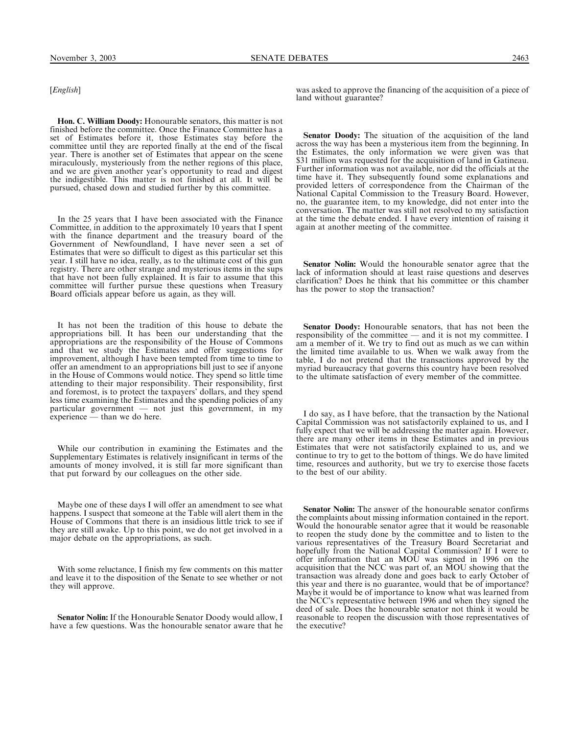# [*English*]

Hon. C. William Doody: Honourable senators, this matter is not finished before the committee. Once the Finance Committee has a set of Estimates before it, those Estimates stay before the committee until they are reported finally at the end of the fiscal year. There is another set of Estimates that appear on the scene miraculously, mysteriously from the nether regions of this place, and we are given another year's opportunity to read and digest the indigestible. This matter is not finished at all. It will be pursued, chased down and studied further by this committee.

In the 25 years that I have been associated with the Finance Committee, in addition to the approximately 10 years that I spent with the finance department and the treasury board of the Government of Newfoundland, I have never seen a set of Estimates that were so difficult to digest as this particular set this year. I still have no idea, really, as to the ultimate cost of this gun registry. There are other strange and mysterious items in the sups that have not been fully explained. It is fair to assume that this committee will further pursue these questions when Treasury Board officials appear before us again, as they will.

It has not been the tradition of this house to debate the appropriations bill. It has been our understanding that the appropriations are the responsibility of the House of Commons and that we study the Estimates and offer suggestions for improvement, although I have been tempted from time to time to offer an amendment to an appropriations bill just to see if anyone in the House of Commons would notice. They spend so little time attending to their major responsibility. Their responsibility, first and foremost, is to protect the taxpayers' dollars, and they spend less time examining the Estimates and the spending policies of any particular government — not just this government, in my  $-$  not just this government, in my experience — than we do here.

While our contribution in examining the Estimates and the Supplementary Estimates is relatively insignificant in terms of the amounts of money involved, it is still far more significant than that put forward by our colleagues on the other side.

Maybe one of these days I will offer an amendment to see what happens. I suspect that someone at the Table will alert them in the House of Commons that there is an insidious little trick to see if they are still awake. Up to this point, we do not get involved in a major debate on the appropriations, as such.

With some reluctance, I finish my few comments on this matter and leave it to the disposition of the Senate to see whether or not they will approve.

Senator Nolin: If the Honourable Senator Doody would allow, I have a few questions. Was the honourable senator aware that he was asked to approve the financing of the acquisition of a piece of land without guarantee?

Senator Doody: The situation of the acquisition of the land across the way has been a mysterious item from the beginning. In the Estimates, the only information we were given was that \$31 million was requested for the acquisition of land in Gatineau. Further information was not available, nor did the officials at the time have it. They subsequently found some explanations and provided letters of correspondence from the Chairman of the National Capital Commission to the Treasury Board. However, no, the guarantee item, to my knowledge, did not enter into the conversation. The matter was still not resolved to my satisfaction at the time the debate ended. I have every intention of raising it again at another meeting of the committee.

Senator Nolin: Would the honourable senator agree that the lack of information should at least raise questions and deserves clarification? Does he think that his committee or this chamber has the power to stop the transaction?

Senator Doody: Honourable senators, that has not been the responsibility of the committee — and it is not my committee. I am a member of it. We try to find out as much as we can within the limited time available to us. When we walk away from the table, I do not pretend that the transactions approved by the myriad bureaucracy that governs this country have been resolved to the ultimate satisfaction of every member of the committee.

I do say, as I have before, that the transaction by the National Capital Commission was not satisfactorily explained to us, and I fully expect that we will be addressing the matter again. However, there are many other items in these Estimates and in previous Estimates that were not satisfactorily explained to us, and we continue to try to get to the bottom of things. We do have limited time, resources and authority, but we try to exercise those facets to the best of our ability.

Senator Nolin: The answer of the honourable senator confirms the complaints about missing information contained in the report. Would the honourable senator agree that it would be reasonable to reopen the study done by the committee and to listen to the various representatives of the Treasury Board Secretariat and hopefully from the National Capital Commission? If I were to offer information that an MOU was signed in 1996 on the acquisition that the NCC was part of, an MOU showing that the transaction was already done and goes back to early October of this year and there is no guarantee, would that be of importance? Maybe it would be of importance to know what was learned from the NCC's representative between 1996 and when they signed the deed of sale. Does the honourable senator not think it would be reasonable to reopen the discussion with those representatives of the executive?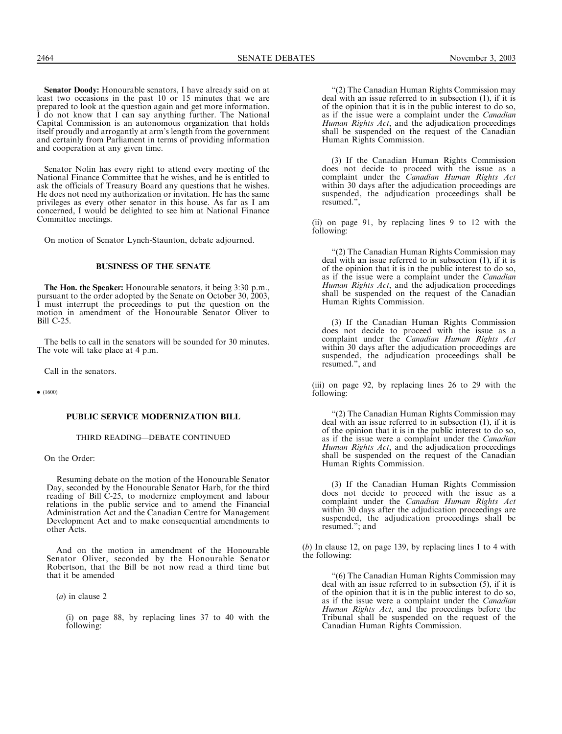Senator Doody: Honourable senators, I have already said on at least two occasions in the past 10 or 15 minutes that we are prepared to look at the question again and get more information. I do not know that I can say anything further. The National Capital Commission is an autonomous organization that holds itself proudly and arrogantly at arm's length from the government and certainly from Parliament in terms of providing information and cooperation at any given time.

Senator Nolin has every right to attend every meeting of the National Finance Committee that he wishes, and he is entitled to ask the officials of Treasury Board any questions that he wishes. He does not need my authorization or invitation. He has the same privileges as every other senator in this house. As far as I am concerned, I would be delighted to see him at National Finance Committee meetings.

On motion of Senator Lynch-Staunton, debate adjourned.

#### BUSINESS OF THE SENATE

The Hon. the Speaker: Honourable senators, it being 3:30 p.m., pursuant to the order adopted by the Senate on October 30, 2003, I must interrupt the proceedings to put the question on the motion in amendment of the Honourable Senator Oliver to Bill C-25.

The bells to call in the senators will be sounded for 30 minutes. The vote will take place at 4 p.m.

Call in the senators.

 $\bullet$  (1600)

## PUBLIC SERVICE MODERNIZATION BILL

#### THIRD READING—DEBATE CONTINUED

On the Order:

Resuming debate on the motion of the Honourable Senator Day, seconded by the Honourable Senator Harb, for the third reading of Bill C-25, to modernize employment and labour relations in the public service and to amend the Financial Administration Act and the Canadian Centre for Management Development Act and to make consequential amendments to other Acts.

And on the motion in amendment of the Honourable Senator Oliver, seconded by the Honourable Senator Robertson, that the Bill be not now read a third time but that it be amended

(a) in clause 2

(i) on page 88, by replacing lines 37 to 40 with the following:

''(2) The Canadian Human Rights Commission may deal with an issue referred to in subsection (1), if it is of the opinion that it is in the public interest to do so, as if the issue were a complaint under the Canadian Human Rights Act, and the adjudication proceedings shall be suspended on the request of the Canadian Human Rights Commission.

(3) If the Canadian Human Rights Commission does not decide to proceed with the issue as a complaint under the Canadian Human Rights Act within 30 days after the adjudication proceedings are suspended, the adjudication proceedings shall be resumed.'',

(ii) on page 91, by replacing lines 9 to 12 with the following:

''(2) The Canadian Human Rights Commission may deal with an issue referred to in subsection (1), if it is of the opinion that it is in the public interest to do so, as if the issue were a complaint under the *Canadian* Human Rights Act, and the adjudication proceedings shall be suspended on the request of the Canadian Human Rights Commission.

(3) If the Canadian Human Rights Commission does not decide to proceed with the issue as a complaint under the Canadian Human Rights Act within 30 days after the adjudication proceedings are suspended, the adjudication proceedings shall be resumed.'', and

(iii) on page 92, by replacing lines 26 to 29 with the following:

''(2) The Canadian Human Rights Commission may deal with an issue referred to in subsection (1), if it is of the opinion that it is in the public interest to do so, as if the issue were a complaint under the Canadian Human Rights Act, and the adjudication proceedings shall be suspended on the request of the Canadian Human Rights Commission.

(3) If the Canadian Human Rights Commission does not decide to proceed with the issue as a complaint under the Canadian Human Rights Act within 30 days after the adjudication proceedings are suspended, the adjudication proceedings shall be resumed.''; and

(b) In clause 12, on page 139, by replacing lines 1 to 4 with the following:

''(6) The Canadian Human Rights Commission may deal with an issue referred to in subsection (5), if it is of the opinion that it is in the public interest to do so, as if the issue were a complaint under the Canadian Human Rights Act, and the proceedings before the Tribunal shall be suspended on the request of the Canadian Human Rights Commission.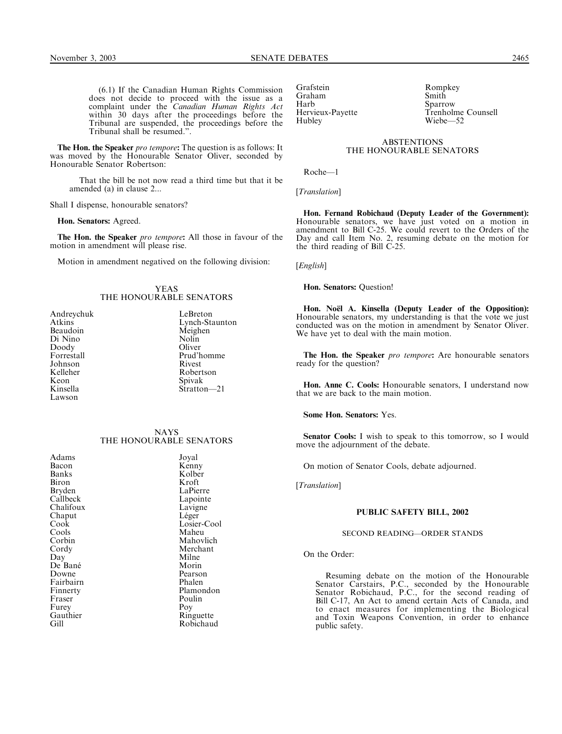(6.1) If the Canadian Human Rights Commission does not decide to proceed with the issue as a complaint under the *Canadian Human Rights Act* within 30 days after the proceedings before the Tribunal are suspended, the proceedings before the Tribunal shall be resumed.''.

The Hon. the Speaker pro tempore: The question is as follows: It was moved by the Honourable Senator Oliver, seconded by Honourable Senator Robertson:

That the bill be not now read a third time but that it be amended (a) in clause 2...

Shall I dispense, honourable senators?

Hon. Senators: Agreed.

The Hon. the Speaker pro tempore: All those in favour of the motion in amendment will please rise.

Motion in amendment negatived on the following division:

## YEAS THE HONOURABLE SENATORS

| Andreychuk | LeBreton  |
|------------|-----------|
| Atkins     | Lynch-Sta |
| Beaudoin   | Meighen   |
| Di Nino    | Nolin     |
| Doody      | Oliver    |
| Forrestall | Prud'hom  |
| Johnson    | Rivest    |
| Kelleher   | Robertso: |
| Keon       | Spivak    |
| Kinsella   | Stratton- |
| Lawson     |           |
|            |           |

Lynch-Staunton Meighen Nolin Oliver Prud'homme Rivest Robertson Spivak Stratton—21

# NAYS THE HONOURABLE SENATORS

Adams Joyal<br>Bacon Kenn Bacon Kenny<br>Banks Kolber Biron<br>Bryden Bryden LaPierre<br>Callbeck Lapointe Chalifoux Lavigne<br>
Chaput Léger<br>
Léger Chaput<br>Cook Cools<br>Corbin De Bané<br>Downe Finnerty Plamon<br>Fraser Poulin Fraser Poul<br>Furey Poy Furey Poy

Kolber<br>Kroft Lapointe<br>Lavigne Losier-Cool<br>Maheu Corbin Mahovlich<br>Cordy Merchant Cordy Merchant<br>Day Milne Milne<br>Morin Pearson<br>Phalen Fairbairn Mhalen<br>Finnerty Plamondon Gauthier Ringuette<br>Gill Robichauc Robichaud

Grafstein Rompkey<br>Graham Smith Graham<br>Harb Harb Sparrow Hubley Wiebe—52

Trenholme Counsell

### **ABSTENTIONS** THE HONOURABLE SENATORS

Roche—1

[Translation]

Hon. Fernand Robichaud (Deputy Leader of the Government): Honourable senators, we have just voted on a motion in amendment to Bill C-25. We could revert to the Orders of the Day and call Item No. 2, resuming debate on the motion for the third reading of Bill C-25.

[English]

Hon. Senators: Question!

Hon. No**ë**l A. Kinsella (Deputy Leader of the Opposition): Honourable senators, my understanding is that the vote we just conducted was on the motion in amendment by Senator Oliver. We have yet to deal with the main motion.

The Hon. the Speaker pro tempore: Are honourable senators ready for the question?

Hon. Anne C. Cools: Honourable senators, I understand now that we are back to the main motion.

Some Hon. Senators: Yes.

Senator Cools: I wish to speak to this tomorrow, so I would move the adjournment of the debate.

On motion of Senator Cools, debate adjourned.

[Translation]

# PUBLIC SAFETY BILL, 2002

#### SECOND READING—ORDER STANDS

On the Order:

Resuming debate on the motion of the Honourable Senator Carstairs, P.C., seconded by the Honourable Senator Robichaud, P.C., for the second reading of Bill C-17, An Act to amend certain Acts of Canada, and to enact measures for implementing the Biological and Toxin Weapons Convention, in order to enhance public safety.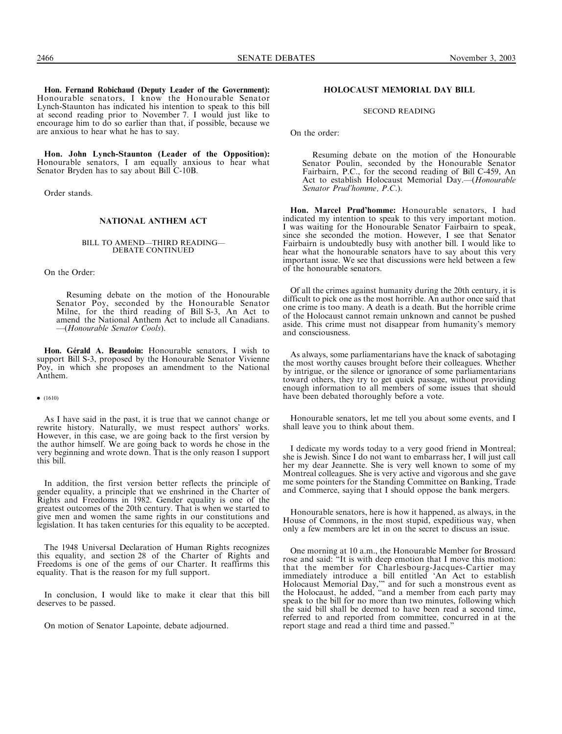Hon. Fernand Robichaud (Deputy Leader of the Government): Honourable senators, I know the Honourable Senator Lynch-Staunton has indicated his intention to speak to this bill at second reading prior to November 7. I would just like to encourage him to do so earlier than that, if possible, because we are anxious to hear what he has to say.

Hon. John Lynch-Staunton (Leader of the Opposition): Honourable senators, I am equally anxious to hear what Senator Bryden has to say about Bill C-10B.

Order stands.

## NATIONAL ANTHEM ACT

# BILL TO AMEND—THIRD READING— DEBATE CONTINUED

On the Order:

Resuming debate on the motion of the Honourable Senator Poy, seconded by the Honourable Senator Milne, for the third reading of Bill S-3, An Act to amend the National Anthem Act to include all Canadians. —(Honourable Senator Cools).

Hon. G**é**rald A. Beaudoin: Honourable senators, I wish to support Bill S-3, proposed by the Honourable Senator Vivienne Poy, in which she proposes an amendment to the National Anthem.

## $\bullet$  (1610)

As I have said in the past, it is true that we cannot change or rewrite history. Naturally, we must respect authors' works. However, in this case, we are going back to the first version by the author himself. We are going back to words he chose in the very beginning and wrote down. That is the only reason I support this bill.

In addition, the first version better reflects the principle of gender equality, a principle that we enshrined in the Charter of Rights and Freedoms in 1982. Gender equality is one of the greatest outcomes of the 20th century. That is when we started to give men and women the same rights in our constitutions and legislation. It has taken centuries for this equality to be accepted.

The 1948 Universal Declaration of Human Rights recognizes this equality, and section 28 of the Charter of Rights and Freedoms is one of the gems of our Charter. It reaffirms this equality. That is the reason for my full support.

In conclusion, I would like to make it clear that this bill deserves to be passed.

On motion of Senator Lapointe, debate adjourned.

## HOLOCAUST MEMORIAL DAY BILL

SECOND READING

On the order:

Resuming debate on the motion of the Honourable Senator Poulin, seconded by the Honourable Senator Fairbairn, P.C., for the second reading of Bill C-459, An Act to establish Holocaust Memorial Day.-(Honourable Senator Prud'homme, P.C.).

Hon. Marcel Prud'homme: Honourable senators, I had indicated my intention to speak to this very important motion. I was waiting for the Honourable Senator Fairbairn to speak, since she seconded the motion. However, I see that Senator Fairbairn is undoubtedly busy with another bill. I would like to hear what the honourable senators have to say about this very important issue. We see that discussions were held between a few of the honourable senators.

Of all the crimes against humanity during the 20th century, it is difficult to pick one as the most horrible. An author once said that one crime is too many. A death is a death. But the horrible crime of the Holocaust cannot remain unknown and cannot be pushed aside. This crime must not disappear from humanity's memory and consciousness.

As always, some parliamentarians have the knack of sabotaging the most worthy causes brought before their colleagues. Whether by intrigue, or the silence or ignorance of some parliamentarians toward others, they try to get quick passage, without providing enough information to all members of some issues that should have been debated thoroughly before a vote.

Honourable senators, let me tell you about some events, and I shall leave you to think about them.

I dedicate my words today to a very good friend in Montreal; she is Jewish. Since I do not want to embarrass her, I will just call her my dear Jeannette. She is very well known to some of my Montreal colleagues. She is very active and vigorous and she gave me some pointers for the Standing Committee on Banking, Trade and Commerce, saying that I should oppose the bank mergers.

Honourable senators, here is how it happened, as always, in the House of Commons, in the most stupid, expeditious way, when only a few members are let in on the secret to discuss an issue.

One morning at 10 a.m., the Honourable Member for Brossard rose and said: ''It is with deep emotion that I move this motion: that the member for Charlesbourg-Jacques-Cartier may immediately introduce a bill entitled 'An Act to establish Holocaust Memorial Day,''' and for such a monstrous event as the Holocaust, he added, ''and a member from each party may speak to the bill for no more than two minutes, following which the said bill shall be deemed to have been read a second time, referred to and reported from committee, concurred in at the report stage and read a third time and passed.''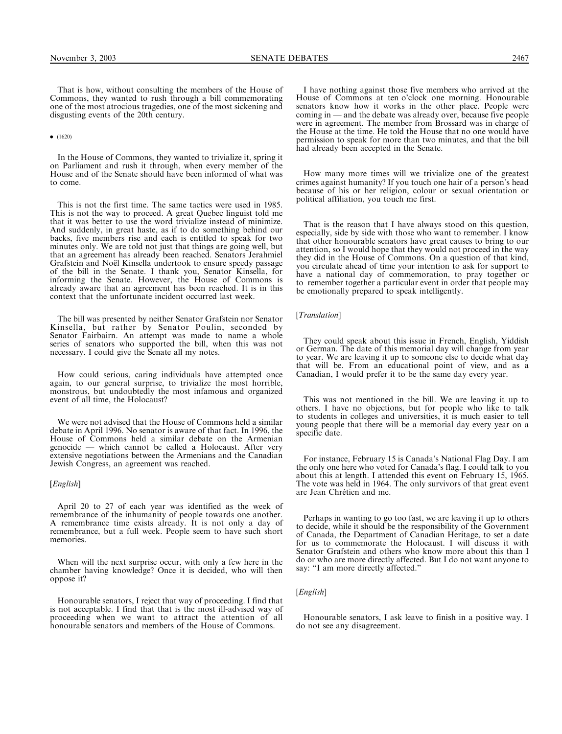That is how, without consulting the members of the House of Commons, they wanted to rush through a bill commemorating one of the most atrocious tragedies, one of the most sickening and disgusting events of the 20th century.

 $\bullet$  (1620)

In the House of Commons, they wanted to trivialize it, spring it on Parliament and rush it through, when every member of the House and of the Senate should have been informed of what was to come.

This is not the first time. The same tactics were used in 1985. This is not the way to proceed. A great Quebec linguist told me that it was better to use the word trivialize instead of minimize. And suddenly, in great haste, as if to do something behind our backs, five members rise and each is entitled to speak for two minutes only. We are told not just that things are going well, but that an agreement has already been reached. Senators Jerahmiel Grafstein and Noël Kinsella undertook to ensure speedy passage of the bill in the Senate. I thank you, Senator Kinsella, for informing the Senate. However, the House of Commons is already aware that an agreement has been reached. It is in this context that the unfortunate incident occurred last week.

The bill was presented by neither Senator Grafstein nor Senator Kinsella, but rather by Senator Poulin, seconded by Senator Fairbairn. An attempt was made to name a whole series of senators who supported the bill, when this was not necessary. I could give the Senate all my notes.

How could serious, caring individuals have attempted once again, to our general surprise, to trivialize the most horrible, monstrous, but undoubtedly the most infamous and organized event of all time, the Holocaust?

We were not advised that the House of Commons held a similar debate in April 1996. No senator is aware of that fact. In 1996, the House of Commons held a similar debate on the Armenian genocide — which cannot be called a Holocaust. After very extensive negotiations between the Armenians and the Canadian Jewish Congress, an agreement was reached.

#### [*English*]

April 20 to 27 of each year was identified as the week of remembrance of the inhumanity of people towards one another. A remembrance time exists already. It is not only a day of remembrance, but a full week. People seem to have such short memories.

When will the next surprise occur, with only a few here in the chamber having knowledge? Once it is decided, who will then oppose it?

Honourable senators, I reject that way of proceeding. I find that is not acceptable. I find that that is the most ill-advised way of proceeding when we want to attract the attention of all honourable senators and members of the House of Commons.

I have nothing against those five members who arrived at the House of Commons at ten o'clock one morning. Honourable senators know how it works in the other place. People were coming in — and the debate was already over, because five people were in agreement. The member from Brossard was in charge of the House at the time. He told the House that no one would have permission to speak for more than two minutes, and that the bill had already been accepted in the Senate.

How many more times will we trivialize one of the greatest crimes against humanity? If you touch one hair of a person's head because of his or her religion, colour or sexual orientation or political affiliation, you touch me first.

That is the reason that I have always stood on this question, especially, side by side with those who want to remember. I know that other honourable senators have great causes to bring to our attention, so I would hope that they would not proceed in the way they did in the House of Commons. On a question of that kind, you circulate ahead of time your intention to ask for support to have a national day of commemoration, to pray together or to remember together a particular event in order that people may be emotionally prepared to speak intelligently.

[Translation]

They could speak about this issue in French, English, Yiddish or German. The date of this memorial day will change from year to year. We are leaving it up to someone else to decide what day that will be. From an educational point of view, and as a Canadian, I would prefer it to be the same day every year.

This was not mentioned in the bill. We are leaving it up to others. I have no objections, but for people who like to talk to students in colleges and universities, it is much easier to tell young people that there will be a memorial day every year on a specific date.

For instance, February 15 is Canada's National Flag Day. I am the only one here who voted for Canada's flag. I could talk to you about this at length. I attended this event on February 15, 1965. The vote was held in 1964. The only survivors of that great event are Jean Chrétien and me.

Perhaps in wanting to go too fast, we are leaving it up to others to decide, while it should be the responsibility of the Government of Canada, the Department of Canadian Heritage, to set a date for us to commemorate the Holocaust. I will discuss it with Senator Grafstein and others who know more about this than I do or who are more directly affected. But I do not want anyone to say: "I am more directly affected."

# [English]

Honourable senators, I ask leave to finish in a positive way. I do not see any disagreement.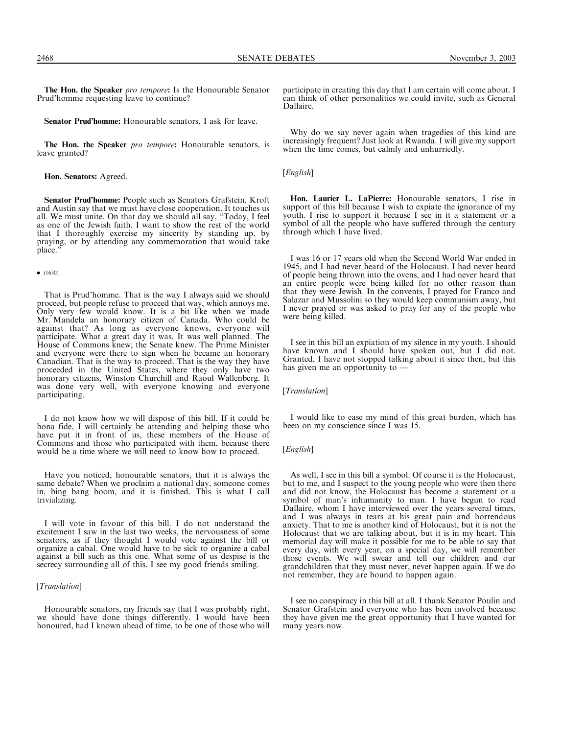The Hon. the Speaker pro tempore: Is the Honourable Senator Prud'homme requesting leave to continue?

Senator Prud'homme: Honourable senators, I ask for leave.

The Hon. the Speaker pro tempore: Honourable senators, is leave granted?

Hon. Senators: Agreed.

Senator Prud'homme: People such as Senators Grafstein, Kroft and Austin say that we must have close cooperation. It touches us all. We must unite. On that day we should all say, ''Today, I feel as one of the Jewish faith. I want to show the rest of the world that I thoroughly exercise my sincerity by standing up, by praying, or by attending any commemoration that would take place.''

#### $\bullet$  (1630)

That is Prud'homme. That is the way I always said we should proceed, but people refuse to proceed that way, which annoys me. Only very few would know. It is a bit like when we made Mr. Mandela an honorary citizen of Canada. Who could be against that? As long as everyone knows, everyone will participate. What a great day it was. It was well planned. The House of Commons knew; the Senate knew. The Prime Minister and everyone were there to sign when he became an honorary Canadian. That is the way to proceed. That is the way they have proceeded in the United States, where they only have two honorary citizens, Winston Churchill and Raoul Wallenberg. It was done very well, with everyone knowing and everyone participating.

I do not know how we will dispose of this bill. If it could be bona fide, I will certainly be attending and helping those who have put it in front of us, these members of the House of Commons and those who participated with them, because there would be a time where we will need to know how to proceed.

Have you noticed, honourable senators, that it is always the same debate? When we proclaim a national day, someone comes in, bing bang boom, and it is finished. This is what I call trivializing.

I will vote in favour of this bill. I do not understand the excitement I saw in the last two weeks, the nervousness of some senators, as if they thought I would vote against the bill or organize a cabal. One would have to be sick to organize a cabal against a bill such as this one. What some of us despise is the secrecy surrounding all of this. I see my good friends smiling.

## [*Translation*]

Honourable senators, my friends say that I was probably right, we should have done things differently. I would have been honoured, had I known ahead of time, to be one of those who will participate in creating this day that I am certain will come about. I can think of other personalities we could invite, such as General Dallaire.

Why do we say never again when tragedies of this kind are increasingly frequent? Just look at Rwanda. I will give my support when the time comes, but calmly and unhurriedly.

[*English*]

Hon. Laurier L. LaPierre: Honourable senators, I rise in support of this bill because I wish to expiate the ignorance of my youth. I rise to support it because I see in it a statement or a symbol of all the people who have suffered through the century through which I have lived.

I was 16 or 17 years old when the Second World War ended in 1945, and I had never heard of the Holocaust. I had never heard of people being thrown into the ovens, and I had never heard that an entire people were being killed for no other reason than that they were Jewish. In the convents, I prayed for Franco and Salazar and Mussolini so they would keep communism away, but I never prayed or was asked to pray for any of the people who were being killed.

I see in this bill an expiation of my silence in my youth. I should have known and I should have spoken out, but I did not. Granted, I have not stopped talking about it since then, but this has given me an opportunity to —

[Translation]

I would like to ease my mind of this great burden, which has been on my conscience since I was 15.

# [*English*]

As well, I see in this bill a symbol. Of course it is the Holocaust, but to me, and I suspect to the young people who were then there and did not know, the Holocaust has become a statement or a symbol of man's inhumanity to man. I have begun to read Dallaire, whom I have interviewed over the years several times, and I was always in tears at his great pain and horrendous anxiety. That to me is another kind of Holocaust, but it is not the Holocaust that we are talking about, but it is in my heart. This memorial day will make it possible for me to be able to say that every day, with every year, on a special day, we will remember those events. We will swear and tell our children and our grandchildren that they must never, never happen again. If we do not remember, they are bound to happen again.

I see no conspiracy in this bill at all. I thank Senator Poulin and Senator Grafstein and everyone who has been involved because they have given me the great opportunity that I have wanted for many years now.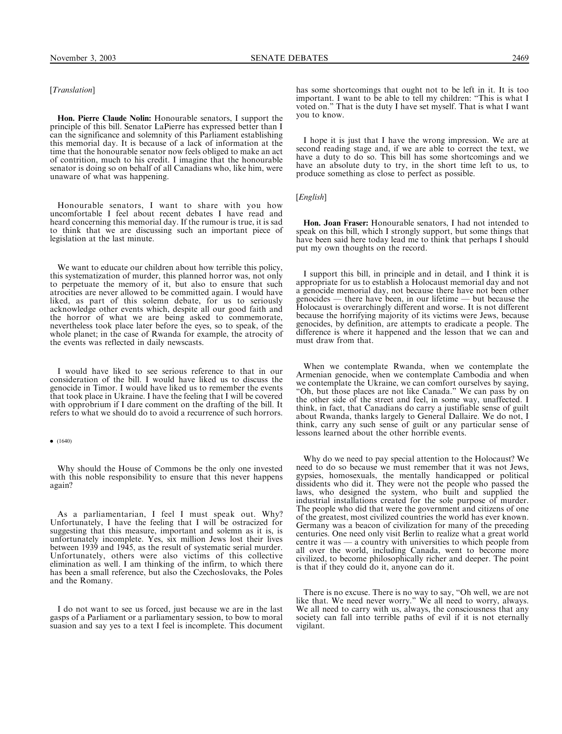# [Translation]

Hon. Pierre Claude Nolin: Honourable senators, I support the principle of this bill. Senator LaPierre has expressed better than I can the significance and solemnity of this Parliament establishing this memorial day. It is because of a lack of information at the time that the honourable senator now feels obliged to make an act of contrition, much to his credit. I imagine that the honourable senator is doing so on behalf of all Canadians who, like him, were unaware of what was happening.

Honourable senators, I want to share with you how uncomfortable I feel about recent debates I have read and heard concerning this memorial day. If the rumour is true, it is sad to think that we are discussing such an important piece of legislation at the last minute.

We want to educate our children about how terrible this policy, this systematization of murder, this planned horror was, not only to perpetuate the memory of it, but also to ensure that such atrocities are never allowed to be committed again. I would have liked, as part of this solemn debate, for us to seriously acknowledge other events which, despite all our good faith and the horror of what we are being asked to commemorate, nevertheless took place later before the eyes, so to speak, of the whole planet; in the case of Rwanda for example, the atrocity of the events was reflected in daily newscasts.

I would have liked to see serious reference to that in our consideration of the bill. I would have liked us to discuss the genocide in Timor. I would have liked us to remember the events that took place in Ukraine. I have the feeling that I will be covered with opprobrium if I dare comment on the drafting of the bill. It refers to what we should do to avoid a recurrence of such horrors.

 $\bullet$  (1640)

Why should the House of Commons be the only one invested with this noble responsibility to ensure that this never happens again?

As a parliamentarian, I feel I must speak out. Why? Unfortunately, I have the feeling that I will be ostracized for suggesting that this measure, important and solemn as it is, is unfortunately incomplete. Yes, six million Jews lost their lives between 1939 and 1945, as the result of systematic serial murder. Unfortunately, others were also victims of this collective elimination as well. I am thinking of the infirm, to which there has been a small reference, but also the Czechoslovaks, the Poles and the Romany.

I do not want to see us forced, just because we are in the last gasps of a Parliament or a parliamentary session, to bow to moral suasion and say yes to a text I feel is incomplete. This document

has some shortcomings that ought not to be left in it. It is too important. I want to be able to tell my children: "This is what I voted on.'' That is the duty I have set myself. That is what I want you to know.

I hope it is just that I have the wrong impression. We are at second reading stage and, if we are able to correct the text, we have a duty to do so. This bill has some shortcomings and we have an absolute duty to try, in the short time left to us, to produce something as close to perfect as possible.

[English]

Hon. Joan Fraser: Honourable senators, I had not intended to speak on this bill, which I strongly support, but some things that have been said here today lead me to think that perhaps I should put my own thoughts on the record.

I support this bill, in principle and in detail, and I think it is appropriate for us to establish a Holocaust memorial day and not a genocide memorial day, not because there have not been other genocides — there have been, in our lifetime — but because the Holocaust is overarchingly different and worse. It is not different because the horrifying majority of its victims were Jews, because genocides, by definition, are attempts to eradicate a people. The difference is where it happened and the lesson that we can and must draw from that.

When we contemplate Rwanda, when we contemplate the Armenian genocide, when we contemplate Cambodia and when we contemplate the Ukraine, we can comfort ourselves by saying, "Oh, but those places are not like Canada." We can pass by on the other side of the street and feel, in some way, unaffected. I think, in fact, that Canadians do carry a justifiable sense of guilt about Rwanda, thanks largely to General Dallaire. We do not, I think, carry any such sense of guilt or any particular sense of lessons learned about the other horrible events.

Why do we need to pay special attention to the Holocaust? We need to do so because we must remember that it was not Jews, gypsies, homosexuals, the mentally handicapped or political dissidents who did it. They were not the people who passed the laws, who designed the system, who built and supplied the industrial installations created for the sole purpose of murder. The people who did that were the government and citizens of one of the greatest, most civilized countries the world has ever known. Germany was a beacon of civilization for many of the preceding centuries. One need only visit Berlin to realize what a great world centre it was — a country with universities to which people from all over the world, including Canada, went to become more civilized, to become philosophically richer and deeper. The point is that if they could do it, anyone can do it.

There is no excuse. There is no way to say, ''Oh well, we are not like that. We need never worry.'' We all need to worry, always. We all need to carry with us, always, the consciousness that any society can fall into terrible paths of evil if it is not eternally vigilant.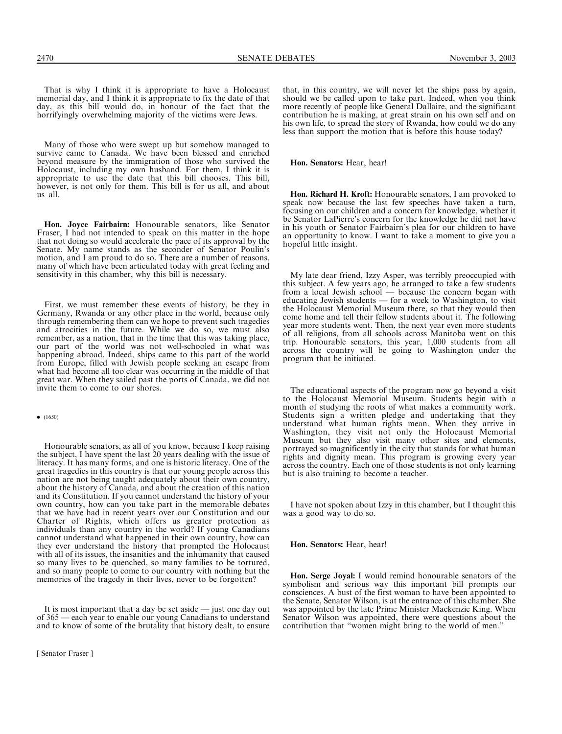That is why I think it is appropriate to have a Holocaust memorial day, and I think it is appropriate to fix the date of that day, as this bill would do, in honour of the fact that the horrifyingly overwhelming majority of the victims were Jews.

Many of those who were swept up but somehow managed to survive came to Canada. We have been blessed and enriched beyond measure by the immigration of those who survived the Holocaust, including my own husband. For them, I think it is appropriate to use the date that this bill chooses. This bill, however, is not only for them. This bill is for us all, and about us all.

Hon. Joyce Fairbairn: Honourable senators, like Senator Fraser, I had not intended to speak on this matter in the hope that not doing so would accelerate the pace of its approval by the Senate. My name stands as the seconder of Senator Poulin's motion, and I am proud to do so. There are a number of reasons, many of which have been articulated today with great feeling and sensitivity in this chamber, why this bill is necessary.

First, we must remember these events of history, be they in Germany, Rwanda or any other place in the world, because only through remembering them can we hope to prevent such tragedies and atrocities in the future. While we do so, we must also remember, as a nation, that in the time that this was taking place, our part of the world was not well-schooled in what was happening abroad. Indeed, ships came to this part of the world from Europe, filled with Jewish people seeking an escape from what had become all too clear was occurring in the middle of that great war. When they sailed past the ports of Canada, we did not invite them to come to our shores.

#### $\bullet$  (1650)

Honourable senators, as all of you know, because I keep raising the subject, I have spent the last 20 years dealing with the issue of literacy. It has many forms, and one is historic literacy. One of the great tragedies in this country is that our young people across this nation are not being taught adequately about their own country, about the history of Canada, and about the creation of this nation and its Constitution. If you cannot understand the history of your own country, how can you take part in the memorable debates that we have had in recent years over our Constitution and our Charter of Rights, which offers us greater protection as individuals than any country in the world? If young Canadians cannot understand what happened in their own country, how can they ever understand the history that prompted the Holocaust with all of its issues, the insanities and the inhumanity that caused so many lives to be quenched, so many families to be tortured, and so many people to come to our country with nothing but the memories of the tragedy in their lives, never to be forgotten?

It is most important that a day be set aside — just one day out of 365 — each year to enable our young Canadians to understand and to know of some of the brutality that history dealt, to ensure

that, in this country, we will never let the ships pass by again, should we be called upon to take part. Indeed, when you think more recently of people like General Dallaire, and the significant contribution he is making, at great strain on his own self and on his own life, to spread the story of Rwanda, how could we do any less than support the motion that is before this house today?

Hon. Senators: Hear, hear!

Hon. Richard H. Kroft: Honourable senators, I am provoked to speak now because the last few speeches have taken a turn, focusing on our children and a concern for knowledge, whether it be Senator LaPierre's concern for the knowledge he did not have in his youth or Senator Fairbairn's plea for our children to have an opportunity to know. I want to take a moment to give you a hopeful little insight.

My late dear friend, Izzy Asper, was terribly preoccupied with this subject. A few years ago, he arranged to take a few students from a local Jewish school — because the concern began with educating Jewish students — for a week to Washington, to visit the Holocaust Memorial Museum there, so that they would then come home and tell their fellow students about it. The following year more students went. Then, the next year even more students of all religions, from all schools across Manitoba went on this trip. Honourable senators, this year, 1,000 students from all across the country will be going to Washington under the program that he initiated.

The educational aspects of the program now go beyond a visit to the Holocaust Memorial Museum. Students begin with a month of studying the roots of what makes a community work. Students sign a written pledge and undertaking that they understand what human rights mean. When they arrive in Washington, they visit not only the Holocaust Memorial Museum but they also visit many other sites and elements, portrayed so magnificently in the city that stands for what human rights and dignity mean. This program is growing every year across the country. Each one of those students is not only learning but is also training to become a teacher.

I have not spoken about Izzy in this chamber, but I thought this was a good way to do so.

Hon. Senators: Hear, hear!

Hon. Serge Joyal: I would remind honourable senators of the symbolism and serious way this important bill prompts our consciences. A bust of the first woman to have been appointed to the Senate, Senator Wilson, is at the entrance of this chamber. She was appointed by the late Prime Minister Mackenzie King. When Senator Wilson was appointed, there were questions about the contribution that ''women might bring to the world of men.''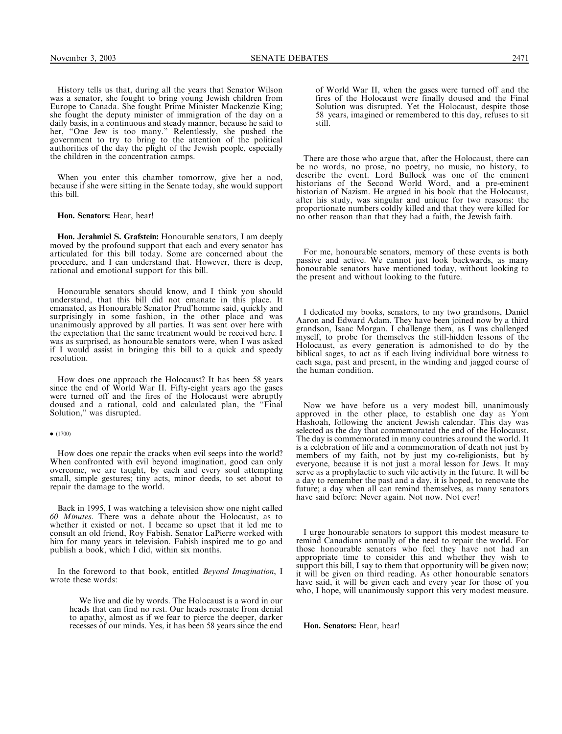History tells us that, during all the years that Senator Wilson was a senator, she fought to bring young Jewish children from Europe to Canada. She fought Prime Minister Mackenzie King; she fought the deputy minister of immigration of the day on a daily basis, in a continuous and steady manner, because he said to her, ''One Jew is too many.'' Relentlessly, she pushed the government to try to bring to the attention of the political authorities of the day the plight of the Jewish people, especially the children in the concentration camps.

When you enter this chamber tomorrow, give her a nod, because if she were sitting in the Senate today, she would support this bill.

Hon. Senators: Hear, hear!

Hon. Jerahmiel S. Grafstein: Honourable senators, I am deeply moved by the profound support that each and every senator has articulated for this bill today. Some are concerned about the procedure, and I can understand that. However, there is deep, rational and emotional support for this bill.

Honourable senators should know, and I think you should understand, that this bill did not emanate in this place. It emanated, as Honourable Senator Prud'homme said, quickly and surprisingly in some fashion, in the other place and was unanimously approved by all parties. It was sent over here with the expectation that the same treatment would be received here. I was as surprised, as honourable senators were, when I was asked if I would assist in bringing this bill to a quick and speedy resolution.

How does one approach the Holocaust? It has been 58 years since the end of World War II. Fifty-eight years ago the gases were turned off and the fires of the Holocaust were abruptly doused and a rational, cold and calculated plan, the ''Final Solution,'' was disrupted.

#### $\bullet$  (1700)

How does one repair the cracks when evil seeps into the world? When confronted with evil beyond imagination, good can only overcome, we are taught, by each and every soul attempting small, simple gestures; tiny acts, minor deeds, to set about to repair the damage to the world.

Back in 1995, I was watching a television show one night called 60 Minutes. There was a debate about the Holocaust, as to whether it existed or not. I became so upset that it led me to consult an old friend, Roy Fabish. Senator LaPierre worked with him for many years in television. Fabish inspired me to go and publish a book, which I did, within six months.

In the foreword to that book, entitled Beyond Imagination, I wrote these words:

We live and die by words. The Holocaust is a word in our heads that can find no rest. Our heads resonate from denial to apathy, almost as if we fear to pierce the deeper, darker recesses of our minds. Yes, it has been 58 years since the end of World War II, when the gases were turned off and the fires of the Holocaust were finally doused and the Final Solution was disrupted. Yet the Holocaust, despite those 58 years, imagined or remembered to this day, refuses to sit still.

There are those who argue that, after the Holocaust, there can be no words, no prose, no poetry, no music, no history, to describe the event. Lord Bullock was one of the eminent historians of the Second World Word, and a pre-eminent historian of Nazism. He argued in his book that the Holocaust, after his study, was singular and unique for two reasons: the proportionate numbers coldly killed and that they were killed for no other reason than that they had a faith, the Jewish faith.

For me, honourable senators, memory of these events is both passive and active. We cannot just look backwards, as many honourable senators have mentioned today, without looking to the present and without looking to the future.

I dedicated my books, senators, to my two grandsons, Daniel Aaron and Edward Adam. They have been joined now by a third grandson, Isaac Morgan. I challenge them, as I was challenged myself, to probe for themselves the still-hidden lessons of the Holocaust, as every generation is admonished to do by the biblical sages, to act as if each living individual bore witness to each saga, past and present, in the winding and jagged course of the human condition.

Now we have before us a very modest bill, unanimously approved in the other place, to establish one day as Yom Hashoah, following the ancient Jewish calendar. This day was selected as the day that commemorated the end of the Holocaust. The day is commemorated in many countries around the world. It is a celebration of life and a commemoration of death not just by members of my faith, not by just my co-religionists, but by everyone, because it is not just a moral lesson for Jews. It may serve as a prophylactic to such vile activity in the future. It will be a day to remember the past and a day, it is hoped, to renovate the future; a day when all can remind themselves, as many senators have said before: Never again. Not now. Not ever!

I urge honourable senators to support this modest measure to remind Canadians annually of the need to repair the world. For those honourable senators who feel they have not had an appropriate time to consider this and whether they wish to support this bill, I say to them that opportunity will be given now; it will be given on third reading. As other honourable senators have said, it will be given each and every year for those of you who, I hope, will unanimously support this very modest measure.

Hon. Senators: Hear, hear!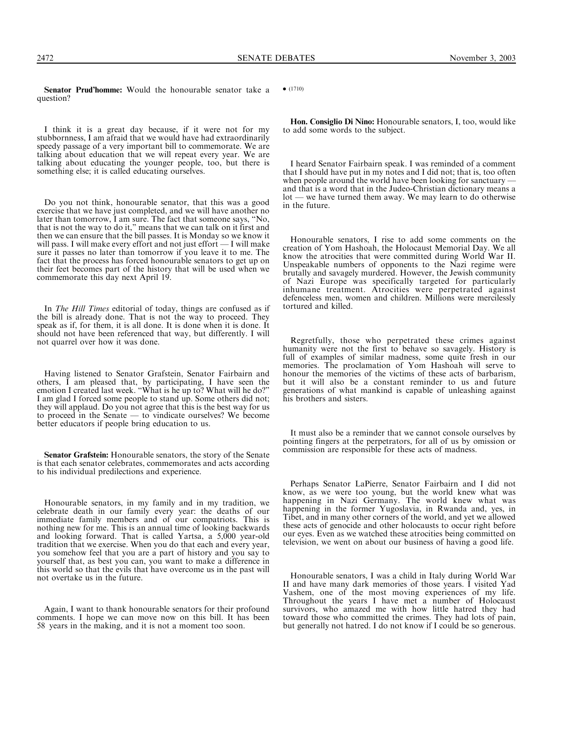2472 SENATE DEBATES November 3, 2003

Senator Prud'homme: Would the honourable senator take a question?

I think it is a great day because, if it were not for my stubbornness, I am afraid that we would have had extraordinarily speedy passage of a very important bill to commemorate. We are talking about education that we will repeat every year. We are talking about educating the younger people, too, but there is something else; it is called educating ourselves.

Do you not think, honourable senator, that this was a good exercise that we have just completed, and we will have another no later than tomorrow, I am sure. The fact that someone says, ''No, that is not the way to do it,'' means that we can talk on it first and then we can ensure that the bill passes. It is Monday so we know it will pass. I will make every effort and not just effort — I will make sure it passes no later than tomorrow if you leave it to me. The fact that the process has forced honourable senators to get up on their feet becomes part of the history that will be used when we commemorate this day next April 19.

In The Hill Times editorial of today, things are confused as if the bill is already done. That is not the way to proceed. They speak as if, for them, it is all done. It is done when it is done. It should not have been referenced that way, but differently. I will not quarrel over how it was done.

Having listened to Senator Grafstein, Senator Fairbairn and others, I am pleased that, by participating, I have seen the emotion I created last week. ''What is he up to? What will he do?'' I am glad I forced some people to stand up. Some others did not; they will applaud. Do you not agree that this is the best way for us to proceed in the Senate — to vindicate ourselves? We become better educators if people bring education to us.

Senator Grafstein: Honourable senators, the story of the Senate is that each senator celebrates, commemorates and acts according to his individual predilections and experience.

Honourable senators, in my family and in my tradition, we celebrate death in our family every year: the deaths of our immediate family members and of our compatriots. This is nothing new for me. This is an annual time of looking backwards and looking forward. That is called Yartsa, a 5,000 year-old tradition that we exercise. When you do that each and every year, you somehow feel that you are a part of history and you say to yourself that, as best you can, you want to make a difference in this world so that the evils that have overcome us in the past will not overtake us in the future.

Again, I want to thank honourable senators for their profound comments. I hope we can move now on this bill. It has been 58 years in the making, and it is not a moment too soon.

 $\bullet$  (1710)

Hon. Consiglio Di Nino: Honourable senators, I, too, would like to add some words to the subject.

I heard Senator Fairbairn speak. I was reminded of a comment that I should have put in my notes and I did not; that is, too often when people around the world have been looking for sanctuary and that is a word that in the Judeo-Christian dictionary means a lot — we have turned them away. We may learn to do otherwise in the future.

Honourable senators, I rise to add some comments on the creation of Yom Hashoah, the Holocaust Memorial Day. We all know the atrocities that were committed during World War II. Unspeakable numbers of opponents to the Nazi regime were brutally and savagely murdered. However, the Jewish community of Nazi Europe was specifically targeted for particularly inhumane treatment. Atrocities were perpetrated against defenceless men, women and children. Millions were mercilessly tortured and killed.

Regretfully, those who perpetrated these crimes against humanity were not the first to behave so savagely. History is full of examples of similar madness, some quite fresh in our memories. The proclamation of Yom Hashoah will serve to honour the memories of the victims of these acts of barbarism, but it will also be a constant reminder to us and future generations of what mankind is capable of unleashing against his brothers and sisters.

It must also be a reminder that we cannot console ourselves by pointing fingers at the perpetrators, for all of us by omission or commission are responsible for these acts of madness.

Perhaps Senator LaPierre, Senator Fairbairn and I did not know, as we were too young, but the world knew what was happening in Nazi Germany. The world knew what was happening in the former Yugoslavia, in Rwanda and, yes, in Tibet, and in many other corners of the world, and yet we allowed these acts of genocide and other holocausts to occur right before our eyes. Even as we watched these atrocities being committed on television, we went on about our business of having a good life.

Honourable senators, I was a child in Italy during World War II and have many dark memories of those years. I visited Yad Vashem, one of the most moving experiences of my life. Throughout the years I have met a number of Holocaust survivors, who amazed me with how little hatred they had toward those who committed the crimes. They had lots of pain, but generally not hatred. I do not know if I could be so generous.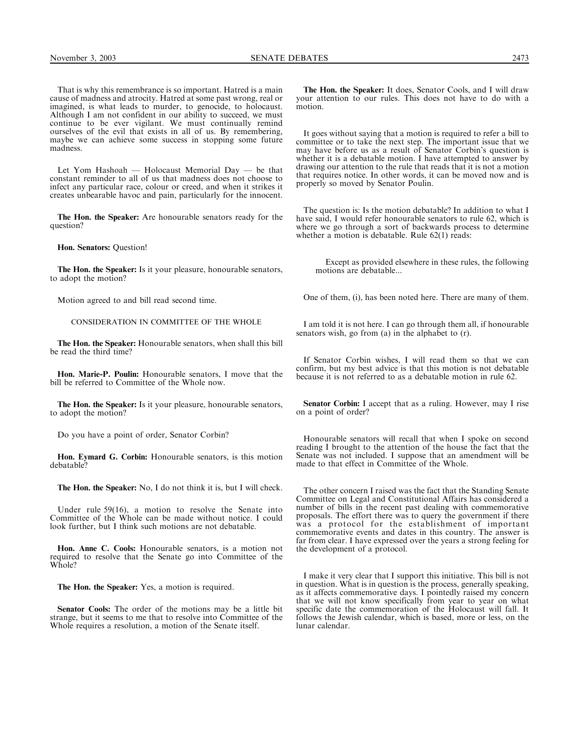That is why this remembrance is so important. Hatred is a main cause of madness and atrocity. Hatred at some past wrong, real or imagined, is what leads to murder, to genocide, to holocaust. Although I am not confident in our ability to succeed, we must continue to be ever vigilant. We must continually remind ourselves of the evil that exists in all of us. By remembering, maybe we can achieve some success in stopping some future madness.

Let Yom Hashoah — Holocaust Memorial Day — be that constant reminder to all of us that madness does not choose to infect any particular race, colour or creed, and when it strikes it creates unbearable havoc and pain, particularly for the innocent.

The Hon. the Speaker: Are honourable senators ready for the question?

Hon. Senators: Question!

The Hon. the Speaker: Is it your pleasure, honourable senators, to adopt the motion?

Motion agreed to and bill read second time.

# CONSIDERATION IN COMMITTEE OF THE WHOLE

The Hon. the Speaker: Honourable senators, when shall this bill be read the third time?

Hon. Marie-P. Poulin: Honourable senators, I move that the bill be referred to Committee of the Whole now.

The Hon. the Speaker: Is it your pleasure, honourable senators, to adopt the motion?

Do you have a point of order, Senator Corbin?

Hon. Eymard G. Corbin: Honourable senators, is this motion debatable?

The Hon. the Speaker: No, I do not think it is, but I will check.

Under rule 59(16), a motion to resolve the Senate into Committee of the Whole can be made without notice. I could look further, but I think such motions are not debatable.

Hon. Anne C. Cools: Honourable senators, is a motion not required to resolve that the Senate go into Committee of the Whole?

The Hon. the Speaker: Yes, a motion is required.

Senator Cools: The order of the motions may be a little bit strange, but it seems to me that to resolve into Committee of the Whole requires a resolution, a motion of the Senate itself.

The Hon. the Speaker: It does, Senator Cools, and I will draw your attention to our rules. This does not have to do with a motion.

It goes without saying that a motion is required to refer a bill to committee or to take the next step. The important issue that we may have before us as a result of Senator Corbin's question is whether it is a debatable motion. I have attempted to answer by drawing our attention to the rule that reads that it is not a motion that requires notice. In other words, it can be moved now and is properly so moved by Senator Poulin.

The question is: Is the motion debatable? In addition to what I have said, I would refer honourable senators to rule 62, which is where we go through a sort of backwards process to determine whether a motion is debatable. Rule 62(1) reads:

Except as provided elsewhere in these rules, the following motions are debatable...

One of them, (i), has been noted here. There are many of them.

I am told it is not here. I can go through them all, if honourable senators wish, go from (a) in the alphabet to (r).

If Senator Corbin wishes, I will read them so that we can confirm, but my best advice is that this motion is not debatable because it is not referred to as a debatable motion in rule 62.

Senator Corbin: I accept that as a ruling. However, may I rise on a point of order?

Honourable senators will recall that when I spoke on second reading I brought to the attention of the house the fact that the Senate was not included. I suppose that an amendment will be made to that effect in Committee of the Whole.

The other concern I raised was the fact that the Standing Senate Committee on Legal and Constitutional Affairs has considered a number of bills in the recent past dealing with commemorative proposals. The effort there was to query the government if there was a protocol for the establishment of important commemorative events and dates in this country. The answer is far from clear. I have expressed over the years a strong feeling for the development of a protocol.

I make it very clear that I support this initiative. This bill is not in question. What is in question is the process, generally speaking, as it affects commemorative days. I pointedly raised my concern that we will not know specifically from year to year on what specific date the commemoration of the Holocaust will fall. It follows the Jewish calendar, which is based, more or less, on the lunar calendar.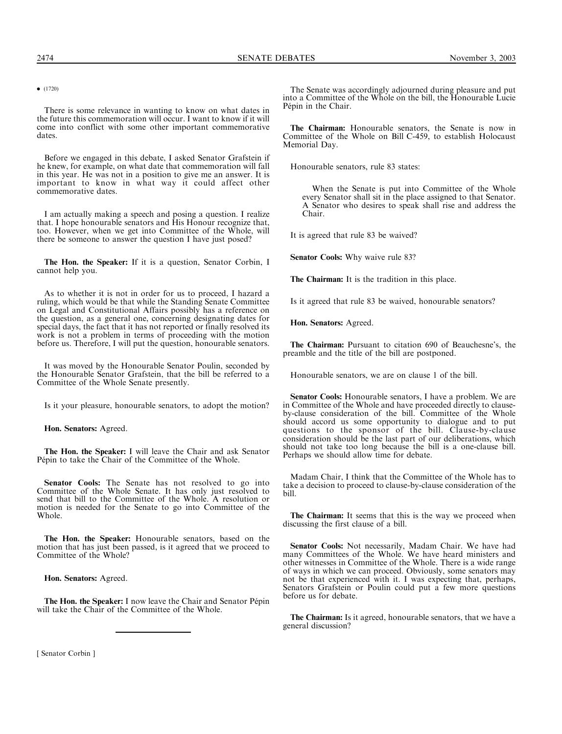$\bullet$  (1720)

There is some relevance in wanting to know on what dates in the future this commemoration will occur. I want to know if it will come into conflict with some other important commemorative dates.

Before we engaged in this debate, I asked Senator Grafstein if he knew, for example, on what date that commemoration will fall in this year. He was not in a position to give me an answer. It is important to know in what way it could affect other commemorative dates.

I am actually making a speech and posing a question. I realize that. I hope honourable senators and His Honour recognize that, too. However, when we get into Committee of the Whole, will there be someone to answer the question I have just posed?

The Hon. the Speaker: If it is a question, Senator Corbin, I cannot help you.

As to whether it is not in order for us to proceed, I hazard a ruling, which would be that while the Standing Senate Committee on Legal and Constitutional Affairs possibly has a reference on the question, as a general one, concerning designating dates for special days, the fact that it has not reported or finally resolved its work is not a problem in terms of proceeding with the motion before us. Therefore, I will put the question, honourable senators.

It was moved by the Honourable Senator Poulin, seconded by the Honourable Senator Grafstein, that the bill be referred to a Committee of the Whole Senate presently.

Is it your pleasure, honourable senators, to adopt the motion?

Hon. Senators: Agreed.

The Hon. the Speaker: I will leave the Chair and ask Senator Pépin to take the Chair of the Committee of the Whole.

Senator Cools: The Senate has not resolved to go into Committee of the Whole Senate. It has only just resolved to send that bill to the Committee of the Whole. A resolution or motion is needed for the Senate to go into Committee of the Whole.

The Hon. the Speaker: Honourable senators, based on the motion that has just been passed, is it agreed that we proceed to Committee of the Whole?

Hon. Senators: Agreed.

The Hon. the Speaker: I now leave the Chair and Senator Pépin will take the Chair of the Committee of the Whole.

The Senate was accordingly adjourned during pleasure and put into a Committee of the Whole on the bill, the Honourable Lucie Pépin in the Chair.

The Chairman: Honourable senators, the Senate is now in Committee of the Whole on Bill C-459, to establish Holocaust Memorial Day.

Honourable senators, rule 83 states:

When the Senate is put into Committee of the Whole every Senator shall sit in the place assigned to that Senator. A Senator who desires to speak shall rise and address the Chair.

It is agreed that rule 83 be waived?

Senator Cools: Why waive rule 83?

The Chairman: It is the tradition in this place.

Is it agreed that rule 83 be waived, honourable senators?

Hon. Senators: Agreed.

The Chairman: Pursuant to citation 690 of Beauchesne's, the preamble and the title of the bill are postponed.

Honourable senators, we are on clause 1 of the bill.

Senator Cools: Honourable senators, I have a problem. We are in Committee of the Whole and have proceeded directly to clauseby-clause consideration of the bill. Committee of the Whole should accord us some opportunity to dialogue and to put questions to the sponsor of the bill. Clause-by-clause consideration should be the last part of our deliberations, which should not take too long because the bill is a one-clause bill. Perhaps we should allow time for debate.

Madam Chair, I think that the Committee of the Whole has to take a decision to proceed to clause-by-clause consideration of the bill.

The Chairman: It seems that this is the way we proceed when discussing the first clause of a bill.

Senator Cools: Not necessarily, Madam Chair. We have had many Committees of the Whole. We have heard ministers and other witnesses in Committee of the Whole. There is a wide range of ways in which we can proceed. Obviously, some senators may not be that experienced with it. I was expecting that, perhaps, Senators Grafstein or Poulin could put a few more questions before us for debate.

The Chairman: Is it agreed, honourable senators, that we have a general discussion?

[ Senator Corbin ]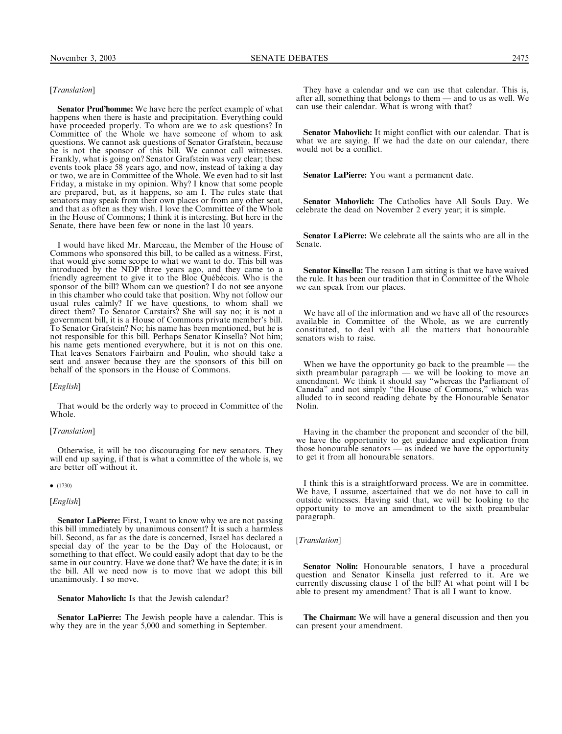# [Translation]

Senator Prud'homme: We have here the perfect example of what happens when there is haste and precipitation. Everything could have proceeded properly. To whom are we to ask questions? In Committee of the Whole we have someone of whom to ask questions. We cannot ask questions of Senator Grafstein, because he is not the sponsor of this bill. We cannot call witnesses. Frankly, what is going on? Senator Grafstein was very clear; these events took place 58 years ago, and now, instead of taking a day or two, we are in Committee of the Whole. We even had to sit last Friday, a mistake in my opinion. Why? I know that some people are prepared, but, as it happens, so am I. The rules state that senators may speak from their own places or from any other seat, and that as often as they wish. I love the Committee of the Whole in the House of Commons; I think it is interesting. But here in the Senate, there have been few or none in the last 10 years.

I would have liked Mr. Marceau, the Member of the House of Commons who sponsored this bill, to be called as a witness. First, that would give some scope to what we want to do. This bill was introduced by the NDP three years ago, and they came to a friendly agreement to give it to the Bloc Québécois. Who is the sponsor of the bill? Whom can we question? I do not see anyone in this chamber who could take that position. Why not follow our usual rules calmly? If we have questions, to whom shall we direct them? To Senator Carstairs? She will say no; it is not a government bill, it is a House of Commons private member's bill. To Senator Grafstein? No; his name has been mentioned, but he is not responsible for this bill. Perhaps Senator Kinsella? Not him; his name gets mentioned everywhere, but it is not on this one. That leaves Senators Fairbairn and Poulin, who should take a seat and answer because they are the sponsors of this bill on behalf of the sponsors in the House of Commons.

#### [English]

That would be the orderly way to proceed in Committee of the Whole.

## [*Translation*]

Otherwise, it will be too discouraging for new senators. They will end up saying, if that is what a committee of the whole is, we are better off without it.

#### $\bullet$  (1730)

#### [English]

Senator LaPierre: First, I want to know why we are not passing this bill immediately by unanimous consent? It is such a harmless bill. Second, as far as the date is concerned, Israel has declared a special day of the year to be the Day of the Holocaust, or something to that effect. We could easily adopt that day to be the same in our country. Have we done that? We have the date; it is in the bill. All we need now is to move that we adopt this bill unanimously. I so move.

Senator Mahovlich: Is that the Jewish calendar?

Senator LaPierre: The Jewish people have a calendar. This is why they are in the year 5,000 and something in September.

They have a calendar and we can use that calendar. This is, after all, something that belongs to them — and to us as well. We can use their calendar. What is wrong with that?

Senator Mahovlich: It might conflict with our calendar. That is what we are saying. If we had the date on our calendar, there would not be a conflict.

Senator LaPierre: You want a permanent date.

Senator Mahovlich: The Catholics have All Souls Day. We celebrate the dead on November 2 every year; it is simple.

Senator LaPierre: We celebrate all the saints who are all in the Senate.

Senator Kinsella: The reason I am sitting is that we have waived the rule. It has been our tradition that in Committee of the Whole we can speak from our places.

We have all of the information and we have all of the resources available in Committee of the Whole, as we are currently constituted, to deal with all the matters that honourable senators wish to raise.

When we have the opportunity go back to the preamble — the sixth preambular paragraph — we will be looking to move an amendment. We think it should say ''whereas the Parliament of Canada'' and not simply ''the House of Commons,'' which was alluded to in second reading debate by the Honourable Senator Nolin.

Having in the chamber the proponent and seconder of the bill, we have the opportunity to get guidance and explication from those honourable senators — as indeed we have the opportunity to get it from all honourable senators.

I think this is a straightforward process. We are in committee. We have, I assume, ascertained that we do not have to call in outside witnesses. Having said that, we will be looking to the opportunity to move an amendment to the sixth preambular paragraph.

[Translation]

Senator Nolin: Honourable senators, I have a procedural question and Senator Kinsella just referred to it. Are we currently discussing clause 1 of the bill? At what point will I be able to present my amendment? That is all I want to know.

The Chairman: We will have a general discussion and then you can present your amendment.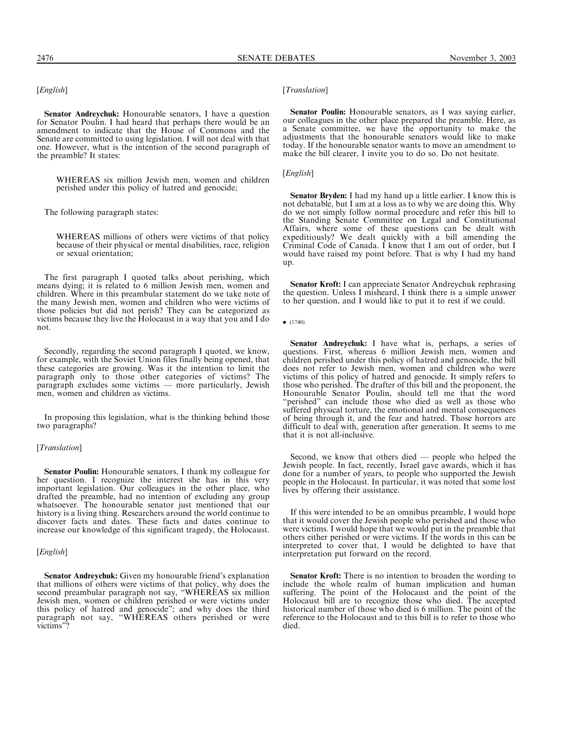[English]

Senator Andreychuk: Honourable senators, I have a question for Senator Poulin. I had heard that perhaps there would be an amendment to indicate that the House of Commons and the Senate are committed to using legislation. I will not deal with that one. However, what is the intention of the second paragraph of the preamble? It states:

WHEREAS six million Jewish men, women and children perished under this policy of hatred and genocide;

The following paragraph states:

WHEREAS millions of others were victims of that policy because of their physical or mental disabilities, race, religion or sexual orientation;

The first paragraph I quoted talks about perishing, which means dying; it is related to 6 million Jewish men, women and children. Where in this preambular statement do we take note of the many Jewish men, women and children who were victims of those policies but did not perish? They can be categorized as victims because they live the Holocaust in a way that you and I do not.

Secondly, regarding the second paragraph I quoted, we know, for example, with the Soviet Union files finally being opened, that these categories are growing. Was it the intention to limit the paragraph only to those other categories of victims? The paragraph excludes some victims — more particularly, Jewish men, women and children as victims.

In proposing this legislation, what is the thinking behind those two paragraphs?

## [Translation]

Senator Poulin: Honourable senators, I thank my colleague for her question. I recognize the interest she has in this very important legislation. Our colleagues in the other place, who drafted the preamble, had no intention of excluding any group whatsoever. The honourable senator just mentioned that our history is a living thing. Researchers around the world continue to discover facts and dates. These facts and dates continue to increase our knowledge of this significant tragedy, the Holocaust.

## [*English*]

Senator Andreychuk: Given my honourable friend's explanation that millions of others were victims of that policy, why does the second preambular paragraph not say, "WHEREAS six million Jewish men, women or children perished or were victims under this policy of hatred and genocide''; and why does the third paragraph not say, ''WHEREAS others perished or were victims''?

## [*Translation*]

Senator Poulin: Honourable senators, as I was saying earlier, our colleagues in the other place prepared the preamble. Here, as a Senate committee, we have the opportunity to make the adjustments that the honourable senators would like to make today. If the honourable senator wants to move an amendment to make the bill clearer, I invite you to do so. Do not hesitate.

## [*English*]

Senator Bryden: I had my hand up a little earlier. I know this is not debatable, but I am at a loss as to why we are doing this. Why do we not simply follow normal procedure and refer this bill to the Standing Senate Committee on Legal and Constitutional Affairs, where some of these questions can be dealt with expeditiously? We dealt quickly with a bill amending the Criminal Code of Canada. I know that I am out of order, but I would have raised my point before. That is why I had my hand up.

Senator Kroft: I can appreciate Senator Andreychuk rephrasing the question. Unless I misheard, I think there is a simple answer to her question, and I would like to put it to rest if we could.

 $\bullet$  (1740)

Senator Andreychuk: I have what is, perhaps, a series of questions. First, whereas 6 million Jewish men, women and children perished under this policy of hatred and genocide, the bill does not refer to Jewish men, women and children who were victims of this policy of hatred and genocide. It simply refers to those who perished. The drafter of this bill and the proponent, the Honourable Senator Poulin, should tell me that the word "perished" can include those who died as well as those who suffered physical torture, the emotional and mental consequences of being through it, and the fear and hatred. Those horrors are difficult to deal with, generation after generation. It seems to me that it is not all-inclusive.

Second, we know that others died — people who helped the Jewish people. In fact, recently, Israel gave awards, which it has done for a number of years, to people who supported the Jewish people in the Holocaust. In particular, it was noted that some lost lives by offering their assistance.

If this were intended to be an omnibus preamble, I would hope that it would cover the Jewish people who perished and those who were victims. I would hope that we would put in the preamble that others either perished or were victims. If the words in this can be interpreted to cover that, I would be delighted to have that interpretation put forward on the record.

Senator Kroft: There is no intention to broaden the wording to include the whole realm of human implication and human suffering. The point of the Holocaust and the point of the Holocaust bill are to recognize those who died. The accepted historical number of those who died is 6 million. The point of the reference to the Holocaust and to this bill is to refer to those who died.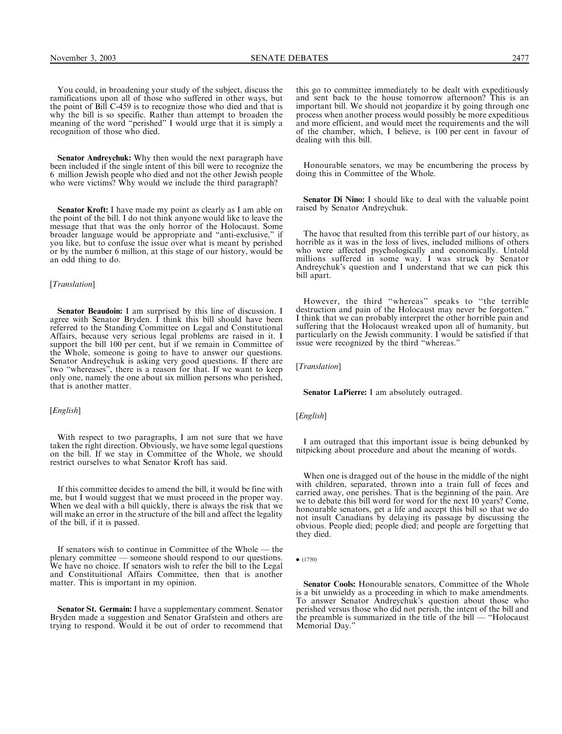You could, in broadening your study of the subject, discuss the ramifications upon all of those who suffered in other ways, but the point of Bill C-459 is to recognize those who died and that is why the bill is so specific. Rather than attempt to broaden the meaning of the word ''perished'' I would urge that it is simply a recognition of those who died.

Senator Andreychuk: Why then would the next paragraph have been included if the single intent of this bill were to recognize the 6 million Jewish people who died and not the other Jewish people who were victims? Why would we include the third paragraph?

Senator Kroft: I have made my point as clearly as I am able on the point of the bill. I do not think anyone would like to leave the message that that was the only horror of the Holocaust. Some broader language would be appropriate and ''anti-exclusive,'' if you like, but to confuse the issue over what is meant by perished or by the number 6 million, at this stage of our history, would be an odd thing to do.

#### [*Translation*]

Senator Beaudoin: I am surprised by this line of discussion. I agree with Senator Bryden. I think this bill should have been referred to the Standing Committee on Legal and Constitutional Affairs, because very serious legal problems are raised in it. I support the bill 100 per cent, but if we remain in Committee of the Whole, someone is going to have to answer our questions. Senator Andreychuk is asking very good questions. If there are two ''whereases'', there is a reason for that. If we want to keep only one, namely the one about six million persons who perished, that is another matter.

#### [*English*]

With respect to two paragraphs, I am not sure that we have taken the right direction. Obviously, we have some legal questions on the bill. If we stay in Committee of the Whole, we should restrict ourselves to what Senator Kroft has said.

If this committee decides to amend the bill, it would be fine with me, but I would suggest that we must proceed in the proper way. When we deal with a bill quickly, there is always the risk that we will make an error in the structure of the bill and affect the legality of the bill, if it is passed.

If senators wish to continue in Committee of the Whole — the plenary committee — someone should respond to our questions. We have no choice. If senators wish to refer the bill to the Legal and Constituitional Affairs Committee, then that is another matter. This is important in my opinion.

Senator St. Germain: I have a supplementary comment. Senator Bryden made a suggestion and Senator Grafstein and others are trying to respond. Would it be out of order to recommend that

this go to committee immediately to be dealt with expeditiously and sent back to the house tomorrow afternoon? This is an important bill. We should not jeopardize it by going through one process when another process would possibly be more expeditious and more efficient, and would meet the requirements and the will of the chamber, which, I believe, is 100 per cent in favour of dealing with this bill.

Honourable senators, we may be encumbering the process by doing this in Committee of the Whole.

Senator Di Nino: I should like to deal with the valuable point raised by Senator Andreychuk.

The havoc that resulted from this terrible part of our history, as horrible as it was in the loss of lives, included millions of others who were affected psychologically and economically. Untold millions suffered in some way. I was struck by Senator Andreychuk's question and I understand that we can pick this bill apart.

However, the third ''whereas'' speaks to ''the terrible destruction and pain of the Holocaust may never be forgotten.'' I think that we can probably interpret the other horrible pain and suffering that the Holocaust wreaked upon all of humanity, but particularly on the Jewish community. I would be satisfied if that issue were recognized by the third ''whereas.''

[Translation]

Senator LaPierre: I am absolutely outraged.

[*English*]

I am outraged that this important issue is being debunked by nitpicking about procedure and about the meaning of words.

When one is dragged out of the house in the middle of the night with children, separated, thrown into a train full of feces and carried away, one perishes. That is the beginning of the pain. Are we to debate this bill word for word for the next 10 years? Come, honourable senators, get a life and accept this bill so that we do not insult Canadians by delaying its passage by discussing the obvious. People died; people died; and people are forgetting that they died.

 $\bullet$  (1750)

Senator Cools: Honourable senators, Committee of the Whole is a bit unwieldy as a proceeding in which to make amendments. To answer Senator Andreychuk's question about those who perished versus those who did not perish, the intent of the bill and the preamble is summarized in the title of the bill — ''Holocaust Memorial Day.''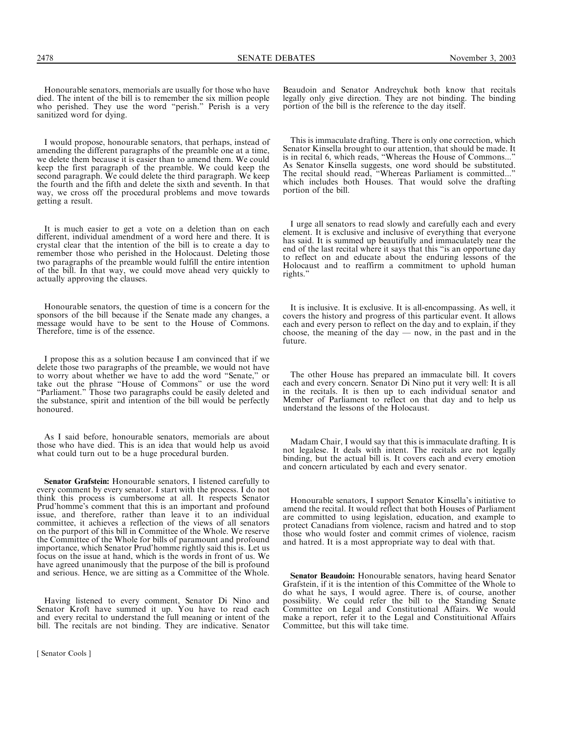Honourable senators, memorials are usually for those who have died. The intent of the bill is to remember the six million people who perished. They use the word "perish." Perish is a very sanitized word for dying.

I would propose, honourable senators, that perhaps, instead of amending the different paragraphs of the preamble one at a time, we delete them because it is easier than to amend them. We could keep the first paragraph of the preamble. We could keep the second paragraph. We could delete the third paragraph. We keep the fourth and the fifth and delete the sixth and seventh. In that way, we cross off the procedural problems and move towards getting a result.

It is much easier to get a vote on a deletion than on each different, individual amendment of a word here and there. It is crystal clear that the intention of the bill is to create a day to remember those who perished in the Holocaust. Deleting those two paragraphs of the preamble would fulfill the entire intention of the bill. In that way, we could move ahead very quickly to actually approving the clauses.

Honourable senators, the question of time is a concern for the sponsors of the bill because if the Senate made any changes, a message would have to be sent to the House of Commons. Therefore, time is of the essence.

I propose this as a solution because I am convinced that if we delete those two paragraphs of the preamble, we would not have to worry about whether we have to add the word ''Senate,'' or take out the phrase ''House of Commons'' or use the word ''Parliament.'' Those two paragraphs could be easily deleted and the substance, spirit and intention of the bill would be perfectly honoured.

As I said before, honourable senators, memorials are about those who have died. This is an idea that would help us avoid what could turn out to be a huge procedural burden.

Senator Grafstein: Honourable senators, I listened carefully to every comment by every senator. I start with the process. I do not think this process is cumbersome at all. It respects Senator Prud'homme's comment that this is an important and profound issue, and therefore, rather than leave it to an individual committee, it achieves a reflection of the views of all senators on the purport of this bill in Committee of the Whole. We reserve the Committee of the Whole for bills of paramount and profound importance, which Senator Prud'homme rightly said this is. Let us focus on the issue at hand, which is the words in front of us. We have agreed unanimously that the purpose of the bill is profound and serious. Hence, we are sitting as a Committee of the Whole.

Having listened to every comment, Senator Di Nino and Senator Kroft have summed it up. You have to read each and every recital to understand the full meaning or intent of the bill. The recitals are not binding. They are indicative. Senator

Beaudoin and Senator Andreychuk both know that recitals legally only give direction. They are not binding. The binding portion of the bill is the reference to the day itself.

This is immaculate drafting. There is only one correction, which Senator Kinsella brought to our attention, that should be made. It is in recital 6, which reads, "Whereas the House of Commons... As Senator Kinsella suggests, one word should be substituted. The recital should read, ''Whereas Parliament is committed...'' which includes both Houses. That would solve the drafting portion of the bill.

I urge all senators to read slowly and carefully each and every element. It is exclusive and inclusive of everything that everyone has said. It is summed up beautifully and immaculately near the end of the last recital where it says that this ''is an opportune day to reflect on and educate about the enduring lessons of the Holocaust and to reaffirm a commitment to uphold human rights.''

It is inclusive. It is exclusive. It is all-encompassing. As well, it covers the history and progress of this particular event. It allows each and every person to reflect on the day and to explain, if they choose, the meaning of the day  $-$  now, in the past and in the future.

The other House has prepared an immaculate bill. It covers each and every concern. Senator Di Nino put it very well: It is all in the recitals. It is then up to each individual senator and Member of Parliament to reflect on that day and to help us understand the lessons of the Holocaust.

Madam Chair, I would say that this is immaculate drafting. It is not legalese. It deals with intent. The recitals are not legally binding, but the actual bill is. It covers each and every emotion and concern articulated by each and every senator.

Honourable senators, I support Senator Kinsella's initiative to amend the recital. It would reflect that both Houses of Parliament are committed to using legislation, education, and example to protect Canadians from violence, racism and hatred and to stop those who would foster and commit crimes of violence, racism and hatred. It is a most appropriate way to deal with that.

Senator Beaudoin: Honourable senators, having heard Senator Grafstein, if it is the intention of this Committee of the Whole to do what he says, I would agree. There is, of course, another possibility. We could refer the bill to the Standing Senate Committee on Legal and Constitutional Affairs. We would make a report, refer it to the Legal and Constituitional Affairs Committee, but this will take time.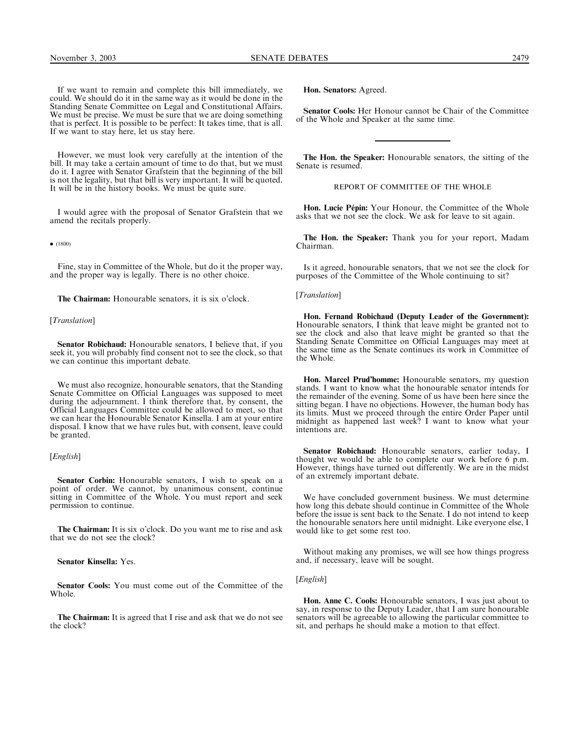If we want to remain and complete this bill immediately, we could. We should do it in the same way as it would be done in the Standing Senate Committee on Legal and Constitutional Affairs. We must be precise. We must be sure that we are doing something that is perfect. It is possible to be perfect: It takes time, that is all. If we want to stay here, let us stay here.

However, we must look very carefully at the intention of the bill. It may take a certain amount of time to do that, but we must do it. I agree with Senator Grafstein that the beginning of the bill is not the legality, but that bill is very important. It will be quoted. It will be in the history books. We must be quite sure.

I would agree with the proposal of Senator Grafstein that we amend the recitals properly.

 $\bullet$  (1800)

Fine, stay in Committee of the Whole, but do it the proper way, and the proper way is legally. There is no other choice.

The Chairman: Honourable senators, it is six o'clock.

#### [*Translation*]

Senator Robichaud: Honourable senators, I believe that, if you seek it, you will probably find consent not to see the clock, so that we can continue this important debate.

We must also recognize, honourable senators, that the Standing Senate Committee on Official Languages was supposed to meet during the adjournment. I think therefore that, by consent, the Official Languages Committee could be allowed to meet, so that we can hear the Honourable Senator Kinsella. I am at your entire disposal. I know that we have rules but, with consent, leave could be granted.

[*English*]

Senator Corbin: Honourable senators, I wish to speak on a point of order. We cannot, by unanimous consent, continue sitting in Committee of the Whole. You must report and seek permission to continue.

The Chairman: It is six o'clock. Do you want me to rise and ask that we do not see the clock?

Senator Kinsella: Yes.

Senator Cools: You must come out of the Committee of the Whole.

The Chairman: It is agreed that I rise and ask that we do not see the clock?

Hon. Senators: Agreed.

Senator Cools: Her Honour cannot be Chair of the Committee of the Whole and Speaker at the same time.

The Hon. the Speaker: Honourable senators, the sitting of the Senate is resumed.

REPORT OF COMMITTEE OF THE WHOLE

Hon. Lucie P**é**pin: Your Honour, the Committee of the Whole asks that we not see the clock. We ask for leave to sit again.

The Hon. the Speaker: Thank you for your report, Madam Chairman.

Is it agreed, honourable senators, that we not see the clock for purposes of the Committee of the Whole continuing to sit?

[*Translation*]

Hon. Fernand Robichaud (Deputy Leader of the Government): Honourable senators, I think that leave might be granted not to see the clock and also that leave might be granted so that the Standing Senate Committee on Official Languages may meet at the same time as the Senate continues its work in Committee of the Whole.

Hon. Marcel Prud'homme: Honourable senators, my question stands. I want to know what the honourable senator intends for the remainder of the evening. Some of us have been here since the sitting began. I have no objections. However, the human body has its limits. Must we proceed through the entire Order Paper until midnight as happened last week? I want to know what your intentions are.

Senator Robichaud: Honourable senators, earlier today, I thought we would be able to complete our work before 6 p.m. However, things have turned out differently. We are in the midst of an extremely important debate.

We have concluded government business. We must determine how long this debate should continue in Committee of the Whole before the issue is sent back to the Senate. I do not intend to keep the honourable senators here until midnight. Like everyone else, I would like to get some rest too.

Without making any promises, we will see how things progress and, if necessary, leave will be sought.

[English]

Hon. Anne C. Cools: Honourable senators, I was just about to say, in response to the Deputy Leader, that I am sure honourable senators will be agreeable to allowing the particular committee to sit, and perhaps he should make a motion to that effect.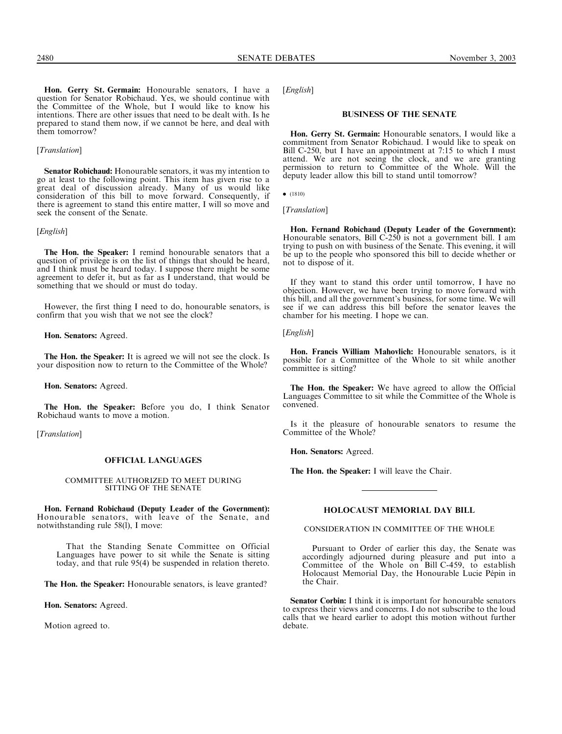Hon. Gerry St. Germain: Honourable senators, I have a question for Senator Robichaud. Yes, we should continue with the Committee of the Whole, but I would like to know his intentions. There are other issues that need to be dealt with. Is he prepared to stand them now, if we cannot be here, and deal with them tomorrow?

## [Translation]

Senator Robichaud: Honourable senators, it was my intention to go at least to the following point. This item has given rise to a great deal of discussion already. Many of us would like consideration of this bill to move forward. Consequently, if there is agreement to stand this entire matter, I will so move and seek the consent of the Senate.

#### [*English*]

The Hon. the Speaker: I remind honourable senators that a question of privilege is on the list of things that should be heard, and I think must be heard today. I suppose there might be some agreement to defer it, but as far as I understand, that would be something that we should or must do today.

However, the first thing I need to do, honourable senators, is confirm that you wish that we not see the clock?

Hon. Senators: Agreed.

The Hon. the Speaker: It is agreed we will not see the clock. Is your disposition now to return to the Committee of the Whole?

Hon. Senators: Agreed.

The Hon. the Speaker: Before you do, I think Senator Robichaud wants to move a motion.

[Translation]

# OFFICIAL LANGUAGES

# COMMITTEE AUTHORIZED TO MEET DURING SITTING OF THE SENATE

Hon. Fernand Robichaud (Deputy Leader of the Government): Honourable senators, with leave of the Senate, and notwithstanding rule 58(l), I move:

That the Standing Senate Committee on Official Languages have power to sit while the Senate is sitting today, and that rule 95(4) be suspended in relation thereto.

The Hon. the Speaker: Honourable senators, is leave granted?

Hon. Senators: Agreed.

Motion agreed to.

[*English*]

#### BUSINESS OF THE SENATE

Hon. Gerry St. Germain: Honourable senators, I would like a commitment from Senator Robichaud. I would like to speak on Bill C-250, but I have an appointment at 7:15 to which I must attend. We are not seeing the clock, and we are granting permission to return to Committee of the Whole. Will the deputy leader allow this bill to stand until tomorrow?

 $\bullet$  (1810)

[Translation]

Hon. Fernand Robichaud (Deputy Leader of the Government): Honourable senators, Bill C-250 is not a government bill. I am trying to push on with business of the Senate. This evening, it will be up to the people who sponsored this bill to decide whether or not to dispose of it.

If they want to stand this order until tomorrow, I have no objection. However, we have been trying to move forward with this bill, and all the government's business, for some time. We will see if we can address this bill before the senator leaves the chamber for his meeting. I hope we can.

#### [*English*]

Hon. Francis William Mahovlich: Honourable senators, is it possible for a Committee of the Whole to sit while another committee is sitting?

The Hon. the Speaker: We have agreed to allow the Official Languages Committee to sit while the Committee of the Whole is convened.

Is it the pleasure of honourable senators to resume the Committee of the Whole?

Hon. Senators: Agreed.

The Hon. the Speaker: I will leave the Chair.

#### HOLOCAUST MEMORIAL DAY BILL

CONSIDERATION IN COMMITTEE OF THE WHOLE

Pursuant to Order of earlier this day, the Senate was accordingly adjourned during pleasure and put into a Committee of the Whole on Bill C-459, to establish Holocaust Memorial Day, the Honourable Lucie Pépin in the Chair.

Senator Corbin: I think it is important for honourable senators to express their views and concerns. I do not subscribe to the loud calls that we heard earlier to adopt this motion without further debate.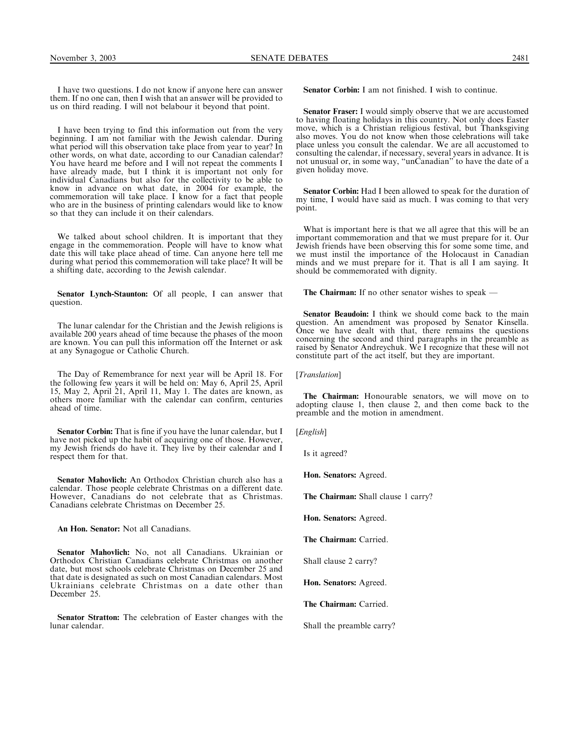I have two questions. I do not know if anyone here can answer them. If no one can, then I wish that an answer will be provided to us on third reading. I will not belabour it beyond that point.

I have been trying to find this information out from the very beginning. I am not familiar with the Jewish calendar. During what period will this observation take place from year to year? In other words, on what date, according to our Canadian calendar? You have heard me before and I will not repeat the comments I have already made, but I think it is important not only for individual Canadians but also for the collectivity to be able to know in advance on what date, in 2004 for example, the commemoration will take place. I know for a fact that people who are in the business of printing calendars would like to know so that they can include it on their calendars.

We talked about school children. It is important that they engage in the commemoration. People will have to know what date this will take place ahead of time. Can anyone here tell me during what period this commemoration will take place? It will be a shifting date, according to the Jewish calendar.

Senator Lynch-Staunton: Of all people, I can answer that question.

The lunar calendar for the Christian and the Jewish religions is available 200 years ahead of time because the phases of the moon are known. You can pull this information off the Internet or ask at any Synagogue or Catholic Church.

The Day of Remembrance for next year will be April 18. For the following few years it will be held on: May 6, April 25, April 15, May 2, April 21, April 11, May 1. The dates are known, as others more familiar with the calendar can confirm, centuries ahead of time.

Senator Corbin: That is fine if you have the lunar calendar, but I have not picked up the habit of acquiring one of those. However, my Jewish friends do have it. They live by their calendar and I respect them for that.

Senator Mahovlich: An Orthodox Christian church also has a calendar. Those people celebrate Christmas on a different date. However, Canadians do not celebrate that as Christmas. Canadians celebrate Christmas on December 25.

An Hon. Senator: Not all Canadians.

Senator Mahovlich: No, not all Canadians. Ukrainian or Orthodox Christian Canadians celebrate Christmas on another date, but most schools celebrate Christmas on December 25 and that date is designated as such on most Canadian calendars. Most Ukrainians celebrate Christmas on a date other than December 25.

Senator Stratton: The celebration of Easter changes with the lunar calendar.

Senator Corbin: I am not finished. I wish to continue.

Senator Fraser: I would simply observe that we are accustomed to having floating holidays in this country. Not only does Easter move, which is a Christian religious festival, but Thanksgiving also moves. You do not know when those celebrations will take place unless you consult the calendar. We are all accustomed to consulting the calendar, if necessary, several years in advance. It is not unusual or, in some way, ''unCanadian'' to have the date of a given holiday move.

Senator Corbin: Had I been allowed to speak for the duration of my time, I would have said as much. I was coming to that very point.

What is important here is that we all agree that this will be an important commemoration and that we must prepare for it. Our Jewish friends have been observing this for some some time, and we must instil the importance of the Holocaust in Canadian minds and we must prepare for it. That is all I am saying. It should be commemorated with dignity.

The Chairman: If no other senator wishes to speak —

Senator Beaudoin: I think we should come back to the main question. An amendment was proposed by Senator Kinsella. Once we have dealt with that, there remains the questions concerning the second and third paragraphs in the preamble as raised by Senator Andreychuk. We I recognize that these will not constitute part of the act itself, but they are important.

[Translation]

The Chairman: Honourable senators, we will move on to adopting clause 1, then clause 2, and then come back to the preamble and the motion in amendment.

[*English*]

Is it agreed?

Hon. Senators: Agreed.

The Chairman: Shall clause 1 carry?

Hon. Senators: Agreed.

The Chairman: Carried.

Shall clause 2 carry?

Hon. Senators: Agreed.

The Chairman: Carried.

Shall the preamble carry?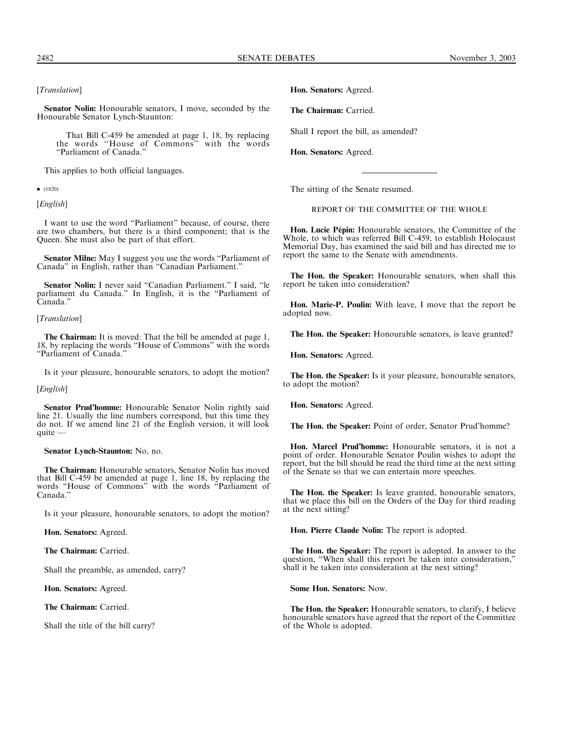Senator Nolin: Honourable senators, I move, seconded by the Honourable Senator Lynch-Staunton:

That Bill C-459 be amended at page 1, 18, by replacing the words ''House of Commons'' with the words ''Parliament of Canada.''

This applies to both official languages.

 $\bullet$  (1820)

[*English*]

I want to use the word ''Parliament'' because, of course, there are two chambers, but there is a third component; that is the Queen. She must also be part of that effort.

Senator Milne: May I suggest you use the words "Parliament of Canada'' in English, rather than ''Canadian Parliament.''

Senator Nolin: I never said "Canadian Parliament." I said, "le parliament du Canada.'' In English, it is the ''Parliament of Canada.''

[*Translation*]

The Chairman: It is moved: That the bill be amended at page 1, 18, by replacing the words "House of Commons" with the words ''Parliament of Canada.''

Is it your pleasure, honourable senators, to adopt the motion?

[English]

Senator Prud'homme: Honourable Senator Nolin rightly said line 21. Usually the line numbers correspond, but this time they do not. If we amend line 21 of the English version, it will look quite —

Senator Lynch-Staunton: No, no.

The Chairman: Honourable senators, Senator Nolin has moved that Bill C-459 be amended at page 1, line 18, by replacing the words ''House of Commons'' with the words ''Parliament of Canada.''

Is it your pleasure, honourable senators, to adopt the motion?

Hon. Senators: Agreed.

The Chairman: Carried.

Shall the preamble, as amended, carry?

Hon. Senators: Agreed.

The Chairman: Carried.

Shall the title of the bill carry?

Hon. Senators: Agreed.

The Chairman: Carried.

Shall I report the bill, as amended?

Hon. Senators: Agreed.

The sitting of the Senate resumed.

REPORT OF THE COMMITTEE OF THE WHOLE

Hon. Lucie P**é**pin: Honourable senators, the Committee of the Whole, to which was referred Bill C-459, to establish Holocaust Memorial Day, has examined the said bill and has directed me to report the same to the Senate with amendments.

The Hon. the Speaker: Honourable senators, when shall this report be taken into consideration?

Hon. Marie-P. Poulin: With leave, I move that the report be adopted now.

The Hon. the Speaker: Honourable senators, is leave granted?

Hon. Senators: Agreed.

The Hon. the Speaker: Is it your pleasure, honourable senators, to adopt the motion?

Hon. Senators: Agreed.

The Hon. the Speaker: Point of order, Senator Prud'homme?

Hon. Marcel Prud'homme: Honourable senators, it is not a point of order. Honourable Senator Poulin wishes to adopt the report, but the bill should be read the third time at the next sitting of the Senate so that we can entertain more speeches.

The Hon. the Speaker: Is leave granted, honourable senators, that we place this bill on the Orders of the Day for third reading at the next sitting?

Hon. Pierre Claude Nolin: The report is adopted.

The Hon. the Speaker: The report is adopted. In answer to the question, ''When shall this report be taken into consideration,'' shall it be taken into consideration at the next sitting?

Some Hon. Senators: Now.

The Hon. the Speaker: Honourable senators, to clarify, I believe honourable senators have agreed that the report of the Committee of the Whole is adopted.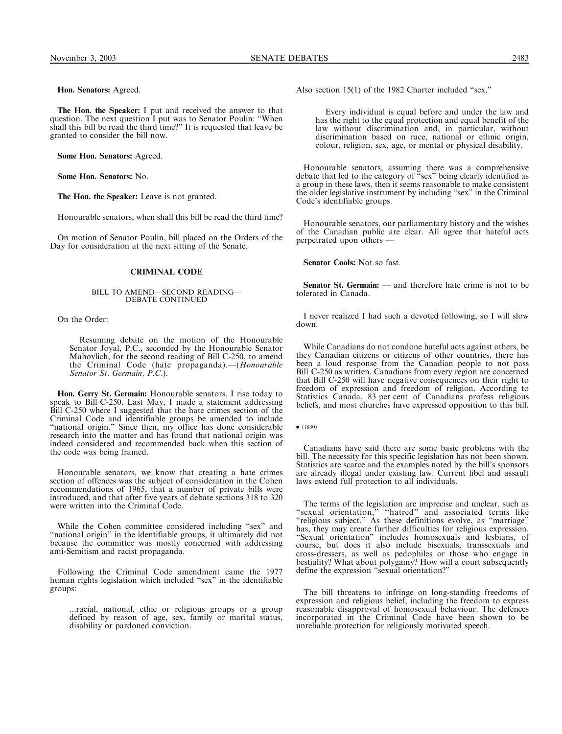Hon. Senators: Agreed.

The Hon. the Speaker: I put and received the answer to that question. The next question I put was to Senator Poulin: ''When shall this bill be read the third time?'' It is requested that leave be granted to consider the bill now.

Some Hon. Senators: Agreed.

Some Hon. Senators: No.

The Hon. the Speaker: Leave is not granted.

Honourable senators, when shall this bill be read the third time?

On motion of Senator Poulin, bill placed on the Orders of the Day for consideration at the next sitting of the Senate.

## CRIMINAL CODE

# BILL TO AMEND—SECOND READING— DEBATE CONTINUED

On the Order:

Resuming debate on the motion of the Honourable Senator Joyal, P.C., seconded by the Honourable Senator Mahovlich, for the second reading of Bill C-250, to amend the Criminal Code (hate propaganda).-(Honourable Senator St. Germain, P.C.).

Hon. Gerry St. Germain: Honourable senators, I rise today to speak to Bill C-250. Last May, I made a statement addressing Bill C-250 where I suggested that the hate crimes section of the Criminal Code and identifiable groups be amended to include "national origin." Since then, my office has done considerable research into the matter and has found that national origin was indeed considered and recommended back when this section of the code was being framed.

Honourable senators, we know that creating a hate crimes section of offences was the subject of consideration in the Cohen recommendations of 1965, that a number of private bills were introduced, and that after five years of debate sections 318 to 320 were written into the Criminal Code.

While the Cohen committee considered including "sex" and "national origin" in the identifiable groups, it ultimately did not because the committee was mostly concerned with addressing anti-Semitism and racist propaganda.

Following the Criminal Code amendment came the 1977 human rights legislation which included ''sex'' in the identifiable groups:

...racial, national, ethic or religious groups or a group defined by reason of age, sex, family or marital status, disability or pardoned conviction.

Also section 15(1) of the 1982 Charter included ''sex.''

Every individual is equal before and under the law and has the right to the equal protection and equal benefit of the law without discrimination and, in particular, without discrimination based on race, national or ethnic origin, colour, religion, sex, age, or mental or physical disability.

Honourable senators, assuming there was a comprehensive debate that led to the category of "sex" being clearly identified as a group in these laws, then it seems reasonable to make consistent the older legislative instrument by including ''sex'' in the Criminal Code's identifiable groups.

Honourable senators, our parliamentary history and the wishes of the Canadian public are clear. All agree that hateful acts perpetrated upon others —

Senator Cools: Not so fast.

Senator St. Germain: — and therefore hate crime is not to be tolerated in Canada.

I never realized I had such a devoted following, so I will slow down.

While Canadians do not condone hateful acts against others, be they Canadian citizens or citizens of other countries, there has been a loud response from the Canadian people to not pass Bill C-250 as written. Canadians from every region are concerned that Bill C-250 will have negative consequences on their right to freedom of expression and freedom of religion. According to Statistics Canada, 83 per cent of Canadians profess religious beliefs, and most churches have expressed opposition to this bill.

 $\bullet$  (1830)

Canadians have said there are some basic problems with the bill. The necessity for this specific legislation has not been shown. Statistics are scarce and the examples noted by the bill's sponsors are already illegal under existing law. Current libel and assault laws extend full protection to all individuals.

The terms of the legislation are imprecise and unclear, such as ''sexual orientation,'' ''hatred'' and associated terms like ''religious subject.'' As these definitions evolve, as ''marriage'' has, they may create further difficulties for religious expression. ''Sexual orientation'' includes homosexuals and lesbians, of course, but does it also include bisexuals, transsexuals and cross-dressers, as well as pedophiles or those who engage in bestiality? What about polygamy? How will a court subsequently define the expression ''sexual orientation?''

The bill threatens to infringe on long-standing freedoms of expression and religious belief, including the freedom to express reasonable disapproval of homosexual behaviour. The defences incorporated in the Criminal Code have been shown to be unreliable protection for religiously motivated speech.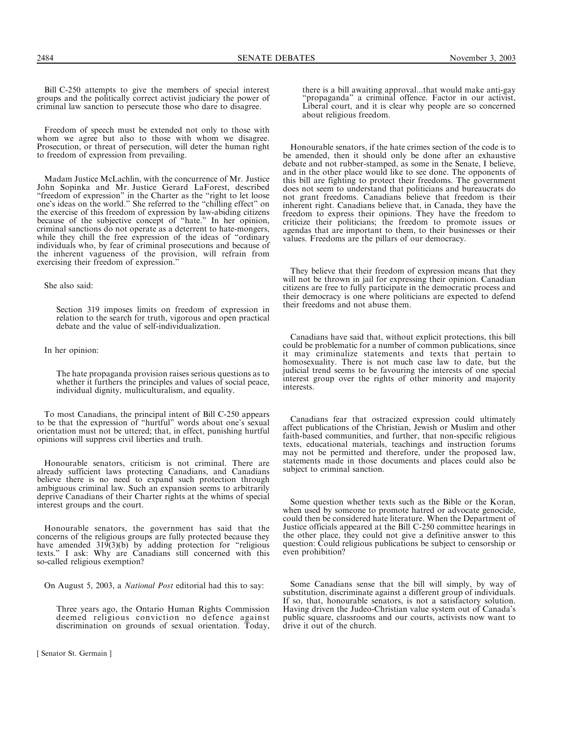Freedom of speech must be extended not only to those with whom we agree but also to those with whom we disagree. Prosecution, or threat of persecution, will deter the human right to freedom of expression from prevailing.

Madam Justice McLachlin, with the concurrence of Mr. Justice John Sopinka and Mr. Justice Gerard LaForest, described ''freedom of expression'' in the Charter as the ''right to let loose one's ideas on the world.'' She referred to the ''chilling effect'' on the exercise of this freedom of expression by law-abiding citizens because of the subjective concept of ''hate.'' In her opinion, criminal sanctions do not operate as a deterrent to hate-mongers, while they chill the free expression of the ideas of "ordinary" individuals who, by fear of criminal prosecutions and because of the inherent vagueness of the provision, will refrain from exercising their freedom of expression.''

#### She also said:

Section 319 imposes limits on freedom of expression in relation to the search for truth, vigorous and open practical debate and the value of self-individualization.

In her opinion:

The hate propaganda provision raises serious questions as to whether it furthers the principles and values of social peace, individual dignity, multiculturalism, and equality.

To most Canadians, the principal intent of Bill C-250 appears to be that the expression of ''hurtful'' words about one's sexual orientation must not be uttered; that, in effect, punishing hurtful opinions will suppress civil liberties and truth.

Honourable senators, criticism is not criminal. There are already sufficient laws protecting Canadians, and Canadians believe there is no need to expand such protection through ambiguous criminal law. Such an expansion seems to arbitrarily deprive Canadians of their Charter rights at the whims of special interest groups and the court.

Honourable senators, the government has said that the concerns of the religious groups are fully protected because they have amended  $319(3)(b)$  by adding protection for "religious texts.'' I ask: Why are Canadians still concerned with this so-called religious exemption?

On August 5, 2003, a National Post editorial had this to say:

Three years ago, the Ontario Human Rights Commission deemed religious conviction no defence against discrimination on grounds of sexual orientation. Today,

there is a bill awaiting approval...that would make anti-gay ''propaganda'' a criminal offence. Factor in our activist, Liberal court, and it is clear why people are so concerned about religious freedom.

Honourable senators, if the hate crimes section of the code is to be amended, then it should only be done after an exhaustive debate and not rubber-stamped, as some in the Senate, I believe, and in the other place would like to see done. The opponents of this bill are fighting to protect their freedoms. The government does not seem to understand that politicians and bureaucrats do not grant freedoms. Canadians believe that freedom is their inherent right. Canadians believe that, in Canada, they have the freedom to express their opinions. They have the freedom to criticize their politicians; the freedom to promote issues or agendas that are important to them, to their businesses or their values. Freedoms are the pillars of our democracy.

They believe that their freedom of expression means that they will not be thrown in jail for expressing their opinion. Canadian citizens are free to fully participate in the democratic process and their democracy is one where politicians are expected to defend their freedoms and not abuse them.

Canadians have said that, without explicit protections, this bill could be problematic for a number of common publications, since it may criminalize statements and texts that pertain to homosexuality. There is not much case law to date, but the judicial trend seems to be favouring the interests of one special interest group over the rights of other minority and majority interests.

Canadians fear that ostracized expression could ultimately affect publications of the Christian, Jewish or Muslim and other faith-based communities, and further, that non-specific religious texts, educational materials, teachings and instruction forums may not be permitted and therefore, under the proposed law, statements made in those documents and places could also be subject to criminal sanction.

Some question whether texts such as the Bible or the Koran, when used by someone to promote hatred or advocate genocide, could then be considered hate literature. When the Department of Justice officials appeared at the Bill C-250 committee hearings in the other place, they could not give a definitive answer to this question: Could religious publications be subject to censorship or even prohibition?

Some Canadians sense that the bill will simply, by way of substitution, discriminate against a different group of individuals. If so, that, honourable senators, is not a satisfactory solution. Having driven the Judeo-Christian value system out of Canada's public square, classrooms and our courts, activists now want to drive it out of the church.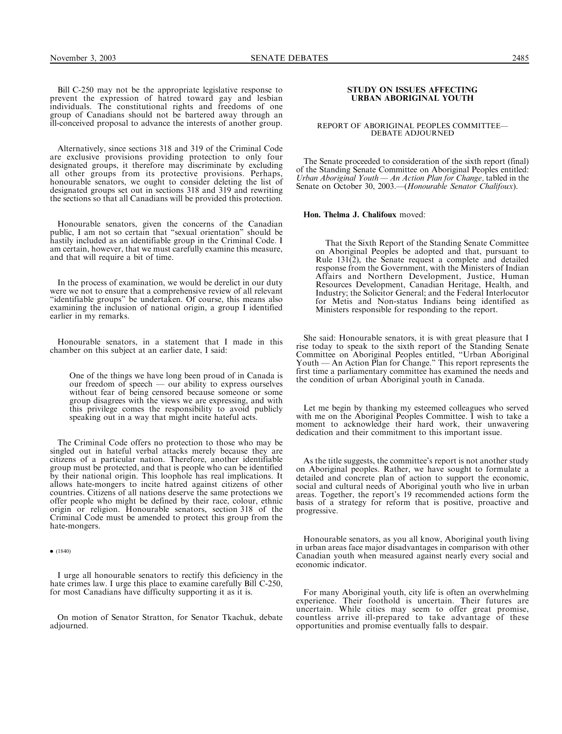Bill C-250 may not be the appropriate legislative response to prevent the expression of hatred toward gay and lesbian individuals. The constitutional rights and freedoms of one group of Canadians should not be bartered away through an ill-conceived proposal to advance the interests of another group.

Alternatively, since sections 318 and 319 of the Criminal Code are exclusive provisions providing protection to only four designated groups, it therefore may discriminate by excluding all other groups from its protective provisions. Perhaps, honourable senators, we ought to consider deleting the list of designated groups set out in sections 318 and 319 and rewriting the sections so that all Canadians will be provided this protection.

Honourable senators, given the concerns of the Canadian public, I am not so certain that ''sexual orientation'' should be hastily included as an identifiable group in the Criminal Code. I am certain, however, that we must carefully examine this measure, and that will require a bit of time.

In the process of examination, we would be derelict in our duty were we not to ensure that a comprehensive review of all relevant ''identifiable groups'' be undertaken. Of course, this means also examining the inclusion of national origin, a group I identified earlier in my remarks.

Honourable senators, in a statement that I made in this chamber on this subject at an earlier date, I said:

One of the things we have long been proud of in Canada is our freedom of speech — our ability to express ourselves without fear of being censored because someone or some group disagrees with the views we are expressing, and with this privilege comes the responsibility to avoid publicly speaking out in a way that might incite hateful acts.

The Criminal Code offers no protection to those who may be singled out in hateful verbal attacks merely because they are citizens of a particular nation. Therefore, another identifiable group must be protected, and that is people who can be identified by their national origin. This loophole has real implications. It allows hate-mongers to incite hatred against citizens of other countries. Citizens of all nations deserve the same protections we offer people who might be defined by their race, colour, ethnic origin or religion. Honourable senators, section 318 of the Criminal Code must be amended to protect this group from the hate-mongers.

 $\bullet$  (1840)

I urge all honourable senators to rectify this deficiency in the hate crimes law. I urge this place to examine carefully Bill C-250, for most Canadians have difficulty supporting it as it is.

On motion of Senator Stratton, for Senator Tkachuk, debate adjourned.

### STUDY ON ISSUES AFFECTING URBAN ABORIGINAL YOUTH

### REPORT OF ABORIGINAL PEOPLES COMMITTEE— DEBATE ADJOURNED

The Senate proceeded to consideration of the sixth report (final) of the Standing Senate Committee on Aboriginal Peoples entitled: Urban Aboriginal Youth *—* An Action Plan for Change, tabled in the Senate on October 30, 2003.—(Honourable Senator Chalifoux).

Hon. Thelma J. Chalifoux moved:

That the Sixth Report of the Standing Senate Committee on Aboriginal Peoples be adopted and that, pursuant to Rule 131(2), the Senate request a complete and detailed response from the Government, with the Ministers of Indian Affairs and Northern Development, Justice, Human Resources Development, Canadian Heritage, Health, and Industry; the Solicitor General; and the Federal Interlocutor for Metis and Non-status Indians being identified as Ministers responsible for responding to the report.

She said: Honourable senators, it is with great pleasure that I rise today to speak to the sixth report of the Standing Senate Committee on Aboriginal Peoples entitled, ''Urban Aboriginal Youth — An Action Plan for Change.'' This report represents the first time a parliamentary committee has examined the needs and the condition of urban Aboriginal youth in Canada.

Let me begin by thanking my esteemed colleagues who served with me on the Aboriginal Peoples Committee. I wish to take a moment to acknowledge their hard work, their unwavering dedication and their commitment to this important issue.

As the title suggests, the committee's report is not another study on Aboriginal peoples. Rather, we have sought to formulate a detailed and concrete plan of action to support the economic, social and cultural needs of Aboriginal youth who live in urban areas. Together, the report's 19 recommended actions form the basis of a strategy for reform that is positive, proactive and progressive.

Honourable senators, as you all know, Aboriginal youth living in urban areas face major disadvantages in comparison with other Canadian youth when measured against nearly every social and economic indicator.

For many Aboriginal youth, city life is often an overwhelming experience. Their foothold is uncertain. Their futures are uncertain. While cities may seem to offer great promise, countless arrive ill-prepared to take advantage of these opportunities and promise eventually falls to despair.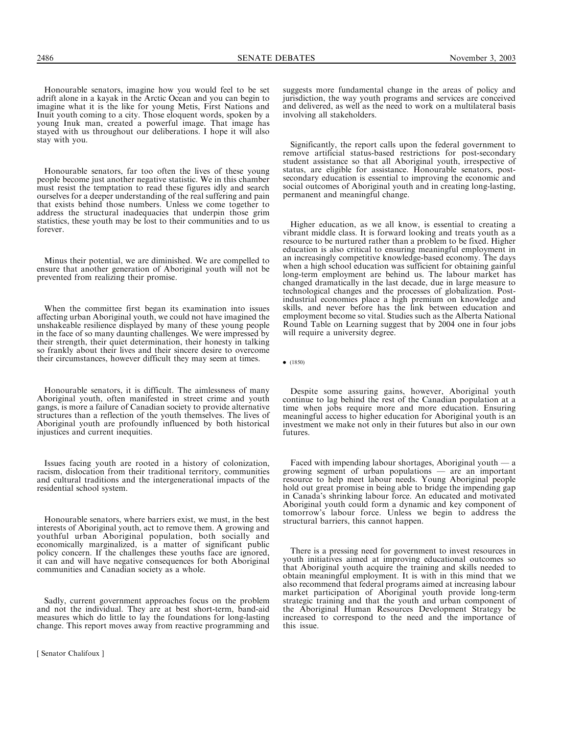Honourable senators, far too often the lives of these young people become just another negative statistic. We in this chamber must resist the temptation to read these figures idly and search ourselves for a deeper understanding of the real suffering and pain that exists behind those numbers. Unless we come together to address the structural inadequacies that underpin those grim statistics, these youth may be lost to their communities and to us forever.

Minus their potential, we are diminished. We are compelled to ensure that another generation of Aboriginal youth will not be prevented from realizing their promise.

When the committee first began its examination into issues affecting urban Aboriginal youth, we could not have imagined the unshakeable resilience displayed by many of these young people in the face of so many daunting challenges. We were impressed by their strength, their quiet determination, their honesty in talking so frankly about their lives and their sincere desire to overcome their circumstances, however difficult they may seem at times.

Honourable senators, it is difficult. The aimlessness of many Aboriginal youth, often manifested in street crime and youth gangs, is more a failure of Canadian society to provide alternative structures than a reflection of the youth themselves. The lives of Aboriginal youth are profoundly influenced by both historical injustices and current inequities.

Issues facing youth are rooted in a history of colonization, racism, dislocation from their traditional territory, communities and cultural traditions and the intergenerational impacts of the residential school system.

Honourable senators, where barriers exist, we must, in the best interests of Aboriginal youth, act to remove them. A growing and youthful urban Aboriginal population, both socially and economically marginalized, is a matter of significant public policy concern. If the challenges these youths face are ignored, it can and will have negative consequences for both Aboriginal communities and Canadian society as a whole.

Sadly, current government approaches focus on the problem and not the individual. They are at best short-term, band-aid measures which do little to lay the foundations for long-lasting change. This report moves away from reactive programming and

suggests more fundamental change in the areas of policy and jurisdiction, the way youth programs and services are conceived and delivered, as well as the need to work on a multilateral basis involving all stakeholders.

Significantly, the report calls upon the federal government to remove artificial status-based restrictions for post-secondary student assistance so that all Aboriginal youth, irrespective of status, are eligible for assistance. Honourable senators, postsecondary education is essential to improving the economic and social outcomes of Aboriginal youth and in creating long-lasting, permanent and meaningful change.

Higher education, as we all know, is essential to creating a vibrant middle class. It is forward looking and treats youth as a resource to be nurtured rather than a problem to be fixed. Higher education is also critical to ensuring meaningful employment in an increasingly competitive knowledge-based economy. The days when a high school education was sufficient for obtaining gainful long-term employment are behind us. The labour market has changed dramatically in the last decade, due in large measure to technological changes and the processes of globalization. Postindustrial economies place a high premium on knowledge and skills, and never before has the link between education and employment become so vital. Studies such as the Alberta National Round Table on Learning suggest that by 2004 one in four jobs will require a university degree.

 $\bullet$  (1850)

Despite some assuring gains, however, Aboriginal youth continue to lag behind the rest of the Canadian population at a time when jobs require more and more education. Ensuring meaningful access to higher education for Aboriginal youth is an investment we make not only in their futures but also in our own futures.

Faced with impending labour shortages, Aboriginal youth — a growing segment of urban populations — are an important resource to help meet labour needs. Young Aboriginal people hold out great promise in being able to bridge the impending gap in Canada's shrinking labour force. An educated and motivated Aboriginal youth could form a dynamic and key component of tomorrow's labour force. Unless we begin to address the structural barriers, this cannot happen.

There is a pressing need for government to invest resources in youth initiatives aimed at improving educational outcomes so that Aboriginal youth acquire the training and skills needed to obtain meaningful employment. It is with in this mind that we also recommend that federal programs aimed at increasing labour market participation of Aboriginal youth provide long-term strategic training and that the youth and urban component of the Aboriginal Human Resources Development Strategy be increased to correspond to the need and the importance of this issue.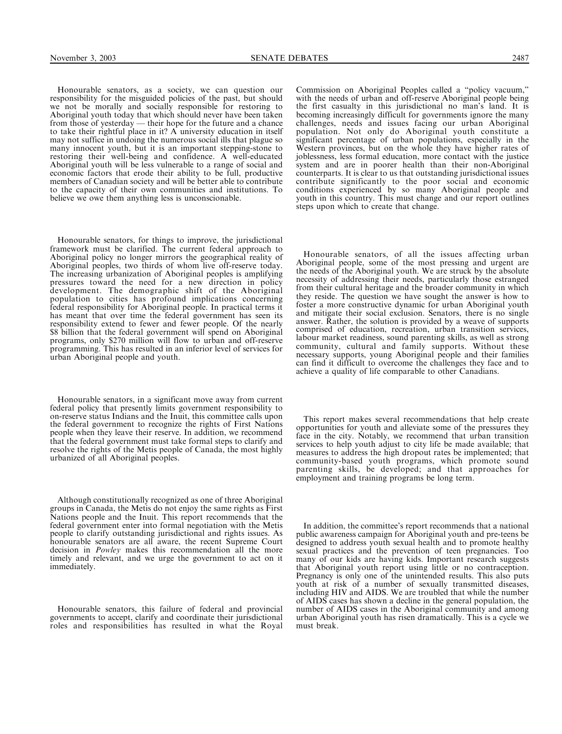Honourable senators, as a society, we can question our responsibility for the misguided policies of the past, but should we not be morally and socially responsible for restoring to Aboriginal youth today that which should never have been taken from those of yesterday — their hope for the future and a chance to take their rightful place in it? A university education in itself may not suffice in undoing the numerous social ills that plague so many innocent youth, but it is an important stepping-stone to restoring their well-being and confidence. A well-educated Aboriginal youth will be less vulnerable to a range of social and economic factors that erode their ability to be full, productive members of Canadian society and will be better able to contribute to the capacity of their own communities and institutions. To believe we owe them anything less is unconscionable.

Honourable senators, for things to improve, the jurisdictional framework must be clarified. The current federal approach to Aboriginal policy no longer mirrors the geographical reality of Aboriginal peoples, two thirds of whom live off-reserve today. The increasing urbanization of Aboriginal peoples is amplifying pressures toward the need for a new direction in policy development. The demographic shift of the Aboriginal population to cities has profound implications concerning federal responsibility for Aboriginal people. In practical terms it has meant that over time the federal government has seen its responsibility extend to fewer and fewer people. Of the nearly \$8 billion that the federal government will spend on Aboriginal programs, only \$270 million will flow to urban and off-reserve programming. This has resulted in an inferior level of services for urban Aboriginal people and youth.

Honourable senators, in a significant move away from current federal policy that presently limits government responsibility to on-reserve status Indians and the Inuit, this committee calls upon the federal government to recognize the rights of First Nations people when they leave their reserve. In addition, we recommend that the federal government must take formal steps to clarify and resolve the rights of the Metis people of Canada, the most highly urbanized of all Aboriginal peoples.

Although constitutionally recognized as one of three Aboriginal groups in Canada, the Metis do not enjoy the same rights as First Nations people and the Inuit. This report recommends that the federal government enter into formal negotiation with the Metis people to clarify outstanding jurisdictional and rights issues. As honourable senators are all aware, the recent Supreme Court decision in *Powley* makes this recommendation all the more timely and relevant, and we urge the government to act on it immediately.

Honourable senators, this failure of federal and provincial governments to accept, clarify and coordinate their jurisdictional roles and responsibilities has resulted in what the Royal

Commission on Aboriginal Peoples called a ''policy vacuum,'' with the needs of urban and off-reserve Aboriginal people being the first casualty in this jurisdictional no man's land. It is becoming increasingly difficult for governments ignore the many challenges, needs and issues facing our urban Aboriginal population. Not only do Aboriginal youth constitute a significant percentage of urban populations, especially in the Western provinces, but on the whole they have higher rates of joblessness, less formal education, more contact with the justice system and are in poorer health than their non-Aboriginal counterparts. It is clear to us that outstanding jurisdictional issues contribute significantly to the poor social and economic conditions experienced by so many Aboriginal people and youth in this country. This must change and our report outlines steps upon which to create that change.

Honourable senators, of all the issues affecting urban Aboriginal people, some of the most pressing and urgent are the needs of the Aboriginal youth. We are struck by the absolute necessity of addressing their needs, particularly those estranged from their cultural heritage and the broader community in which they reside. The question we have sought the answer is how to foster a more constructive dynamic for urban Aboriginal youth and mitigate their social exclusion. Senators, there is no single answer. Rather, the solution is provided by a weave of supports comprised of education, recreation, urban transition services, labour market readiness, sound parenting skills, as well as strong community, cultural and family supports. Without these necessary supports, young Aboriginal people and their families can find it difficult to overcome the challenges they face and to achieve a quality of life comparable to other Canadians.

This report makes several recommendations that help create opportunities for youth and alleviate some of the pressures they face in the city. Notably, we recommend that urban transition services to help youth adjust to city life be made available; that measures to address the high dropout rates be implemented; that community-based youth programs, which promote sound parenting skills, be developed; and that approaches for employment and training programs be long term.

In addition, the committee's report recommends that a national public awareness campaign for Aboriginal youth and pre-teens be designed to address youth sexual health and to promote healthy sexual practices and the prevention of teen pregnancies. Too many of our kids are having kids. Important research suggests that Aboriginal youth report using little or no contraception. Pregnancy is only one of the unintended results. This also puts youth at risk of a number of sexually transmitted diseases, including HIV and AIDS. We are troubled that while the number of AIDS cases has shown a decline in the general population, the number of AIDS cases in the Aboriginal community and among urban Aboriginal youth has risen dramatically. This is a cycle we must break.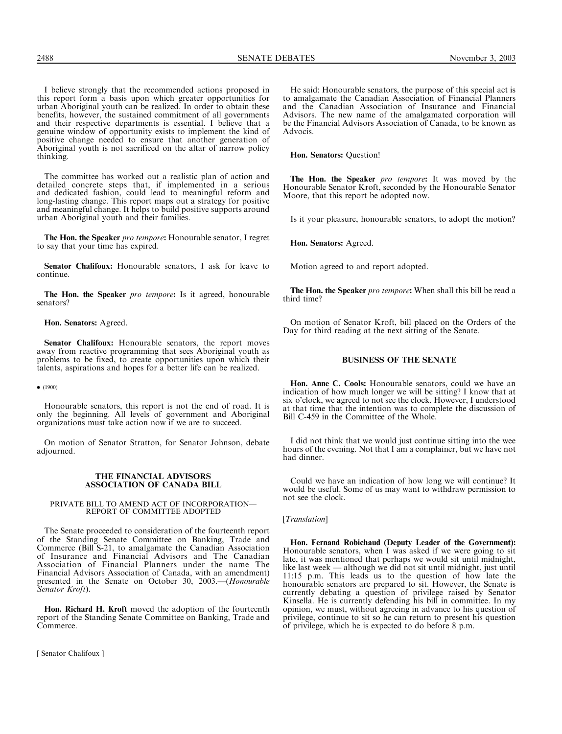I believe strongly that the recommended actions proposed in this report form a basis upon which greater opportunities for urban Aboriginal youth can be realized. In order to obtain these benefits, however, the sustained commitment of all governments and their respective departments is essential. I believe that a genuine window of opportunity exists to implement the kind of positive change needed to ensure that another generation of Aboriginal youth is not sacrificed on the altar of narrow policy thinking.

The committee has worked out a realistic plan of action and detailed concrete steps that, if implemented in a serious and dedicated fashion, could lead to meaningful reform and long-lasting change. This report maps out a strategy for positive and meaningful change. It helps to build positive supports around urban Aboriginal youth and their families.

The Hon. the Speaker pro tempore: Honourable senator, I regret to say that your time has expired.

Senator Chalifoux: Honourable senators, I ask for leave to continue.

The Hon. the Speaker pro tempore: Is it agreed, honourable senators?

Hon. Senators: Agreed.

Senator Chalifoux: Honourable senators, the report moves away from reactive programming that sees Aboriginal youth as problems to be fixed, to create opportunities upon which their talents, aspirations and hopes for a better life can be realized.

 $\bullet$  (1900)

Honourable senators, this report is not the end of road. It is only the beginning. All levels of government and Aboriginal organizations must take action now if we are to succeed.

On motion of Senator Stratton, for Senator Johnson, debate adjourned.

### THE FINANCIAL ADVISORS ASSOCIATION OF CANADA BILL

### PRIVATE BILL TO AMEND ACT OF INCORPORATION— REPORT OF COMMITTEE ADOPTED

The Senate proceeded to consideration of the fourteenth report of the Standing Senate Committee on Banking, Trade and Commerce (Bill S-21, to amalgamate the Canadian Association of Insurance and Financial Advisors and The Canadian Association of Financial Planners under the name The Financial Advisors Association of Canada, with an amendment) presented in the Senate on October 30, 2003.—(Honourable Senator Kroft).

Hon. Richard H. Kroft moved the adoption of the fourteenth report of the Standing Senate Committee on Banking, Trade and Commerce.

[ Senator Chalifoux ]

He said: Honourable senators, the purpose of this special act is to amalgamate the Canadian Association of Financial Planners and the Canadian Association of Insurance and Financial Advisors. The new name of the amalgamated corporation will be the Financial Advisors Association of Canada, to be known as Advocis.

Hon. Senators: Question!

The Hon. the Speaker pro tempore: It was moved by the Honourable Senator Kroft, seconded by the Honourable Senator Moore, that this report be adopted now.

Is it your pleasure, honourable senators, to adopt the motion?

Hon. Senators: Agreed.

Motion agreed to and report adopted.

The Hon. the Speaker pro tempore: When shall this bill be read a third time?

On motion of Senator Kroft, bill placed on the Orders of the Day for third reading at the next sitting of the Senate.

### BUSINESS OF THE SENATE

Hon. Anne C. Cools: Honourable senators, could we have an indication of how much longer we will be sitting? I know that at six o'clock, we agreed to not see the clock. However, I understood at that time that the intention was to complete the discussion of Bill C-459 in the Committee of the Whole.

I did not think that we would just continue sitting into the wee hours of the evening. Not that I am a complainer, but we have not had dinner.

Could we have an indication of how long we will continue? It would be useful. Some of us may want to withdraw permission to not see the clock.

### [*Translation*]

Hon. Fernand Robichaud (Deputy Leader of the Government): Honourable senators, when I was asked if we were going to sit late, it was mentioned that perhaps we would sit until midnight, like last week — although we did not sit until midnight, just until 11:15 p.m. This leads us to the question of how late the honourable senators are prepared to sit. However, the Senate is currently debating a question of privilege raised by Senator Kinsella. He is currently defending his bill in committee. In my opinion, we must, without agreeing in advance to his question of privilege, continue to sit so he can return to present his question of privilege, which he is expected to do before 8 p.m.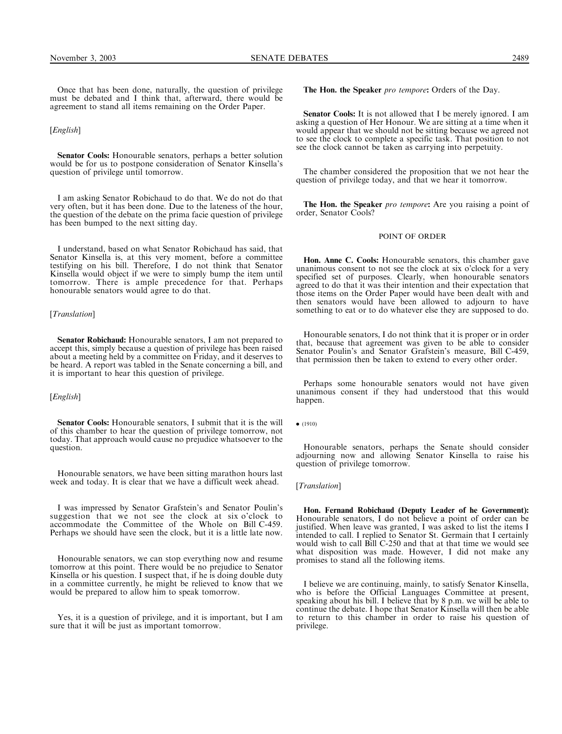### [English]

Senator Cools: Honourable senators, perhaps a better solution would be for us to postpone consideration of Senator Kinsella's question of privilege until tomorrow.

I am asking Senator Robichaud to do that. We do not do that very often, but it has been done. Due to the lateness of the hour, the question of the debate on the prima facie question of privilege has been bumped to the next sitting day.

I understand, based on what Senator Robichaud has said, that Senator Kinsella is, at this very moment, before a committee testifying on his bill. Therefore, I do not think that Senator Kinsella would object if we were to simply bump the item until tomorrow. There is ample precedence for that. Perhaps honourable senators would agree to do that.

### [Translation]

Senator Robichaud: Honourable senators, I am not prepared to accept this, simply because a question of privilege has been raised about a meeting held by a committee on Friday, and it deserves to be heard. A report was tabled in the Senate concerning a bill, and it is important to hear this question of privilege.

### [*English*]

Senator Cools: Honourable senators, I submit that it is the will of this chamber to hear the question of privilege tomorrow, not today. That approach would cause no prejudice whatsoever to the question.

Honourable senators, we have been sitting marathon hours last week and today. It is clear that we have a difficult week ahead.

I was impressed by Senator Grafstein's and Senator Poulin's suggestion that we not see the clock at six o'clock to accommodate the Committee of the Whole on Bill C-459. Perhaps we should have seen the clock, but it is a little late now.

Honourable senators, we can stop everything now and resume tomorrow at this point. There would be no prejudice to Senator Kinsella or his question. I suspect that, if he is doing double duty in a committee currently, he might be relieved to know that we would be prepared to allow him to speak tomorrow.

Yes, it is a question of privilege, and it is important, but I am sure that it will be just as important tomorrow.

The Hon. the Speaker pro tempore: Orders of the Day.

Senator Cools: It is not allowed that I be merely ignored. I am asking a question of Her Honour. We are sitting at a time when it would appear that we should not be sitting because we agreed not to see the clock to complete a specific task. That position to not see the clock cannot be taken as carrying into perpetuity.

The chamber considered the proposition that we not hear the question of privilege today, and that we hear it tomorrow.

**The Hon. the Speaker** pro tempore: Are you raising a point of order, Senator Cools?

### POINT OF ORDER

Hon. Anne C. Cools: Honourable senators, this chamber gave unanimous consent to not see the clock at six o'clock for a very specified set of purposes. Clearly, when honourable senators agreed to do that it was their intention and their expectation that those items on the Order Paper would have been dealt with and then senators would have been allowed to adjourn to have something to eat or to do whatever else they are supposed to do.

Honourable senators, I do not think that it is proper or in order that, because that agreement was given to be able to consider Senator Poulin's and Senator Grafstein's measure, Bill C-459, that permission then be taken to extend to every other order.

Perhaps some honourable senators would not have given unanimous consent if they had understood that this would happen.

 $\bullet$  (1910)

Honourable senators, perhaps the Senate should consider adjourning now and allowing Senator Kinsella to raise his question of privilege tomorrow.

### [*Translation*]

Hon. Fernand Robichaud (Deputy Leader of he Government): Honourable senators, I do not believe a point of order can be justified. When leave was granted, I was asked to list the items I intended to call. I replied to Senator St. Germain that I certainly would wish to call Bill C-250 and that at that time we would see what disposition was made. However, I did not make any promises to stand all the following items.

I believe we are continuing, mainly, to satisfy Senator Kinsella, who is before the Official Languages Committee at present, speaking about his bill. I believe that by 8 p.m. we will be able to continue the debate. I hope that Senator Kinsella will then be able to return to this chamber in order to raise his question of privilege.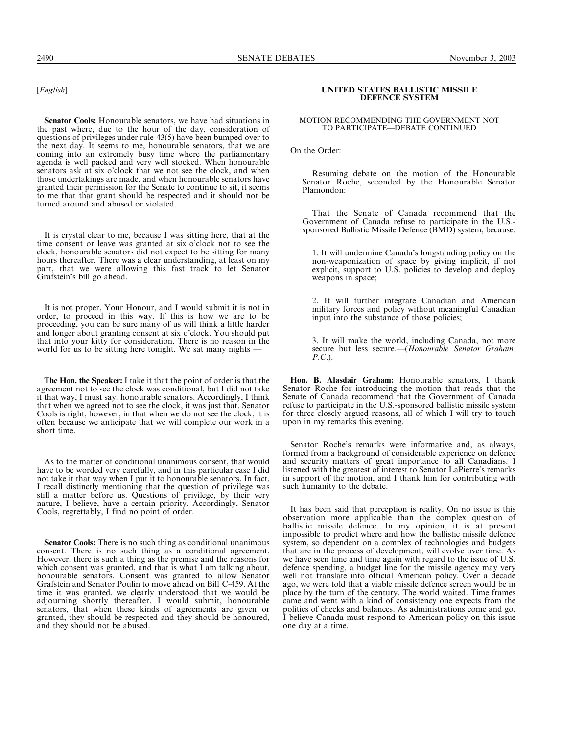### [English]

Senator Cools: Honourable senators, we have had situations in the past where, due to the hour of the day, consideration of questions of privileges under rule 43(5) have been bumped over to the next day. It seems to me, honourable senators, that we are coming into an extremely busy time where the parliamentary agenda is well packed and very well stocked. When honourable senators ask at six o'clock that we not see the clock, and when those undertakings are made, and when honourable senators have granted their permission for the Senate to continue to sit, it seems to me that that grant should be respected and it should not be turned around and abused or violated.

It is crystal clear to me, because I was sitting here, that at the time consent or leave was granted at six o'clock not to see the clock, honourable senators did not expect to be sitting for many hours thereafter. There was a clear understanding, at least on my part, that we were allowing this fast track to let Senator Grafstein's bill go ahead.

It is not proper, Your Honour, and I would submit it is not in order, to proceed in this way. If this is how we are to be proceeding, you can be sure many of us will think a little harder and longer about granting consent at six o'clock. You should put that into your kitty for consideration. There is no reason in the world for us to be sitting here tonight. We sat many nights -

The Hon. the Speaker: I take it that the point of order is that the agreement not to see the clock was conditional, but I did not take it that way, I must say, honourable senators. Accordingly, I think that when we agreed not to see the clock, it was just that. Senator Cools is right, however, in that when we do not see the clock, it is often because we anticipate that we will complete our work in a short time.

As to the matter of conditional unanimous consent, that would have to be worded very carefully, and in this particular case I did not take it that way when I put it to honourable senators. In fact, I recall distinctly mentioning that the question of privilege was still a matter before us. Questions of privilege, by their very nature, I believe, have a certain priority. Accordingly, Senator Cools, regrettably, I find no point of order.

Senator Cools: There is no such thing as conditional unanimous consent. There is no such thing as a conditional agreement. However, there is such a thing as the premise and the reasons for which consent was granted, and that is what I am talking about, honourable senators. Consent was granted to allow Senator Grafstein and Senator Poulin to move ahead on Bill C-459. At the time it was granted, we clearly understood that we would be adjourning shortly thereafter. I would submit, honourable senators, that when these kinds of agreements are given or granted, they should be respected and they should be honoured, and they should not be abused.

### UNITED STATES BALLISTIC MISSILE DEFENCE SYSTEM

### MOTION RECOMMENDING THE GOVERNMENT NOT TO PARTICIPATE—DEBATE CONTINUED

On the Order:

Resuming debate on the motion of the Honourable Senator Roche, seconded by the Honourable Senator Plamondon:

That the Senate of Canada recommend that the Government of Canada refuse to participate in the U.S. sponsored Ballistic Missile Defence (BMD) system, because:

1. It will undermine Canada's longstanding policy on the non-weaponization of space by giving implicit, if not explicit, support to U.S. policies to develop and deploy weapons in space;

2. It will further integrate Canadian and American military forces and policy without meaningful Canadian input into the substance of those policies;

3. It will make the world, including Canada, not more secure but less secure.—(Honourable Senator Graham, P.C.).

Hon. B. Alasdair Graham: Honourable senators, I thank Senator Roche for introducing the motion that reads that the Senate of Canada recommend that the Government of Canada refuse to participate in the U.S.-sponsored ballistic missile system for three closely argued reasons, all of which I will try to touch upon in my remarks this evening.

Senator Roche's remarks were informative and, as always, formed from a background of considerable experience on defence and security matters of great importance to all Canadians. I listened with the greatest of interest to Senator LaPierre's remarks in support of the motion, and I thank him for contributing with such humanity to the debate.

It has been said that perception is reality. On no issue is this observation more applicable than the complex question of ballistic missile defence. In my opinion, it is at present impossible to predict where and how the ballistic missile defence system, so dependent on a complex of technologies and budgets that are in the process of development, will evolve over time. As we have seen time and time again with regard to the issue of U.S. defence spending, a budget line for the missile agency may very well not translate into official American policy. Over a decade ago, we were told that a viable missile defence screen would be in place by the turn of the century. The world waited. Time frames came and went with a kind of consistency one expects from the politics of checks and balances. As administrations come and go, I believe Canada must respond to American policy on this issue one day at a time.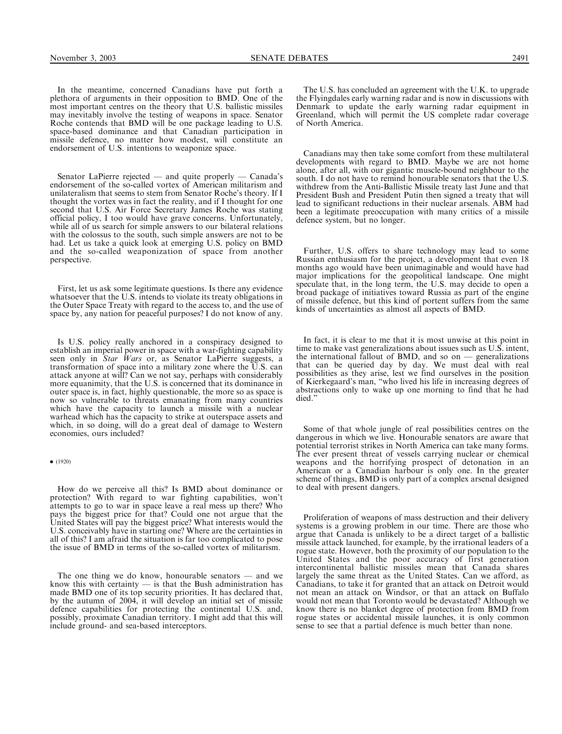In the meantime, concerned Canadians have put forth a plethora of arguments in their opposition to BMD. One of the most important centres on the theory that U.S. ballistic missiles may inevitably involve the testing of weapons in space. Senator Roche contends that BMD will be one package leading to U.S. space-based dominance and that Canadian participation in missile defence, no matter how modest, will constitute an endorsement of U.S. intentions to weaponize space.

Senator LaPierre rejected — and quite properly — Canada's endorsement of the so-called vortex of American militarism and unilateralism that seems to stem from Senator Roche's theory. If I thought the vortex was in fact the reality, and if I thought for one second that U.S. Air Force Secretary James Roche was stating official policy, I too would have grave concerns. Unfortunately, while all of us search for simple answers to our bilateral relations with the colossus to the south, such simple answers are not to be had. Let us take a quick look at emerging U.S. policy on BMD and the so-called weaponization of space from another perspective.

First, let us ask some legitimate questions. Is there any evidence whatsoever that the U.S. intends to violate its treaty obligations in the Outer Space Treaty with regard to the access to, and the use of space by, any nation for peaceful purposes? I do not know of any.

Is U.S. policy really anchored in a conspiracy designed to establish an imperial power in space with a war-fighting capability seen only in Star Wars or, as Senator LaPierre suggests, a transformation of space into a military zone where the U.S. can attack anyone at will? Can we not say, perhaps with considerably more equanimity, that the U.S. is concerned that its dominance in outer space is, in fact, highly questionable, the more so as space is now so vulnerable to threats emanating from many countries which have the capacity to launch a missile with a nuclear warhead which has the capacity to strike at outerspace assets and which, in so doing, will do a great deal of damage to Western economies, ours included?

How do we perceive all this? Is BMD about dominance or protection? With regard to war fighting capabilities, won't attempts to go to war in space leave a real mess up there? Who pays the biggest price for that? Could one not argue that the United States will pay the biggest price? What interests would the U.S. conceivably have in starting one? Where are the certainties in all of this? I am afraid the situation is far too complicated to pose the issue of BMD in terms of the so-called vortex of militarism.

The one thing we do know, honourable senators — and we know this with certainty  $-$  is that the Bush administration has made BMD one of its top security priorities. It has declared that, by the autumn of 2004, it will develop an initial set of missile defence capabilities for protecting the continental U.S. and, possibly, proximate Canadian territory. I might add that this will include ground- and sea-based interceptors.

The U.S. has concluded an agreement with the U.K. to upgrade the Flyingdales early warning radar and is now in discussions with Denmark to update the early warning radar equipment in Greenland, which will permit the US complete radar coverage of North America.

Canadians may then take some comfort from these multilateral developments with regard to BMD. Maybe we are not home alone, after all, with our gigantic muscle-bound neighbour to the south. I do not have to remind honourable senators that the U.S. withdrew from the Anti-Ballistic Missile treaty last June and that President Bush and President Putin then signed a treaty that will lead to significant reductions in their nuclear arsenals. ABM had been a legitimate preoccupation with many critics of a missile defence system, but no longer.

Further, U.S. offers to share technology may lead to some Russian enthusiasm for the project, a development that even 18 months ago would have been unimaginable and would have had major implications for the geopolitical landscape. One might speculate that, in the long term, the U.S. may decide to open a broad package of initiatives toward Russia as part of the engine of missile defence, but this kind of portent suffers from the same kinds of uncertainties as almost all aspects of BMD.

In fact, it is clear to me that it is most unwise at this point in time to make vast generalizations about issues such as U.S. intent, the international fallout of BMD, and so on  $-$  generalizations that can be queried day by day. We must deal with real possibilities as they arise, lest we find ourselves in the position of Kierkegaard's man, ''who lived his life in increasing degrees of abstractions only to wake up one morning to find that he had died.''

Some of that whole jungle of real possibilities centres on the dangerous in which we live. Honourable senators are aware that potential terrorist strikes in North America can take many forms. The ever present threat of vessels carrying nuclear or chemical weapons and the horrifying prospect of detonation in an American or a Canadian harbour is only one. In the greater scheme of things, BMD is only part of a complex arsenal designed to deal with present dangers.

Proliferation of weapons of mass destruction and their delivery systems is a growing problem in our time. There are those who argue that Canada is unlikely to be a direct target of a ballistic missile attack launched, for example, by the irrational leaders of a rogue state. However, both the proximity of our population to the United States and the poor accuracy of first generation intercontinental ballistic missiles mean that Canada shares largely the same threat as the United States. Can we afford, as Canadians, to take it for granted that an attack on Detroit would not mean an attack on Windsor, or that an attack on Buffalo would not mean that Toronto would be devastated? Although we know there is no blanket degree of protection from BMD from rogue states or accidental missile launches, it is only common sense to see that a partial defence is much better than none.

 $\bullet$  (1920)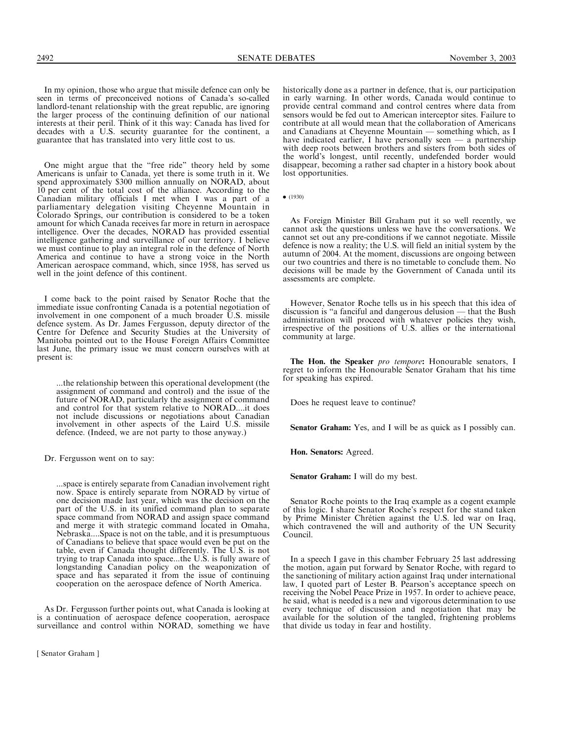One might argue that the "free ride" theory held by some Americans is unfair to Canada, yet there is some truth in it. We spend approximately \$300 million annually on NORAD, about 10 per cent of the total cost of the alliance. According to the Canadian military officials I met when I was a part of a parliamentary delegation visiting Cheyenne Mountain in Colorado Springs, our contribution is considered to be a token amount for which Canada receives far more in return in aerospace intelligence. Over the decades, NORAD has provided essential intelligence gathering and surveillance of our territory. I believe we must continue to play an integral role in the defence of North America and continue to have a strong voice in the North American aerospace command, which, since 1958, has served us well in the joint defence of this continent.

I come back to the point raised by Senator Roche that the immediate issue confronting Canada is a potential negotiation of involvement in one component of a much broader  $\overline{U}$ . S. missile defence system. As Dr. James Fergusson, deputy director of the Centre for Defence and Security Studies at the University of Manitoba pointed out to the House Foreign Affairs Committee last June, the primary issue we must concern ourselves with at present is:

...the relationship between this operational development (the assignment of command and control) and the issue of the future of NORAD, particularly the assignment of command and control for that system relative to NORAD....it does not include discussions or negotiations about Canadian involvement in other aspects of the Laird U.S. missile defence. (Indeed, we are not party to those anyway.)

Dr. Fergusson went on to say:

...space is entirely separate from Canadian involvement right now. Space is entirely separate from NORAD by virtue of one decision made last year, which was the decision on the part of the U.S. in its unified command plan to separate space command from NORAD and assign space command and merge it with strategic command located in Omaha, Nebraska....Space is not on the table, and it is presumptuous of Canadians to believe that space would even be put on the table, even if Canada thought differently. The U.S. is not trying to trap Canada into space...the U.S. is fully aware of longstanding Canadian policy on the weaponization of space and has separated it from the issue of continuing cooperation on the aerospace defence of North America.

As Dr. Fergusson further points out, what Canada is looking at is a continuation of aerospace defence cooperation, aerospace surveillance and control within NORAD, something we have

[ Senator Graham ]

historically done as a partner in defence, that is, our participation in early warning. In other words, Canada would continue to provide central command and control centres where data from sensors would be fed out to American interceptor sites. Failure to contribute at all would mean that the collaboration of Americans and Canadians at Cheyenne Mountain — something which, as I have indicated earlier, I have personally seen  $-$  a partnership with deep roots between brothers and sisters from both sides of the world's longest, until recently, undefended border would disappear, becoming a rather sad chapter in a history book about lost opportunities.

 $\bullet$  (1930)

As Foreign Minister Bill Graham put it so well recently, we cannot ask the questions unless we have the conversations. We cannot set out any pre-conditions if we cannot negotiate. Missile defence is now a reality; the U.S. will field an initial system by the autumn of 2004. At the moment, discussions are ongoing between our two countries and there is no timetable to conclude them. No decisions will be made by the Government of Canada until its assessments are complete.

However, Senator Roche tells us in his speech that this idea of discussion is ''a fanciful and dangerous delusion — that the Bush administration will proceed with whatever policies they wish, irrespective of the positions of U.S. allies or the international community at large.

The Hon. the Speaker pro tempore: Honourable senators, I regret to inform the Honourable Senator Graham that his time for speaking has expired.

Does he request leave to continue?

Senator Graham: Yes, and I will be as quick as I possibly can.

Hon. Senators: Agreed.

Senator Graham: I will do my best.

Senator Roche points to the Iraq example as a cogent example of this logic. I share Senator Roche's respect for the stand taken by Prime Minister Chrétien against the U.S. led war on Iraq, which contravened the will and authority of the UN Security Council.

In a speech I gave in this chamber February 25 last addressing the motion, again put forward by Senator Roche, with regard to the sanctioning of military action against Iraq under international law, I quoted part of Lester B. Pearson's acceptance speech on receiving the Nobel Peace Prize in 1957. In order to achieve peace, he said, what is needed is a new and vigorous determination to use every technique of discussion and negotiation that may be available for the solution of the tangled, frightening problems that divide us today in fear and hostility.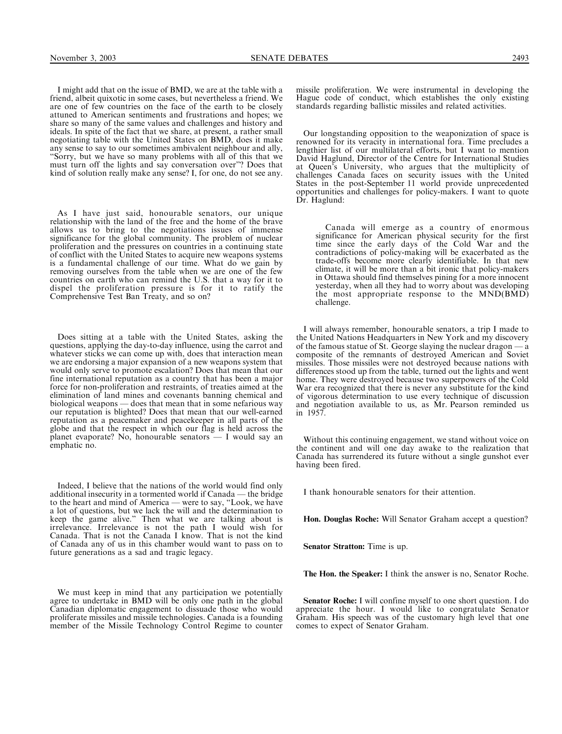I might add that on the issue of BMD, we are at the table with a friend, albeit quixotic in some cases, but nevertheless a friend. We are one of few countries on the face of the earth to be closely attuned to American sentiments and frustrations and hopes; we share so many of the same values and challenges and history and ideals. In spite of the fact that we share, at present, a rather small negotiating table with the United States on BMD, does it make any sense to say to our sometimes ambivalent neighbour and ally, ''Sorry, but we have so many problems with all of this that we must turn off the lights and say conversation over''? Does that kind of solution really make any sense? I, for one, do not see any.

As I have just said, honourable senators, our unique relationship with the land of the free and the home of the brave allows us to bring to the negotiations issues of immense significance for the global community. The problem of nuclear proliferation and the pressures on countries in a continuing state of conflict with the United States to acquire new weapons systems is a fundamental challenge of our time. What do we gain by removing ourselves from the table when we are one of the few countries on earth who can remind the U.S. that a way for it to dispel the proliferation pressure is for it to ratify the Comprehensive Test Ban Treaty, and so on?

Does sitting at a table with the United States, asking the questions, applying the day-to-day influence, using the carrot and whatever sticks we can come up with, does that interaction mean we are endorsing a major expansion of a new weapons system that would only serve to promote escalation? Does that mean that our fine international reputation as a country that has been a major force for non-proliferation and restraints, of treaties aimed at the elimination of land mines and covenants banning chemical and biological weapons — does that mean that in some nefarious way our reputation is blighted? Does that mean that our well-earned reputation as a peacemaker and peacekeeper in all parts of the globe and that the respect in which our flag is held across the planet evaporate? No, honourable senators — I would say an emphatic no.

Indeed, I believe that the nations of the world would find only additional insecurity in a tormented world if Canada — the bridge to the heart and mind of America — were to say, ''Look, we have a lot of questions, but we lack the will and the determination to keep the game alive.'' Then what we are talking about is irrelevance. Irrelevance is not the path I would wish for Canada. That is not the Canada I know. That is not the kind of Canada any of us in this chamber would want to pass on to future generations as a sad and tragic legacy.

We must keep in mind that any participation we potentially agree to undertake in BMD will be only one path in the global Canadian diplomatic engagement to dissuade those who would proliferate missiles and missile technologies. Canada is a founding member of the Missile Technology Control Regime to counter

missile proliferation. We were instrumental in developing the Hague code of conduct, which establishes the only existing standards regarding ballistic missiles and related activities.

Our longstanding opposition to the weaponization of space is renowned for its veracity in international fora. Time precludes a lengthier list of our multilateral efforts, but I want to mention David Haglund, Director of the Centre for International Studies at Queen's University, who argues that the multiplicity of challenges Canada faces on security issues with the United States in the post-September 11 world provide unprecedented opportunities and challenges for policy-makers. I want to quote Dr. Haglund:

Canada will emerge as a country of enormous significance for American physical security for the first time since the early days of the Cold War and the contradictions of policy-making will be exacerbated as the trade-offs become more clearly identifiable. In that new climate, it will be more than a bit ironic that policy-makers in Ottawa should find themselves pining for a more innocent yesterday, when all they had to worry about was developing the most appropriate response to the MND(BMD) challenge.

I will always remember, honourable senators, a trip I made to the United Nations Headquarters in New York and my discovery of the famous statue of St. George slaying the nuclear dragon  $-a$ composite of the remnants of destroyed American and Soviet missiles. Those missiles were not destroyed because nations with differences stood up from the table, turned out the lights and went home. They were destroyed because two superpowers of the Cold War era recognized that there is never any substitute for the kind of vigorous determination to use every technique of discussion and negotiation available to us, as Mr. Pearson reminded us in 1957.

Without this continuing engagement, we stand without voice on the continent and will one day awake to the realization that Canada has surrendered its future without a single gunshot ever having been fired.

I thank honourable senators for their attention.

Hon. Douglas Roche: Will Senator Graham accept a question?

Senator Stratton: Time is up.

The Hon. the Speaker: I think the answer is no, Senator Roche.

Senator Roche: I will confine myself to one short question. I do appreciate the hour. I would like to congratulate Senator Graham. His speech was of the customary high level that one comes to expect of Senator Graham.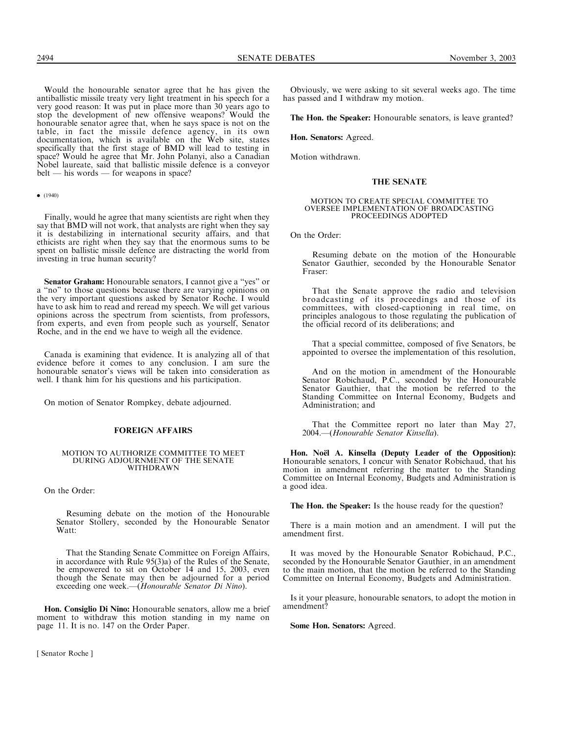Would the honourable senator agree that he has given the antiballistic missile treaty very light treatment in his speech for a very good reason: It was put in place more than 30 years ago to stop the development of new offensive weapons? Would the honourable senator agree that, when he says space is not on the table, in fact the missile defence agency, in its own documentation, which is available on the Web site, states specifically that the first stage of BMD will lead to testing in space? Would he agree that Mr. John Polanyi, also a Canadian Nobel laureate, said that ballistic missile defence is a conveyor belt — his words — for weapons in space?

### $\bullet$  (1940)

Finally, would he agree that many scientists are right when they say that BMD will not work, that analysts are right when they say it is destabilizing in international security affairs, and that ethicists are right when they say that the enormous sums to be spent on ballistic missile defence are distracting the world from investing in true human security?

Senator Graham: Honourable senators, I cannot give a ''yes'' or a ''no'' to those questions because there are varying opinions on the very important questions asked by Senator Roche. I would have to ask him to read and reread my speech. We will get various opinions across the spectrum from scientists, from professors, from experts, and even from people such as yourself, Senator Roche, and in the end we have to weigh all the evidence.

Canada is examining that evidence. It is analyzing all of that evidence before it comes to any conclusion. I am sure the honourable senator's views will be taken into consideration as well. I thank him for his questions and his participation.

On motion of Senator Rompkey, debate adjourned.

### FOREIGN AFFAIRS

### MOTION TO AUTHORIZE COMMITTEE TO MEET DURING ADJOURNMENT OF THE SENATE WITHDRAWN

On the Order:

Resuming debate on the motion of the Honourable Senator Stollery, seconded by the Honourable Senator Watt:

That the Standing Senate Committee on Foreign Affairs, in accordance with Rule 95(3)a) of the Rules of the Senate, be empowered to sit on October 14 and 15, 2003, even though the Senate may then be adjourned for a period exceeding one week.—(Honourable Senator Di Nino).

Hon. Consiglio Di Nino: Honourable senators, allow me a brief moment to withdraw this motion standing in my name on page 11. It is no. 147 on the Order Paper.

[ Senator Roche ]

Obviously, we were asking to sit several weeks ago. The time has passed and I withdraw my motion.

The Hon. the Speaker: Honourable senators, is leave granted?

Hon. Senators: Agreed.

Motion withdrawn.

### THE SENATE

## MOTION TO CREATE SPECIAL COMMITTEE TO OVERSEE IMPLEMENTATION OF BROADCASTING PROCEEDINGS ADOPTED

On the Order:

Resuming debate on the motion of the Honourable Senator Gauthier, seconded by the Honourable Senator Fraser:

That the Senate approve the radio and television broadcasting of its proceedings and those of its committees, with closed-captioning in real time, on principles analogous to those regulating the publication of the official record of its deliberations; and

That a special committee, composed of five Senators, be appointed to oversee the implementation of this resolution,

And on the motion in amendment of the Honourable Senator Robichaud, P.C., seconded by the Honourable Senator Gauthier, that the motion be referred to the Standing Committee on Internal Economy, Budgets and Administration; and

That the Committee report no later than May 27, 2004.—(Honourable Senator Kinsella).

Hon. No**ë**l A. Kinsella (Deputy Leader of the Opposition): Honourable senators, I concur with Senator Robichaud, that his motion in amendment referring the matter to the Standing Committee on Internal Economy, Budgets and Administration is a good idea.

The Hon. the Speaker: Is the house ready for the question?

There is a main motion and an amendment. I will put the amendment first.

It was moved by the Honourable Senator Robichaud, P.C., seconded by the Honourable Senator Gauthier, in an amendment to the main motion, that the motion be referred to the Standing Committee on Internal Economy, Budgets and Administration.

Is it your pleasure, honourable senators, to adopt the motion in amendment?

Some Hon. Senators: Agreed.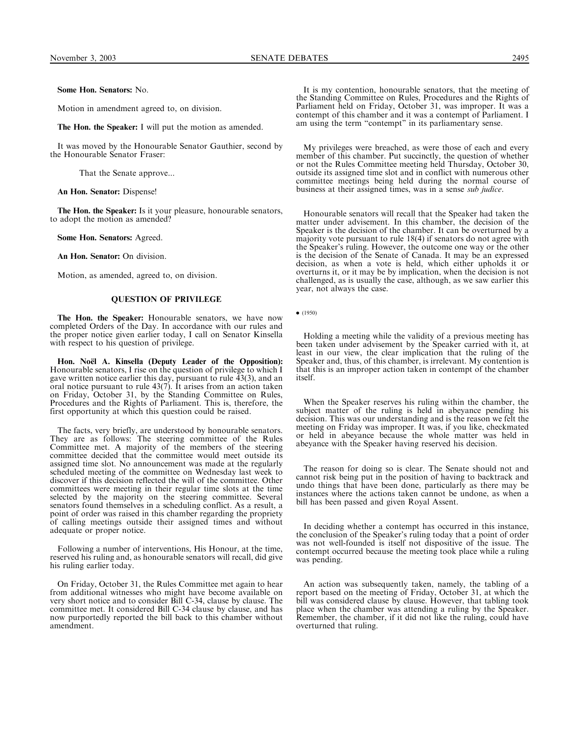Some Hon. Senators: No.

Motion in amendment agreed to, on division.

The Hon. the Speaker: I will put the motion as amended.

It was moved by the Honourable Senator Gauthier, second by the Honourable Senator Fraser:

That the Senate approve...

An Hon. Senator: Dispense!

The Hon. the Speaker: Is it your pleasure, honourable senators, to adopt the motion as amended?

Some Hon. Senators: Agreed.

An Hon. Senator: On division.

Motion, as amended, agreed to, on division.

### QUESTION OF PRIVILEGE

The Hon. the Speaker: Honourable senators, we have now completed Orders of the Day. In accordance with our rules and the proper notice given earlier today, I call on Senator Kinsella with respect to his question of privilege.

Hon. No**ë**l A. Kinsella (Deputy Leader of the Opposition): Honourable senators, I rise on the question of privilege to which I gave written notice earlier this day, pursuant to rule 43(3), and an oral notice pursuant to rule 43(7). It arises from an action taken on Friday, October 31, by the Standing Committee on Rules, Procedures and the Rights of Parliament. This is, therefore, the first opportunity at which this question could be raised.

The facts, very briefly, are understood by honourable senators. They are as follows: The steering committee of the Rules Committee met. A majority of the members of the steering committee decided that the committee would meet outside its assigned time slot. No announcement was made at the regularly scheduled meeting of the committee on Wednesday last week to discover if this decision reflected the will of the committee. Other committees were meeting in their regular time slots at the time selected by the majority on the steering committee. Several senators found themselves in a scheduling conflict. As a result, a point of order was raised in this chamber regarding the propriety of calling meetings outside their assigned times and without adequate or proper notice.

Following a number of interventions, His Honour, at the time, reserved his ruling and, as honourable senators will recall, did give his ruling earlier today.

On Friday, October 31, the Rules Committee met again to hear from additional witnesses who might have become available on very short notice and to consider Bill C-34, clause by clause. The committee met. It considered Bill C-34 clause by clause, and has now purportedly reported the bill back to this chamber without amendment.

It is my contention, honourable senators, that the meeting of the Standing Committee on Rules, Procedures and the Rights of Parliament held on Friday, October 31, was improper. It was a contempt of this chamber and it was a contempt of Parliament. I am using the term "contempt" in its parliamentary sense.

My privileges were breached, as were those of each and every member of this chamber. Put succinctly, the question of whether or not the Rules Committee meeting held Thursday, October 30, outside its assigned time slot and in conflict with numerous other committee meetings being held during the normal course of business at their assigned times, was in a sense sub judice.

Honourable senators will recall that the Speaker had taken the matter under advisement. In this chamber, the decision of the Speaker is the decision of the chamber. It can be overturned by a majority vote pursuant to rule 18(4) if senators do not agree with the Speaker's ruling. However, the outcome one way or the other is the decision of the Senate of Canada. It may be an expressed decision, as when a vote is held, which either upholds it or overturns it, or it may be by implication, when the decision is not challenged, as is usually the case, although, as we saw earlier this year, not always the case.

 $(1950)$ 

Holding a meeting while the validity of a previous meeting has been taken under advisement by the Speaker carried with it, at least in our view, the clear implication that the ruling of the Speaker and, thus, of this chamber, is irrelevant. My contention is that this is an improper action taken in contempt of the chamber itself.

When the Speaker reserves his ruling within the chamber, the subject matter of the ruling is held in abeyance pending his decision. This was our understanding and is the reason we felt the meeting on Friday was improper. It was, if you like, checkmated or held in abeyance because the whole matter was held in abeyance with the Speaker having reserved his decision.

The reason for doing so is clear. The Senate should not and cannot risk being put in the position of having to backtrack and undo things that have been done, particularly as there may be instances where the actions taken cannot be undone, as when a bill has been passed and given Royal Assent.

In deciding whether a contempt has occurred in this instance, the conclusion of the Speaker's ruling today that a point of order was not well-founded is itself not dispositive of the issue. The contempt occurred because the meeting took place while a ruling was pending.

An action was subsequently taken, namely, the tabling of a report based on the meeting of Friday, October 31, at which the bill was considered clause by clause. However, that tabling took place when the chamber was attending a ruling by the Speaker. Remember, the chamber, if it did not like the ruling, could have overturned that ruling.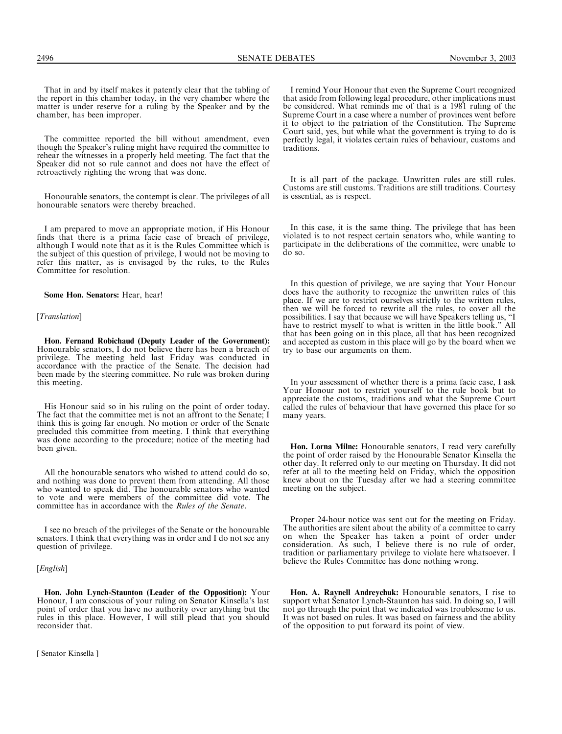That in and by itself makes it patently clear that the tabling of the report in this chamber today, in the very chamber where the matter is under reserve for a ruling by the Speaker and by the chamber, has been improper.

The committee reported the bill without amendment, even though the Speaker's ruling might have required the committee to rehear the witnesses in a properly held meeting. The fact that the Speaker did not so rule cannot and does not have the effect of retroactively righting the wrong that was done.

Honourable senators, the contempt is clear. The privileges of all honourable senators were thereby breached.

I am prepared to move an appropriate motion, if His Honour finds that there is a prima facie case of breach of privilege, although I would note that as it is the Rules Committee which is the subject of this question of privilege, I would not be moving to refer this matter, as is envisaged by the rules, to the Rules Committee for resolution.

Some Hon. Senators: Hear, hear!

### [*Translation*]

Hon. Fernand Robichaud (Deputy Leader of the Government): Honourable senators, I do not believe there has been a breach of privilege. The meeting held last Friday was conducted in accordance with the practice of the Senate. The decision had been made by the steering committee. No rule was broken during this meeting.

His Honour said so in his ruling on the point of order today. The fact that the committee met is not an affront to the Senate; I think this is going far enough. No motion or order of the Senate precluded this committee from meeting. I think that everything was done according to the procedure; notice of the meeting had been given.

All the honourable senators who wished to attend could do so, and nothing was done to prevent them from attending. All those who wanted to speak did. The honourable senators who wanted to vote and were members of the committee did vote. The committee has in accordance with the Rules of the Senate.

I see no breach of the privileges of the Senate or the honourable senators. I think that everything was in order and I do not see any question of privilege.

### [English]

Hon. John Lynch-Staunton (Leader of the Opposition): Your Honour, I am conscious of your ruling on Senator Kinsella's last point of order that you have no authority over anything but the rules in this place. However, I will still plead that you should reconsider that.

[ Senator Kinsella ]

I remind Your Honour that even the Supreme Court recognized that aside from following legal procedure, other implications must be considered. What reminds me of that is a 1981 ruling of the Supreme Court in a case where a number of provinces went before it to object to the patriation of the Constitution. The Supreme Court said, yes, but while what the government is trying to do is perfectly legal, it violates certain rules of behaviour, customs and traditions.

It is all part of the package. Unwritten rules are still rules. Customs are still customs. Traditions are still traditions. Courtesy is essential, as is respect.

In this case, it is the same thing. The privilege that has been violated is to not respect certain senators who, while wanting to participate in the deliberations of the committee, were unable to do so.

In this question of privilege, we are saying that Your Honour does have the authority to recognize the unwritten rules of this place. If we are to restrict ourselves strictly to the written rules, then we will be forced to rewrite all the rules, to cover all the possibilities. I say that because we will have Speakers telling us, ''I have to restrict myself to what is written in the little book." All that has been going on in this place, all that has been recognized and accepted as custom in this place will go by the board when we try to base our arguments on them.

In your assessment of whether there is a prima facie case, I ask Your Honour not to restrict yourself to the rule book but to appreciate the customs, traditions and what the Supreme Court called the rules of behaviour that have governed this place for so many years.

Hon. Lorna Milne: Honourable senators, I read very carefully the point of order raised by the Honourable Senator Kinsella the other day. It referred only to our meeting on Thursday. It did not refer at all to the meeting held on Friday, which the opposition knew about on the Tuesday after we had a steering committee meeting on the subject.

Proper 24-hour notice was sent out for the meeting on Friday. The authorities are silent about the ability of a committee to carry on when the Speaker has taken a point of order under consideration. As such, I believe there is no rule of order, tradition or parliamentary privilege to violate here whatsoever. I believe the Rules Committee has done nothing wrong.

Hon. A. Raynell Andreychuk: Honourable senators, I rise to support what Senator Lynch-Staunton has said. In doing so, I will not go through the point that we indicated was troublesome to us. It was not based on rules. It was based on fairness and the ability of the opposition to put forward its point of view.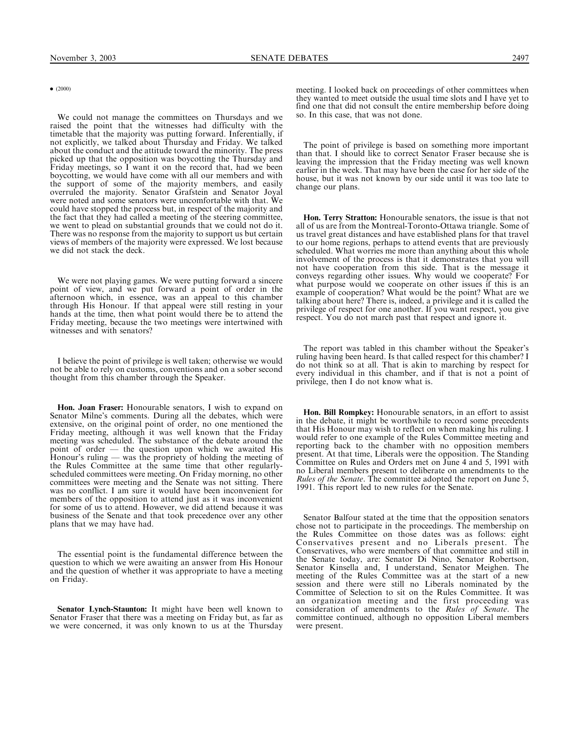### $\bullet$  (2000)

We could not manage the committees on Thursdays and we raised the point that the witnesses had difficulty with the timetable that the majority was putting forward. Inferentially, if not explicitly, we talked about Thursday and Friday. We talked about the conduct and the attitude toward the minority. The press picked up that the opposition was boycotting the Thursday and Friday meetings, so I want it on the record that, had we been boycotting, we would have come with all our members and with the support of some of the majority members, and easily overruled the majority. Senator Grafstein and Senator Joyal were noted and some senators were uncomfortable with that. We could have stopped the process but, in respect of the majority and the fact that they had called a meeting of the steering committee, we went to plead on substantial grounds that we could not do it. There was no response from the majority to support us but certain views of members of the majority were expressed. We lost because we did not stack the deck.

We were not playing games. We were putting forward a sincere point of view, and we put forward a point of order in the afternoon which, in essence, was an appeal to this chamber through His Honour. If that appeal were still resting in your hands at the time, then what point would there be to attend the Friday meeting, because the two meetings were intertwined with witnesses and with senators?

I believe the point of privilege is well taken; otherwise we would not be able to rely on customs, conventions and on a sober second thought from this chamber through the Speaker.

Hon. Joan Fraser: Honourable senators, I wish to expand on Senator Milne's comments. During all the debates, which were extensive, on the original point of order, no one mentioned the Friday meeting, although it was well known that the Friday meeting was scheduled. The substance of the debate around the point of order — the question upon which we awaited His Honour's ruling — was the propriety of holding the meeting of the Rules Committee at the same time that other regularlyscheduled committees were meeting. On Friday morning, no other committees were meeting and the Senate was not sitting. There was no conflict. I am sure it would have been inconvenient for members of the opposition to attend just as it was inconvenient for some of us to attend. However, we did attend because it was business of the Senate and that took precedence over any other plans that we may have had.

The essential point is the fundamental difference between the question to which we were awaiting an answer from His Honour and the question of whether it was appropriate to have a meeting on Friday.

Senator Lynch-Staunton: It might have been well known to Senator Fraser that there was a meeting on Friday but, as far as we were concerned, it was only known to us at the Thursday

meeting. I looked back on proceedings of other committees when they wanted to meet outside the usual time slots and I have yet to find one that did not consult the entire membership before doing so. In this case, that was not done.

The point of privilege is based on something more important than that. I should like to correct Senator Fraser because she is leaving the impression that the Friday meeting was well known earlier in the week. That may have been the case for her side of the house, but it was not known by our side until it was too late to change our plans.

Hon. Terry Stratton: Honourable senators, the issue is that not all of us are from the Montreal-Toronto-Ottawa triangle. Some of us travel great distances and have established plans for that travel to our home regions, perhaps to attend events that are previously scheduled. What worries me more than anything about this whole involvement of the process is that it demonstrates that you will not have cooperation from this side. That is the message it conveys regarding other issues. Why would we cooperate? For what purpose would we cooperate on other issues if this is an example of cooperation? What would be the point? What are we talking about here? There is, indeed, a privilege and it is called the privilege of respect for one another. If you want respect, you give respect. You do not march past that respect and ignore it.

The report was tabled in this chamber without the Speaker's ruling having been heard. Is that called respect for this chamber? I do not think so at all. That is akin to marching by respect for every individual in this chamber, and if that is not a point of privilege, then I do not know what is.

Hon. Bill Rompkey: Honourable senators, in an effort to assist in the debate, it might be worthwhile to record some precedents that His Honour may wish to reflect on when making his ruling. I would refer to one example of the Rules Committee meeting and reporting back to the chamber with no opposition members present. At that time, Liberals were the opposition. The Standing Committee on Rules and Orders met on June 4 and 5, 1991 with no Liberal members present to deliberate on amendments to the Rules of the Senate. The committee adopted the report on June 5, 1991. This report led to new rules for the Senate.

Senator Balfour stated at the time that the opposition senators chose not to participate in the proceedings. The membership on the Rules Committee on those dates was as follows: eight Conservatives present and no Liberals present. The Conservatives, who were members of that committee and still in the Senate today, are: Senator Di Nino, Senator Robertson, Senator Kinsella and, I understand, Senator Meighen. The meeting of the Rules Committee was at the start of a new session and there were still no Liberals nominated by the Committee of Selection to sit on the Rules Committee. It was an organization meeting and the first proceeding was consideration of amendments to the Rules of Senate. The committee continued, although no opposition Liberal members were present.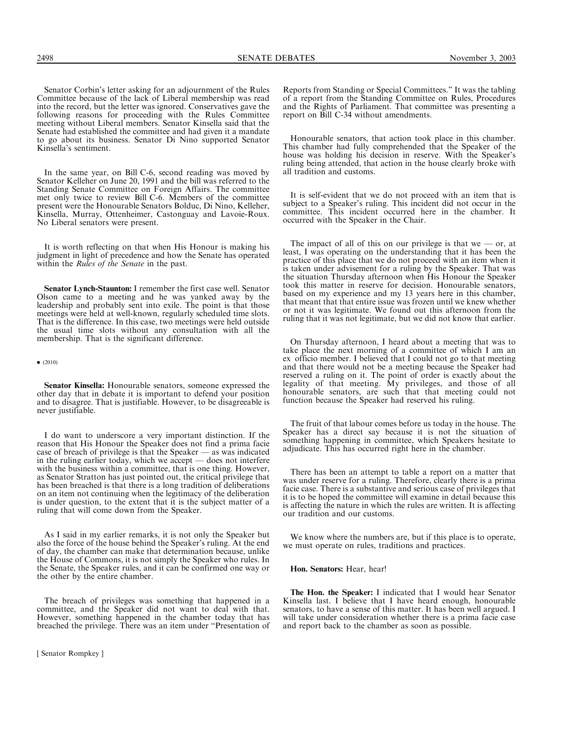Senator Corbin's letter asking for an adjournment of the Rules Committee because of the lack of Liberal membership was read into the record, but the letter was ignored. Conservatives gave the following reasons for proceeding with the Rules Committee meeting without Liberal members. Senator Kinsella said that the Senate had established the committee and had given it a mandate to go about its business. Senator Di Nino supported Senator Kinsella's sentiment.

In the same year, on Bill C-6, second reading was moved by Senator Kelleher on June 20, 1991 and the bill was referred to the Standing Senate Committee on Foreign Affairs. The committee met only twice to review Bill C-6. Members of the committee present were the Honourable Senators Bolduc, Di Nino, Kelleher, Kinsella, Murray, Ottenheimer, Castonguay and Lavoie-Roux. No Liberal senators were present.

It is worth reflecting on that when His Honour is making his judgment in light of precedence and how the Senate has operated within the *Rules of the Senate* in the past.

Senator Lynch-Staunton: I remember the first case well. Senator Olson came to a meeting and he was yanked away by the leadership and probably sent into exile. The point is that those meetings were held at well-known, regularly scheduled time slots. That is the difference. In this case, two meetings were held outside the usual time slots without any consultation with all the membership. That is the significant difference.

### $\bullet$  (2010)

Senator Kinsella: Honourable senators, someone expressed the other day that in debate it is important to defend your position and to disagree. That is justifiable. However, to be disagreeable is never justifiable.

I do want to underscore a very important distinction. If the reason that His Honour the Speaker does not find a prima facie case of breach of privilege is that the Speaker — as was indicated in the ruling earlier today, which we accept — does not interfere with the business within a committee, that is one thing. However, as Senator Stratton has just pointed out, the critical privilege that has been breached is that there is a long tradition of deliberations on an item not continuing when the legitimacy of the deliberation is under question, to the extent that it is the subject matter of a ruling that will come down from the Speaker.

As I said in my earlier remarks, it is not only the Speaker but also the force of the house behind the Speaker's ruling. At the end of day, the chamber can make that determination because, unlike the House of Commons, it is not simply the Speaker who rules. In the Senate, the Speaker rules, and it can be confirmed one way or the other by the entire chamber.

The breach of privileges was something that happened in a committee, and the Speaker did not want to deal with that. However, something happened in the chamber today that has breached the privilege. There was an item under ''Presentation of Reports from Standing or Special Committees.'' It was the tabling of a report from the Standing Committee on Rules, Procedures and the Rights of Parliament. That committee was presenting a report on Bill C-34 without amendments.

Honourable senators, that action took place in this chamber. This chamber had fully comprehended that the Speaker of the house was holding his decision in reserve. With the Speaker's ruling being attended, that action in the house clearly broke with all tradition and customs.

It is self-evident that we do not proceed with an item that is subject to a Speaker's ruling. This incident did not occur in the committee. This incident occurred here in the chamber. It occurred with the Speaker in the Chair.

The impact of all of this on our privilege is that we  $-$  or, at least, I was operating on the understanding that it has been the practice of this place that we do not proceed with an item when it is taken under advisement for a ruling by the Speaker. That was the situation Thursday afternoon when His Honour the Speaker took this matter in reserve for decision. Honourable senators, based on my experience and my 13 years here in this chamber, that meant that that entire issue was frozen until we knew whether or not it was legitimate. We found out this afternoon from the ruling that it was not legitimate, but we did not know that earlier.

On Thursday afternoon, I heard about a meeting that was to take place the next morning of a committee of which I am an ex officio member. I believed that I could not go to that meeting and that there would not be a meeting because the Speaker had reserved a ruling on it. The point of order is exactly about the legality of that meeting. My privileges, and those of all honourable senators, are such that that meeting could not function because the Speaker had reserved his ruling.

The fruit of that labour comes before us today in the house. The Speaker has a direct say because it is not the situation of something happening in committee, which Speakers hesitate to adjudicate. This has occurred right here in the chamber.

There has been an attempt to table a report on a matter that was under reserve for a ruling. Therefore, clearly there is a prima facie case. There is a substantive and serious case of privileges that it is to be hoped the committee will examine in detail because this is affecting the nature in which the rules are written. It is affecting our tradition and our customs.

We know where the numbers are, but if this place is to operate, we must operate on rules, traditions and practices.

### Hon. Senators: Hear, hear!

The Hon. the Speaker: I indicated that I would hear Senator Kinsella last. I believe that I have heard enough, honourable senators, to have a sense of this matter. It has been well argued. I will take under consideration whether there is a prima facie case and report back to the chamber as soon as possible.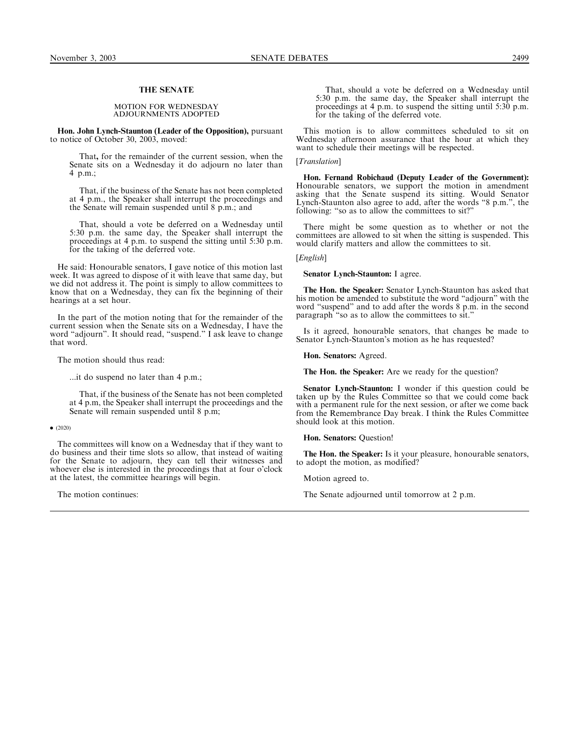### THE SENATE

### MOTION FOR WEDNESDAY ADJOURNMENTS ADOPTED

Hon. John Lynch-Staunton (Leader of the Opposition), pursuant to notice of October 30, 2003, moved:

That, for the remainder of the current session, when the Senate sits on a Wednesday it do adjourn no later than 4 p.m.;

That, if the business of the Senate has not been completed at 4 p.m., the Speaker shall interrupt the proceedings and the Senate will remain suspended until 8 p.m.; and

That, should a vote be deferred on a Wednesday until 5:30 p.m. the same day, the Speaker shall interrupt the proceedings at 4 p.m. to suspend the sitting until 5:30 p.m. for the taking of the deferred vote.

He said: Honourable senators, I gave notice of this motion last week. It was agreed to dispose of it with leave that same day, but we did not address it. The point is simply to allow committees to know that on a Wednesday, they can fix the beginning of their hearings at a set hour.

In the part of the motion noting that for the remainder of the current session when the Senate sits on a Wednesday, I have the word "adjourn". It should read, "suspend." I ask leave to change that word.

The motion should thus read:

...it do suspend no later than 4 p.m.;

That, if the business of the Senate has not been completed at 4 p.m, the Speaker shall interrupt the proceedings and the Senate will remain suspended until 8 p.m;

 $\bullet$  (2020)

The committees will know on a Wednesday that if they want to do business and their time slots so allow, that instead of waiting for the Senate to adjourn, they can tell their witnesses and whoever else is interested in the proceedings that at four o'clock at the latest, the committee hearings will begin.

The motion continues:

That, should a vote be deferred on a Wednesday until 5:30 p.m. the same day, the Speaker shall interrupt the proceedings at 4 p.m. to suspend the sitting until 5:30 p.m. for the taking of the deferred vote.

This motion is to allow committees scheduled to sit on Wednesday afternoon assurance that the hour at which they want to schedule their meetings will be respected.

### [Translation]

Hon. Fernand Robichaud (Deputy Leader of the Government): Honourable senators, we support the motion in amendment asking that the Senate suspend its sitting. Would Senator Lynch-Staunton also agree to add, after the words ''8 p.m.'', the following: "so as to allow the committees to sit?"

There might be some question as to whether or not the committees are allowed to sit when the sitting is suspended. This would clarify matters and allow the committees to sit.

[*English*]

### Senator Lynch-Staunton: I agree.

The Hon. the Speaker: Senator Lynch-Staunton has asked that his motion be amended to substitute the word ''adjourn'' with the word ''suspend'' and to add after the words 8 p.m. in the second paragraph ''so as to allow the committees to sit.''

Is it agreed, honourable senators, that changes be made to Senator Lynch-Staunton's motion as he has requested?

Hon. Senators: Agreed.

The Hon. the Speaker: Are we ready for the question?

Senator Lynch-Staunton: I wonder if this question could be taken up by the Rules Committee so that we could come back with a permanent rule for the next session, or after we come back from the Remembrance Day break. I think the Rules Committee should look at this motion.

Hon. Senators: Question!

The Hon. the Speaker: Is it your pleasure, honourable senators, to adopt the motion, as modified?

Motion agreed to.

The Senate adjourned until tomorrow at 2 p.m.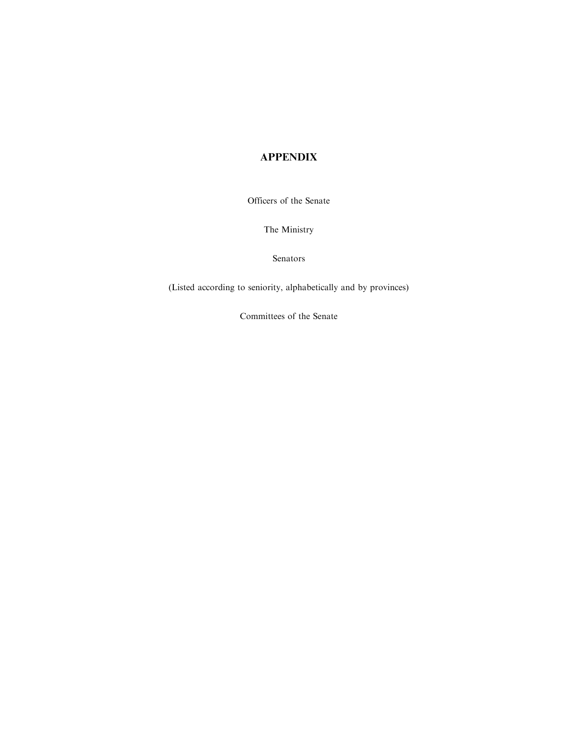# APPENDIX

Officers of the Senate

The Ministry

Senators

(Listed according to seniority, alphabetically and by provinces)

Committees of the Senate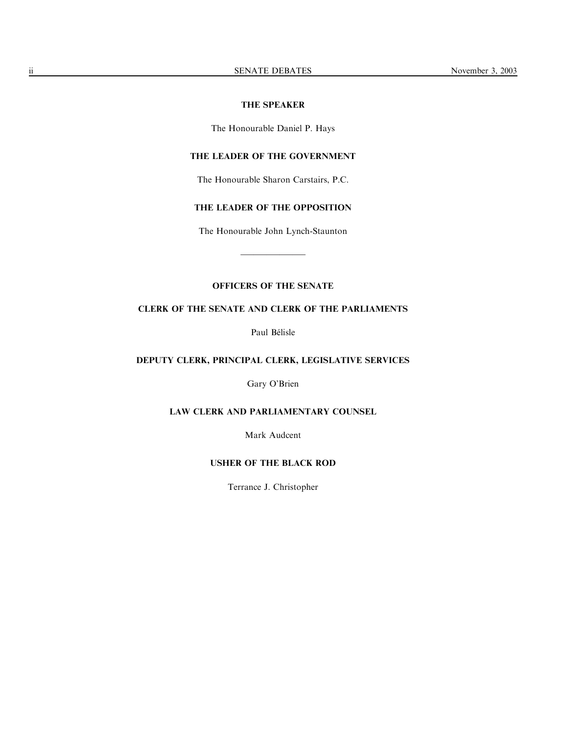### THE SPEAKER

The Honourable Daniel P. Hays

## THE LEADER OF THE GOVERNMENT

The Honourable Sharon Carstairs, P.C.

## THE LEADER OF THE OPPOSITION

The Honourable John Lynch-Staunton

—————

## OFFICERS OF THE SENATE

## CLERK OF THE SENATE AND CLERK OF THE PARLIAMENTS

Paul Bélisle

## DEPUTY CLERK, PRINCIPAL CLERK, LEGISLATIVE SERVICES

Gary O'Brien

## LAW CLERK AND PARLIAMENTARY COUNSEL

Mark Audcent

## USHER OF THE BLACK ROD

Terrance J. Christopher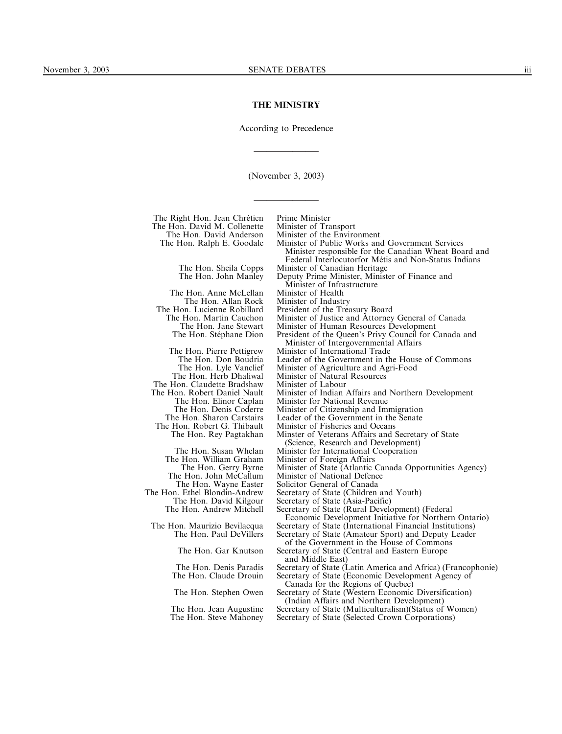### THE MINISTRY

According to Precedence

—————

(November 3, 2003)

—————

The Right Hon. Jean Chrétien Prime Minister<br>The Hon. David M. Collenette Minister of Transport The Hon. David M. Collenette<br>The Hon. David Anderson The Hon. David Anderson Minister of the Environment<br>The Hon. Ralph E. Goodale Minister of Public Works and

The Hon. Sheila Copps Minister of Canadian Heritage

The Hon. Anne McLellan Minister of Health<br>The Hon. Allan Rock Minister of Industry The Hon. Allan Rock<br>The Hon. Lucienne Robillard e Hon. Lucienne Robillard President of the Treasury Board<br>The Hon. Martin Cauchon Minister of Justice and Attorney Hon. Martin Cauchon Minister of Justice and Attorney General of Canada<br>The Hon. Jane Stewart Minister of Human Resources Development The Hon. Jane Stewart Minister of Human Resources Development<br>The Hon. Stéphane Dion President of the Queen's Privy Council for C

The Hon. Pierre Pettigrew Minister of International Trade The Hon. Don Boudria Leader of the Government in the House of Commons<br>The Hon. Lyle Vanclief Minister of Agriculture and Agri-Food The Hon. Lyle Vanclief Minister of Agriculture and Agri-Food<br>The Hon. Herb Dhaliwal Minister of Natural Resources The Hon. Claudette Bradshaw<br>The Hon. Robert Daniel Nault The Hon. Elinor Caplan Minister for National Revenue<br>The Hon. Denis Coderre Minister of Citizenship and Im The Hon. Denis Coderre Minister of Citizenship and Immigration<br>The Hon. Sharon Carstairs Leader of the Government in the Senate The Hon. Sharon Carstairs Leader of the Government in the Senate<br>The Hon. Robert G. Thibault Minister of Fisheries and Oceans Hon. Robert G. Thibault Minister of Fisheries and Oceans<br>The Hon. Rey Pagtakhan Minster of Veterans Affairs and 9

The Hon. Susan Whelan Minister for International Cooperation<br>The Hon. William Graham Minister of Foreign Affairs Hon. William Graham Minister of Foreign Affairs<br>The Hon. Gerry Byrne Minister of State (Atlantic 0 The Hon. Gerry Byrne Minister of State (Atlantic Canada Opportunities Agency)<br>The Hon. John McCallum Minister of National Defence ne Hon. John McCallum Minister of National Defence<br>The Hon. Wayne Easter Solicitor General of Canada The Hon. Wayne Easter Solicitor General of Canada<br>The Hon. Ethel Blondin-Andrew Secretary of State (Children n. Ethel Blondin-Andrew Secretary of State (Children and Youth)<br>The Hon. David Kilgour Secretary of State (Asia-Pacific) The Hon. David Kilgour Secretary of State (Asia-Pacific)<br>The Hon. Andrew Mitchell Secretary of State (Rural Develo

The Hon. Maurizio Bevilacqua Secretary of State (International Financial Institutions)

Minister of Public Works and Government Services

Minister responsible for the Canadian Wheat Board and Federal Interlocutorfor Métis and Non-Status Indians

Deputy Prime Minister, Minister of Finance and

Minister of Infrastructure<br>Minister of Health

President of the Queen's Privy Council for Canada and

Minister of Intergovernmental Affairs

Minister of Natural Resources<br>Minister of Labour

on. Robert Daniel Nault Minister of Indian Affairs and Northern Development<br>The Hon. Elinor Caplan Minister for National Revenue

Minster of Veterans Affairs and Secretary of State (Science, Research and Development)

Secretary of State (Rural Development) (Federal

Economic Development Initiative for Northern Ontario)

Secretary of State (Amateur Sport) and Deputy Leader of the Government in the House of Commons

The Hon. Gar Knutson Secretary of State (Central and Eastern Europe and Middle East)

The Hon. Denis Paradis Secretary of State (Latin America and Africa) (Francophonie)<br>The Hon. Claude Drouin Secretary of State (Economic Development Agency of

Secretary of State (Economic Development Agency of Canada for the Regions of Quebec)

The Hon. Stephen Owen Secretary of State (Western Economic Diversification) (Indian Affairs and Northern Development)

The Hon. Jean Augustine Secretary of State (Multiculturalism)(Status of Women)<br>The Hon. Steve Mahoney Secretary of State (Selected Crown Corporations) Secretary of State (Selected Crown Corporations)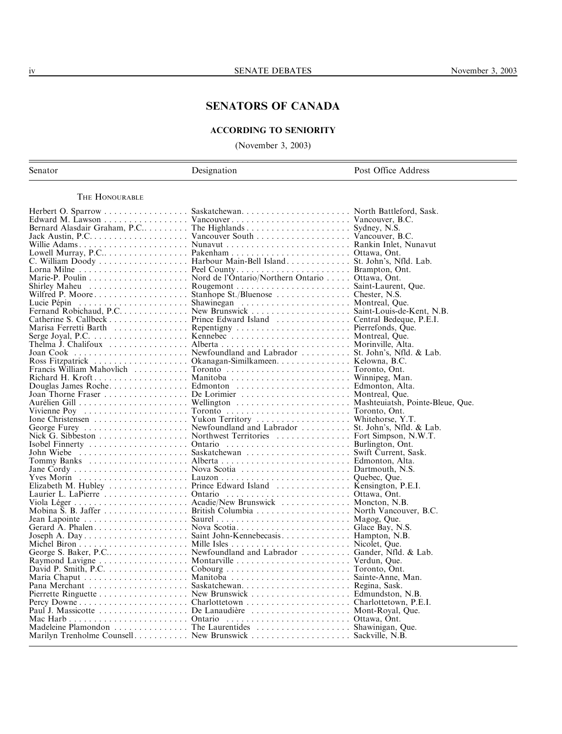## SENATORS OF CANADA

## ACCORDING TO SENIORITY

(November 3, 2003)

| Senator | Designation | Post Office Address |
|---------|-------------|---------------------|
|         |             |                     |

## THE HONOURABLE

| Fernand Robichaud, P.C. New Brunswick Saint-Louis-de-Kent, N.B.      |                                                            |  |
|----------------------------------------------------------------------|------------------------------------------------------------|--|
|                                                                      |                                                            |  |
|                                                                      |                                                            |  |
|                                                                      |                                                            |  |
|                                                                      |                                                            |  |
|                                                                      |                                                            |  |
|                                                                      | Ross Fitzpatrick Okanagan-Similkameen. Kelowna, B.C.       |  |
|                                                                      |                                                            |  |
|                                                                      |                                                            |  |
|                                                                      |                                                            |  |
|                                                                      |                                                            |  |
|                                                                      |                                                            |  |
|                                                                      |                                                            |  |
|                                                                      |                                                            |  |
|                                                                      |                                                            |  |
|                                                                      |                                                            |  |
| Nick G. Sibbeston Northwest Territories Fort Simpson, N.W.T.         |                                                            |  |
|                                                                      |                                                            |  |
|                                                                      |                                                            |  |
|                                                                      |                                                            |  |
|                                                                      |                                                            |  |
|                                                                      |                                                            |  |
|                                                                      |                                                            |  |
|                                                                      |                                                            |  |
|                                                                      |                                                            |  |
|                                                                      | Mobina S. B. Jaffer British Columbia North Vancouver, B.C. |  |
|                                                                      |                                                            |  |
|                                                                      |                                                            |  |
|                                                                      |                                                            |  |
|                                                                      |                                                            |  |
| George S. Baker, P.C. Newfoundland and Labrador Gander, Nfld. & Lab. |                                                            |  |
|                                                                      |                                                            |  |
|                                                                      |                                                            |  |
|                                                                      |                                                            |  |
|                                                                      |                                                            |  |
|                                                                      |                                                            |  |
|                                                                      |                                                            |  |
|                                                                      |                                                            |  |
|                                                                      |                                                            |  |
|                                                                      | Madeleine Plamondon The Laurentides Shawinigan, Que.       |  |
|                                                                      | Marilyn Trenholme Counsell. New Brunswick Sackville, N.B.  |  |
|                                                                      |                                                            |  |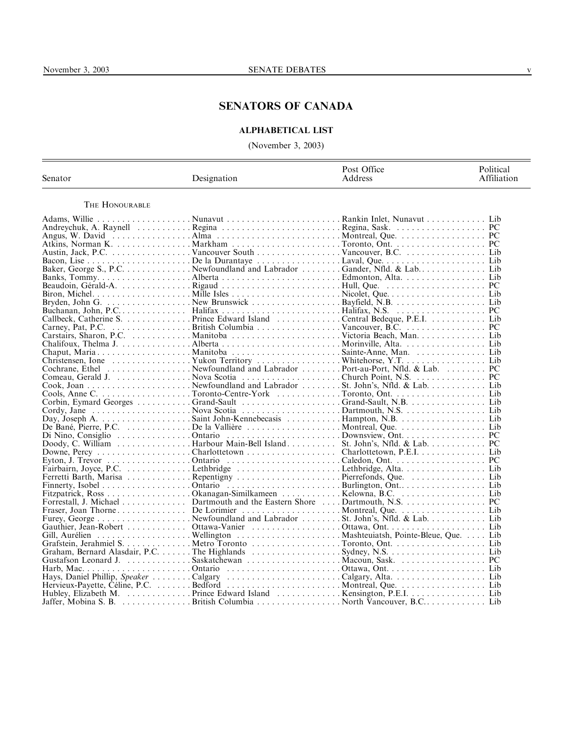## SENATORS OF CANADA

## ALPHABETICAL LIST

(November 3, 2003)

| Senator        | Designation                                                                             | Post Office<br>Address | Political<br>Affiliation |
|----------------|-----------------------------------------------------------------------------------------|------------------------|--------------------------|
| THE HONOURABLE |                                                                                         |                        |                          |
|                | Adams, Willie Nunavut Rankin Inlet, Nunavut  Lib                                        |                        |                          |
|                |                                                                                         |                        |                          |
|                |                                                                                         |                        |                          |
|                |                                                                                         |                        |                          |
|                |                                                                                         |                        |                          |
|                |                                                                                         |                        |                          |
|                | Baker, George S., P.C. Newfoundland and Labrador Gander, Nfld. & Lab. Lib               |                        |                          |
|                |                                                                                         |                        |                          |
|                |                                                                                         |                        |                          |
|                |                                                                                         |                        |                          |
|                |                                                                                         |                        |                          |
|                |                                                                                         |                        |                          |
|                |                                                                                         |                        |                          |
|                |                                                                                         |                        |                          |
|                |                                                                                         |                        |                          |
|                |                                                                                         |                        |                          |
|                |                                                                                         |                        |                          |
|                | Christensen, Ione Yukon Territory Whitehorse, Y.TLib                                    |                        |                          |
|                | Cochrane, Ethel Newfoundland and Labrador Port-au-Port, Nfld. & Lab. PC                 |                        |                          |
|                |                                                                                         |                        |                          |
|                |                                                                                         |                        |                          |
|                |                                                                                         |                        |                          |
|                | Corbin, Eymard Georges Grand-Sault Grand-Sault, N.B.  Lib                               |                        |                          |
|                |                                                                                         |                        |                          |
|                |                                                                                         |                        |                          |
|                |                                                                                         |                        |                          |
|                |                                                                                         |                        |                          |
|                |                                                                                         |                        |                          |
|                | Downe, Percy Charlottetown Charlottetown, P.E.ILib                                      |                        |                          |
|                |                                                                                         |                        |                          |
|                |                                                                                         |                        |                          |
|                |                                                                                         |                        |                          |
|                |                                                                                         |                        |                          |
|                |                                                                                         |                        |                          |
|                |                                                                                         |                        |                          |
|                |                                                                                         |                        |                          |
|                | Furey, George Newfoundland and Labrador St. John's, Nfld. & Lab Lib                     |                        |                          |
|                |                                                                                         |                        |                          |
|                |                                                                                         |                        |                          |
|                |                                                                                         |                        |                          |
|                |                                                                                         |                        |                          |
|                |                                                                                         |                        |                          |
|                |                                                                                         |                        |                          |
|                |                                                                                         |                        |                          |
|                |                                                                                         |                        |                          |
|                |                                                                                         |                        |                          |
|                | Jaffer, Mobina S. B. (1990). Exitish Columbia (1990). North Vancouver, B.C. (1990). Lib |                        |                          |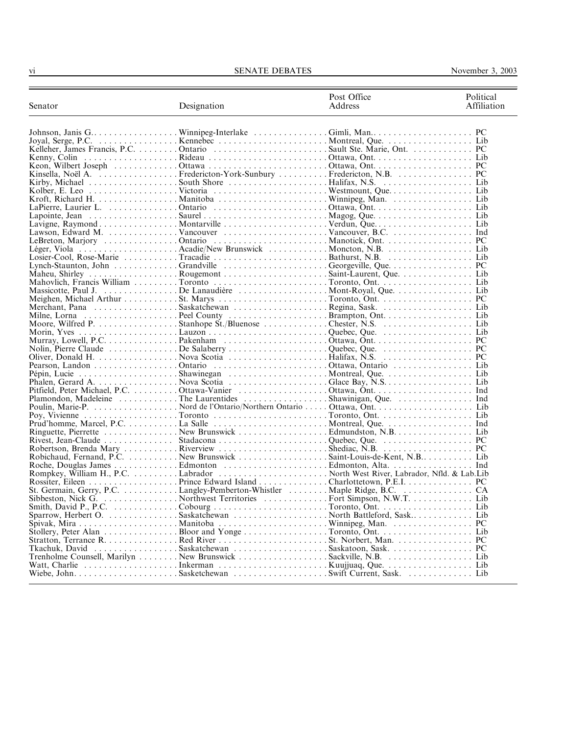| Senator | Designation                                                  | Post Office<br>Address | Political<br>Affiliation |
|---------|--------------------------------------------------------------|------------------------|--------------------------|
|         |                                                              |                        |                          |
|         |                                                              |                        |                          |
|         |                                                              |                        |                          |
|         |                                                              |                        |                          |
|         |                                                              |                        |                          |
|         |                                                              |                        |                          |
|         |                                                              |                        |                          |
|         |                                                              |                        |                          |
|         |                                                              |                        |                          |
|         |                                                              |                        |                          |
|         |                                                              |                        |                          |
|         |                                                              |                        |                          |
|         |                                                              |                        |                          |
|         |                                                              |                        |                          |
|         |                                                              |                        |                          |
|         |                                                              |                        |                          |
|         |                                                              |                        |                          |
|         |                                                              |                        |                          |
|         |                                                              |                        |                          |
|         |                                                              |                        |                          |
|         |                                                              |                        |                          |
|         |                                                              |                        |                          |
|         | Merchant, Pana Saskatchewan Regina, Sask.  Lib               |                        |                          |
|         |                                                              |                        |                          |
|         |                                                              |                        |                          |
|         |                                                              |                        |                          |
|         |                                                              |                        |                          |
|         |                                                              |                        |                          |
|         |                                                              |                        |                          |
|         |                                                              |                        |                          |
|         |                                                              |                        |                          |
|         |                                                              |                        |                          |
|         |                                                              |                        |                          |
|         |                                                              |                        |                          |
|         | Plamondon, Madeleine The Laurentides Shawinigan, Que.  Ind   |                        |                          |
|         |                                                              |                        |                          |
|         |                                                              |                        |                          |
|         |                                                              |                        |                          |
|         |                                                              |                        |                          |
|         |                                                              |                        |                          |
|         |                                                              |                        |                          |
|         |                                                              |                        |                          |
|         |                                                              |                        |                          |
|         |                                                              |                        |                          |
|         |                                                              |                        |                          |
|         |                                                              |                        |                          |
|         |                                                              |                        |                          |
|         |                                                              |                        |                          |
|         | Sparrow, Herbert O. Saskatchewan North Battleford, Sask. Lib |                        |                          |
|         |                                                              |                        |                          |
|         |                                                              |                        |                          |
|         |                                                              |                        |                          |
|         | Tkachuk, David Saskatchewan Saskatoon, Sask PC               |                        |                          |
|         |                                                              |                        |                          |
|         |                                                              |                        |                          |
|         |                                                              |                        |                          |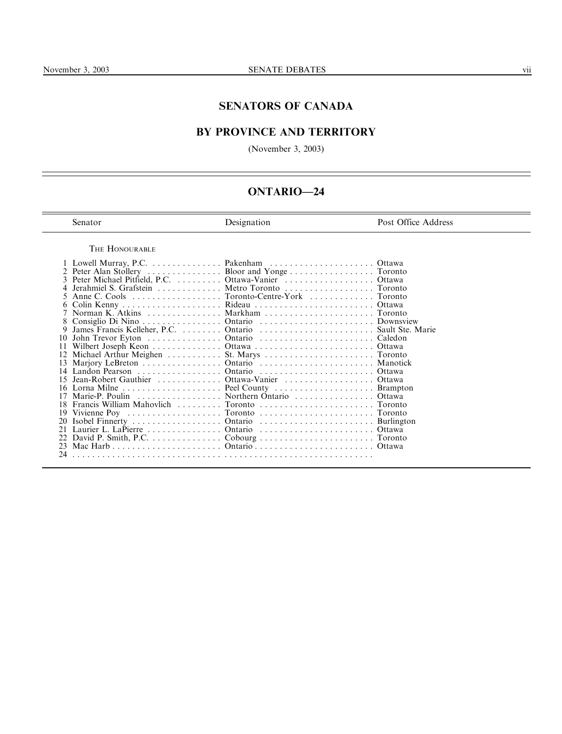## SENATORS OF CANADA

# BY PROVINCE AND TERRITORY

(November 3, 2003)

# ONTARIO—24

| Senator |
|---------|
|         |

Designation Post Office Address

THE HONOURABLE

|    | 3 Peter Michael Pitfield, P.C. Ottawa-Vanier Ottawa |  |
|----|-----------------------------------------------------|--|
|    | Jerahmiel S. Grafstein Metro Toronto Toronto        |  |
|    | Anne C. Cools Toronto-Centre-York Toronto           |  |
|    |                                                     |  |
|    |                                                     |  |
|    |                                                     |  |
| 9  |                                                     |  |
| 10 |                                                     |  |
| 11 |                                                     |  |
|    |                                                     |  |
|    |                                                     |  |
|    |                                                     |  |
|    | 15 Jean-Robert Gauthier Ottawa-Vanier Ottawa        |  |
|    | 16 Lorna Milne  Peel County  Brampton               |  |
|    | 17 Marie-P. Poulin Northern Ontario Ottawa          |  |
|    | 18 Francis William Mahovlich  Toronto  Toronto      |  |
|    |                                                     |  |
|    |                                                     |  |
| 21 |                                                     |  |
| 22 |                                                     |  |
|    |                                                     |  |
|    |                                                     |  |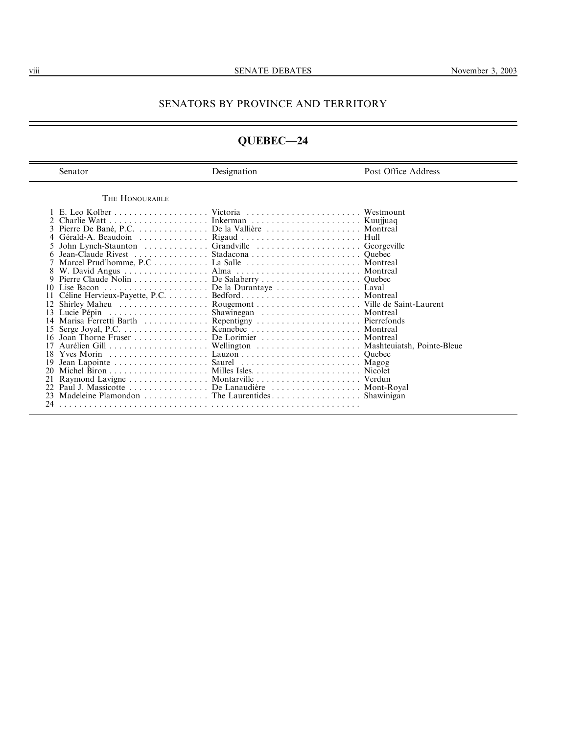## SENATORS BY PROVINCE AND TERRITORY

# QUEBEC—24

| Senator                                                                                                                                                                                    | Designation                                                                                                                                                                                                                                           | Post Office Address                                                                  |
|--------------------------------------------------------------------------------------------------------------------------------------------------------------------------------------------|-------------------------------------------------------------------------------------------------------------------------------------------------------------------------------------------------------------------------------------------------------|--------------------------------------------------------------------------------------|
| THE HONOURABLE                                                                                                                                                                             |                                                                                                                                                                                                                                                       |                                                                                      |
| 3<br>Jean-Claude Rivest $\ldots$ ,<br>9<br>Lise Bacon<br>Shirley Maheu $\dots \dots \dots \dots \dots$<br>Lucie Pépin<br>14<br>17<br>18<br>Yves Morin<br>19<br>20<br>21<br>22.<br>23<br>24 | Pierre De Bané, P.C. De la Vallière Montreal<br>John Lynch-Staunton  Grandville<br>De la Durantaye<br>Marisa Ferretti Barth  Repentigny  Pierrefonds<br>Paul J. Massicotte De Lanaudière Mont-Royal<br>Madeleine Plamondon The Laurentides Shawinigan | Kuujjuaq<br>Georgeville<br>Ouebec<br>Montreal<br>Montreal<br>Laval<br><b>Nicolet</b> |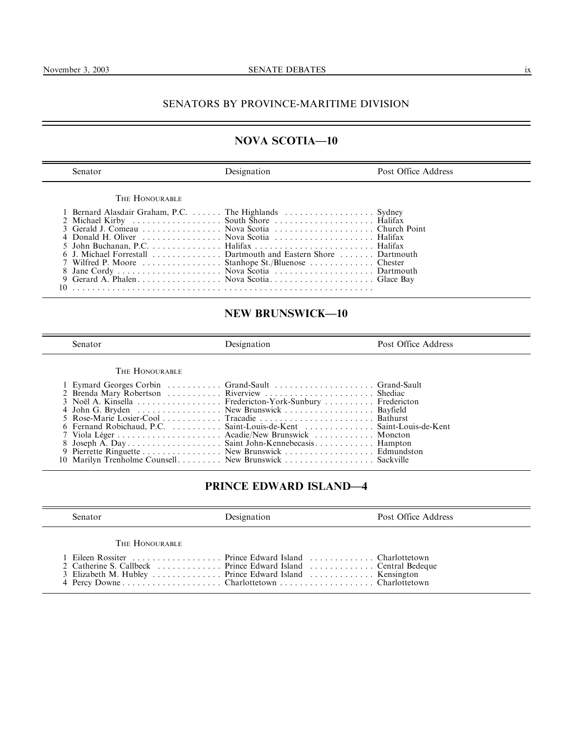# SENATORS BY PROVINCE-MARITIME DIVISION

# NOVA SCOTIA—10

| Senator                                                                                                                                                                                    | <b>Designation</b> | Post Office Address |
|--------------------------------------------------------------------------------------------------------------------------------------------------------------------------------------------|--------------------|---------------------|
| THE HONOURABLE                                                                                                                                                                             |                    |                     |
| 1 Bernard Alasdair Graham, P.C.  The Highlands  Sydney                                                                                                                                     |                    |                     |
| 2 Michael Kirby<br>3 Gerald J. Comeau<br>2 Mova Scotia<br>2 Michael Kirby<br>2 Gerald J. Comeau<br>2 Nova Scotia<br>2 Nova Scotia<br>2 2 Nova Scotia<br>2 2 Nova Scotia<br>2 2 Nova Scotia |                    |                     |
|                                                                                                                                                                                            |                    |                     |
|                                                                                                                                                                                            |                    |                     |
|                                                                                                                                                                                            |                    |                     |
| 6 J. Michael Forrestall  Dartmouth and Eastern Shore  Dartmouth                                                                                                                            |                    |                     |
|                                                                                                                                                                                            |                    |                     |
|                                                                                                                                                                                            |                    |                     |
|                                                                                                                                                                                            |                    |                     |
|                                                                                                                                                                                            |                    |                     |

# NEW BRUNSWICK—10

Senator **Designation** Post Office Address

THE HONOURABLE

| 1 Eymard Georges Corbin  Grand-Sault  Grand-Sault                   |  |
|---------------------------------------------------------------------|--|
| 2 Brenda Mary Robertson  Riverview  Shediac                         |  |
| 3 Noël A. Kinsella Fredericton-York-Sunbury Fredericton             |  |
| 4 John G. Bryden New Brunswick Bayfield                             |  |
|                                                                     |  |
| 6 Fernand Robichaud, P.C.  Saint-Louis-de-Kent  Saint-Louis-de-Kent |  |
|                                                                     |  |
| 8 Joseph A. Day Saint John-Kennebecasis Hampton                     |  |
| 9 Pierrette Ringuette New Brunswick Edmundston                      |  |
| 10 Marilyn Trenholme Counsell New Brunswick  Sackville              |  |

# PRINCE EDWARD ISLAND—4

| Senator        | Designation                                                                                                     | Post Office Address |
|----------------|-----------------------------------------------------------------------------------------------------------------|---------------------|
| THE HONOURABLE |                                                                                                                 |                     |
|                | 1 Eileen Rossiter Prince Edward Island Charlottetown<br>3 Elizabeth M. Hubley  Prince Edward Island  Kensington |                     |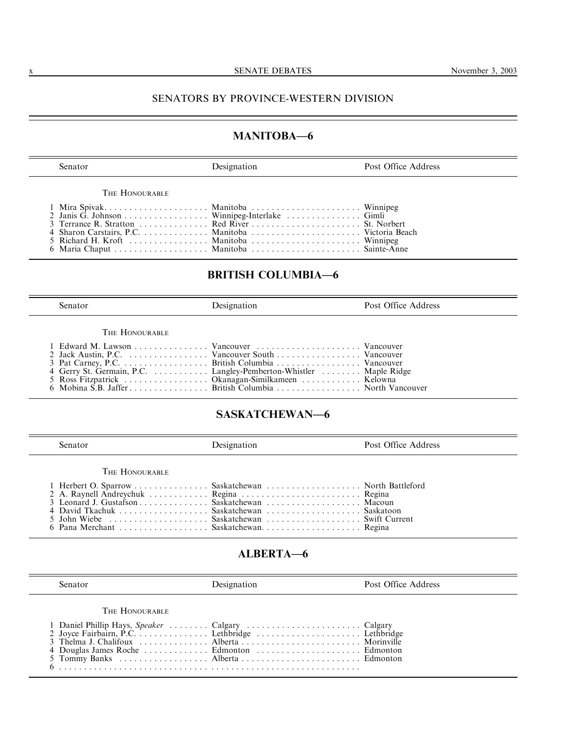### x SENATE DEBATES November 3, 2003

## SENATORS BY PROVINCE-WESTERN DIVISION

## MANITOBA—6

Senator **Designation Designation Post Office Address** 

THE HONOURABLE

|  | 2 Janis G. Johnson Winnipeg-Interlake Gimli |  |
|--|---------------------------------------------|--|
|  |                                             |  |
|  |                                             |  |
|  |                                             |  |
|  |                                             |  |
|  |                                             |  |

6 Mobina S.B. Jaffer . . . . . . . . . . . . . . . . British Columbia . . . . . . . . . . . . . . . . . North Vancouver

# BRITISH COLUMBIA—6

| Senator                                                                                                             | Designation | Post Office Address |
|---------------------------------------------------------------------------------------------------------------------|-------------|---------------------|
| THE HONOURABLE                                                                                                      |             |                     |
| 4 Gerry St. Germain, P.C. Langley-Pemberton-Whistler Maple Ridge<br>5 Ross Fitzpatrick Okanagan-Similkameen Kelowna |             |                     |

## SASKATCHEWAN—6

| Senator        | Designation                                                                                                                             | Post Office Address |  |
|----------------|-----------------------------------------------------------------------------------------------------------------------------------------|---------------------|--|
| THE HONOURABLE | 1 Herbert O. Sparrow Saskatchewan North Battleford<br>2 A. Raynell Andreychuk  Regina  Regina<br>4 David Tkachuk Saskatchewan Saskatoon |                     |  |

## ALBERTA—6

Senator **Designation** Post Office Address **Post Office Address** THE HONOURABLE 1 Daniel Phillip Hays, Speaker . . . . . . . . Calgary . . . . . . . . . . . . . . . . . . . . . . . Calgary 2 Joyce Fairbairn, P.C. . . . . . . . . . . . . . . Lethbridge . . . . . . . . . . . . . . . . . . . . . Lethbridge 3 Thelma J. Chalifoux . . . . . . . . . . . . . . Alberta . . . . . . . . . . . . . . . . . . . . . . . . Morinville 4 Douglas James Roche . . . . . . . . . . . . . Edmonton . . . . . . . . . . . . . . . . . . . . . Edmonton 5 Tommy Banks . . . . . . . . . . . . . . . . . . Alberta . . . . . . . . . . . . . . . . . . . . . . . . Edmonton

6 . . . . . . . . . . . . . . . . . . . . . . . . . . . . . . . . . . . . . . . . . . . . . . . . . . . . . . . . . . . .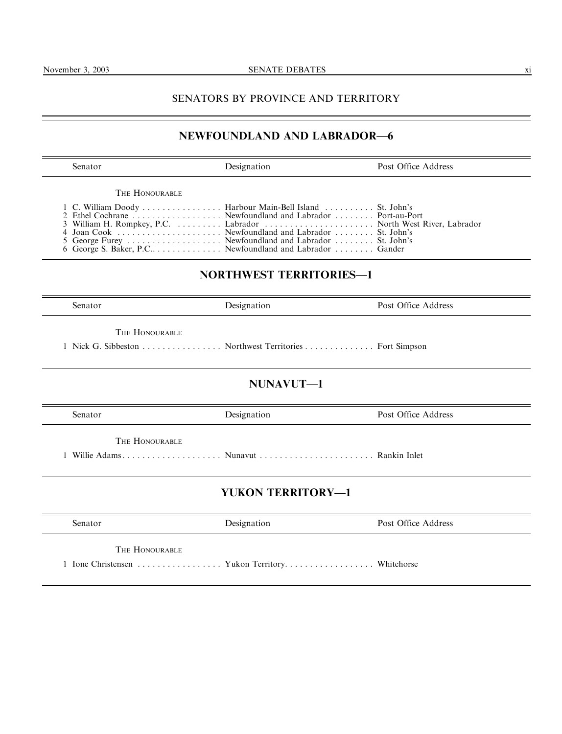## SENATORS BY PROVINCE AND TERRITORY

## NEWFOUNDLAND AND LABRADOR—6

Senator **Designation** Post Office Address THE HONOURABLE 1 C. William Doody . . . . . . . . . . . . . . . . Harbour Main-Bell Island . . . . . . . . . . St. John's 2 Ethel Cochrane . . . . . . . . . . . . . . . . . . Newfoundland and Labrador . . . . . . . . Port-au-Port 3 William H. Rompkey, P.C. . . . . . . . . . Labrador . . . . . . . . . . . . . . . . . . . . . . North West River, Labrador 4 Joan Cook . . . . . . . . . . . . . . . . . . . . . Newfoundland and Labrador . . . . . . . . St. John's 5 George Furey . . . . . . . . . . . . . . . . . . . Newfoundland and Labrador . . . . . . . . St. John's 6 George S. Baker, P.C.. . . . . . . . . . . . . . Newfoundland and Labrador . . . . . . . . Gander NORTHWEST TERRITORIES—1 Senator **Designation** Post Office Address THE HONOURABLE 1 Nick G. Sibbeston . . . . . . . . . . . . . . . . Northwest Territories . . . . . . . . . . . . . . Fort Simpson NUNAVUT—1 Senator **Designation** Post Office Address **Post Office Address** THE HONOURABLE 1 Willie Adams . . . . . . . . . . . . . . . . . . . . Nunavut . . . . . . . . . . . . . . . . . . . . . . . Rankin Inlet YUKON TERRITORY—1 Senator **Designation Designation Post Office Address** THE HONOURABLE 1 Ione Christensen . . . . . . . . . . . . . . . . . Yukon Territory. . . . . . . . . . . . . . . . . . Whitehorse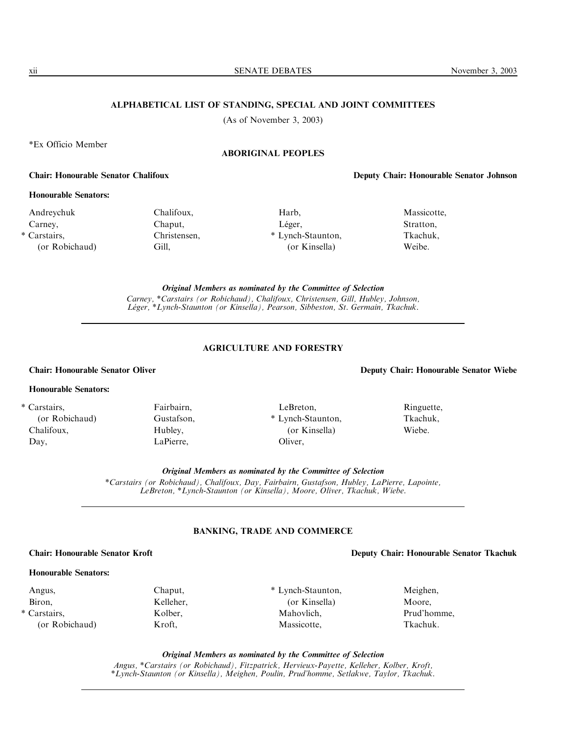xii SENATE DEBATES November 3, 2003

### ALPHABETICAL LIST OF STANDING, SPECIAL AND JOINT COMMITTEES

(As of November 3, 2003)

\*Ex Officio Member

## ABORIGINAL PEOPLES

### Chair: Honourable Senator Chalifoux Deputy Chair: Honourable Senator Johnson

### Honourable Senators:

Andreychuk Carney, \* Carstairs, (or Robichaud) Chalifoux, Chaput, Christensen, Gill,

Harb, Léger, \* Lynch-Staunton, (or Kinsella)

Massicotte, Stratton, Tkachuk, Weibe.

Original Members as nominated by the Committee of Selection Carney, \*Carstairs (or Robichaud), Chalifoux, Christensen, Gill, Hubley, Johnson, L*é*ger, \*Lynch-Staunton (or Kinsella), Pearson, Sibbeston, St. Germain, Tkachuk.

### AGRICULTURE AND FORESTRY

## Honourable Senators:

\* Carstairs, (or Robichaud)

Chalifoux, Day,

Fairbairn, Gustafson, Hubley, LaPierre,

LeBreton, \* Lynch-Staunton, (or Kinsella) Oliver,

Chair: Honourable Senator Oliver Deputy Chair: Honourable Senator Wiebe

Wiebe.

Original Members as nominated by the Committee of Selection

\*Carstairs (or Robichaud), Chalifoux, Day, Fairbairn, Gustafson, Hubley, LaPierre, Lapointe, LeBreton, \*Lynch-Staunton (or Kinsella), Moore, Oliver, Tkachuk, Wiebe.

## BANKING, TRADE AND COMMERCE

## Honourable Senators:

Angus, Biron,

\* Carstairs, (or Robichaud) Chaput, Kelleher, Kolber, Kroft,

\* Lynch-Staunton, (or Kinsella) Mahovlich, Massicotte,

Meighen, Moore, Tkachuk.

Original Members as nominated by the Committee of Selection Angus, \*Carstairs (or Robichaud), Fitzpatrick, Hervieux-Payette, Kelleher, Kolber, Kroft, \*Lynch-Staunton (or Kinsella), Meighen, Poulin, Prud'homme, Setlakwe, Taylor, Tkachuk.

Ringuette, Tkachuk,

Chair: Honourable Senator Kroft Deputy Chair: Honourable Senator Tkachuk

Prud'homme,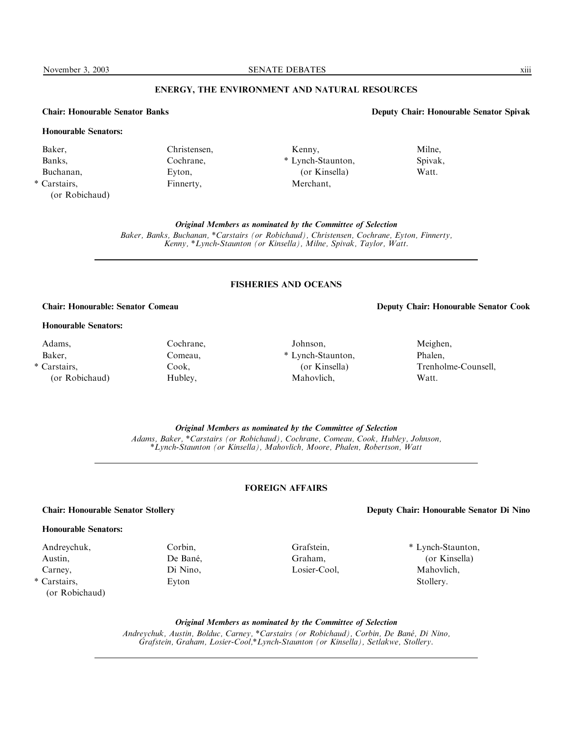November 3, 2003 SENATE DEBATES XIII

## ENERGY, THE ENVIRONMENT AND NATURAL RESOURCES

## Honourable Senators:

Baker, Banks, Buchanan, \* Carstairs,

(or Robichaud)

Christensen, Cochrane, Eyton, Finnerty,

Cochrane, Comeau, Cook, Hubley,

### Chair: Honourable Senator Banks Deputy Chair: Honourable Senator Spivak

Kenny, \* Lynch-Staunton, (or Kinsella) Merchant, Milne, Spivak, Watt.

Original Members as nominated by the Committee of Selection Baker, Banks, Buchanan, \*Carstairs (or Robichaud), Christensen, Cochrane, Eyton, Finnerty, Kenny, \*Lynch-Staunton (or Kinsella), Milne, Spivak, Taylor, Watt.

### FISHERIES AND OCEANS

### Honourable Senators:

Adams, Baker, \* Carstairs, (or Robichaud)

Johnson, \* Lynch-Staunton, (or Kinsella) Mahovlich,

### Chair: Honourable: Senator Comeau Deputy Chair: Honourable Senator Cook

## Meighen, Phalen, Trenholme-Counsell, Watt.

Original Members as nominated by the Committee of Selection

Adams, Baker, \*Carstairs (or Robichaud), Cochrane, Comeau, Cook, Hubley, Johnson, \*Lynch-Staunton (or Kinsella), Mahovlich, Moore, Phalen, Robertson, Watt

## FOREIGN AFFAIRS

Grafstein, Graham, Losier-Cool,

### Chair: Honourable Senator Stollery Deputy Chair: Honourable Senator Di Nino

### Honourable Senators:

Andreychuk, Austin, Carney,

\* Carstairs, (or Robichaud) Corbin, De Bané, Di Nino, Eyton

\* Lynch-Staunton,

(or Kinsella) Mahovlich, Stollery.

Original Members as nominated by the Committee of Selection Andreychuk, Austin, Bolduc, Carney, \*Carstairs (or Robichaud), Corbin, De Ban*é*, Di Nino, Grafstein, Graham, Losier-Cool,\*Lynch-Staunton (or Kinsella), Setlakwe, Stollery.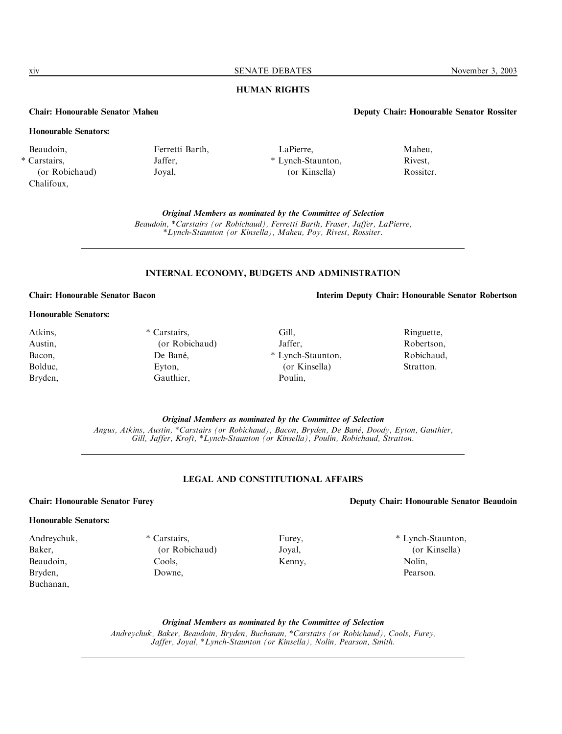xiv SENATE DEBATES November 3, 2003

## HUMAN RIGHTS

## Chair: Honourable Senator Maheu Deputy Chair: Honourable Senator Rossiter

## Honourable Senators:

- Beaudoin,
- \* Carstairs, (or Robichaud) Chalifoux,

# Ferretti Barth, Jaffer, Joyal,

LaPierre, \* Lynch-Staunton, (or Kinsella)

Maheu, Rivest, Rossiter.

Original Members as nominated by the Committee of Selection

Beaudoin, \*Carstairs (or Robichaud), Ferretti Barth, Fraser, Jaffer, LaPierre, \*Lynch-Staunton (or Kinsella), Maheu, Poy, Rivest, Rossiter.

## INTERNAL ECONOMY, BUDGETS AND ADMINISTRATION

## Chair: Honourable Senator Bacon Interim Deputy Chair: Honourable Senator Robertson

### Honourable Senators:

Atkins, Austin, Bacon, Bolduc, Bryden, \* Carstairs, (or Robichaud) De Bané, Eyton, Gauthier, Gill, Jaffer, \* Lynch-Staunton, (or Kinsella) Poulin,

> Original Members as nominated by the Committee of Selection Angus, Atkins, Austin, \*Carstairs (or Robichaud), Bacon, Bryden, De Ban*é*, Doody, Eyton, Gauthier, Gill, Jaffer, Kroft, \*Lynch-Staunton (or Kinsella), Poulin, Robichaud, Stratton.

### LEGAL AND CONSTITUTIONAL AFFAIRS

### Chair: Honourable Senator Furey Deputy Chair: Honourable Senator Beaudoin

### Honourable Senators:

# Andreychuk,

- Baker, Beaudoin, Bryden, Buchanan,
- \* Carstairs, (or Robichaud) Cools, Downe,

Furey, Joyal, Kenny,

(or Kinsella) Nolin, Pearson.

Original Members as nominated by the Committee of Selection Andreychuk, Baker, Beaudoin, Bryden, Buchanan, \*Carstairs (or Robichaud), Cools, Furey,

Jaffer, Joyal, \*Lynch-Staunton (or Kinsella), Nolin, Pearson, Smith.

## Ringuette, Robertson, Robichaud,

### Stratton.

\* Lynch-Staunton,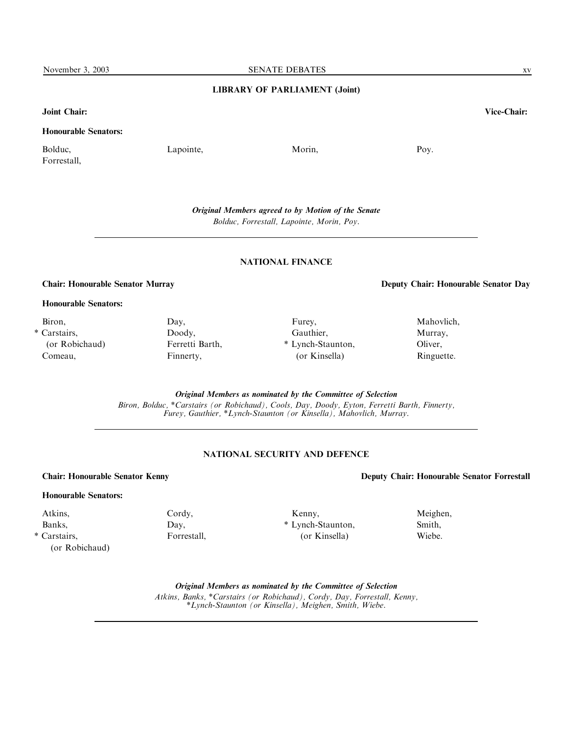### LIBRARY OF PARLIAMENT (Joint)

### Joint Chair: Vice-Chair:

## Honourable Senators:

Bolduc, Forrestall, Lapointe, Morin, Poy.

Original Members agreed to by Motion of the Senate Bolduc, Forrestall, Lapointe, Morin, Poy.

### NATIONAL FINANCE

Chair: Honourable Senator Murray Deputy Chair: Honourable Senator Day

### Honourable Senators:

Biron, \* Carstairs, (or Robichaud) Comeau,

Day, Doody, Ferretti Barth, Finnerty,

Furey, Gauthier, \* Lynch-Staunton, (or Kinsella)

Murray, Oliver, Ringuette.

Mahovlich,

Original Members as nominated by the Committee of Selection

Biron, Bolduc, \*Carstairs (or Robichaud), Cools, Day, Doody, Eyton, Ferretti Barth, Finnerty, Furey, Gauthier, \*Lynch-Staunton (or Kinsella), Mahovlich, Murray.

## NATIONAL SECURITY AND DEFENCE

## Chair: Honourable Senator Kenny Deputy Chair: Honourable Senator Forrestall

## Honourable Senators:

Atkins, Banks, \* Carstairs, (or Robichaud) Cordy, Day, Forrestall,

Kenny, \* Lynch-Staunton, (or Kinsella)

Meighen, Smith, Wiebe.

Original Members as nominated by the Committee of Selection

Atkins, Banks, \*Carstairs (or Robichaud), Cordy, Day, Forrestall, Kenny, \*Lynch-Staunton (or Kinsella), Meighen, Smith, Wiebe.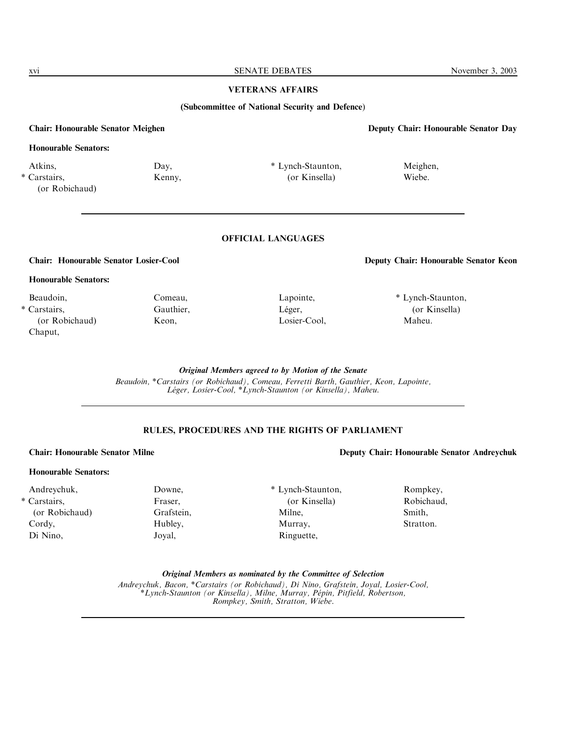xvi SENATE DEBATES November 3, 2003

## VETERANS AFFAIRS

(Subcommittee of National Security and Defence)

### Chair: Honourable Senator Meighen Deputy Chair: Honourable Senator Day

## Honourable Senators:

Atkins, \* Carstairs,

(or Robichaud)

Kenny,

Day,

\* Lynch-Staunton, (or Kinsella)

> Lapointe, Léger, Losier-Cool,

## OFFICIAL LANGUAGES

### Honourable Senators:

Beaudoin, \* Carstairs, (or Robichaud) Chaput,

Comeau, Gauthier, Keon,

Chair: Honourable Senator Losier-Cool Deputy Chair: Honourable Senator Keon

Meighen, Wiebe.

\* Lynch-Staunton, (or Kinsella) Maheu.

Original Members agreed to by Motion of the Senate

Beaudoin, \*Carstairs (or Robichaud), Comeau, Ferretti Barth, Gauthier, Keon, Lapointe, L*é*ger, Losier-Cool, \*Lynch-Staunton (or Kinsella), Maheu.

## RULES, PROCEDURES AND THE RIGHTS OF PARLIAMENT

### Honourable Senators:

Andreychuk, \* Carstairs, (or Robichaud) Cordy, Di Nino,

Grafstein, Hubley, Joyal,

Downe, Fraser,

\* Lynch-Staunton, (or Kinsella) Milne, Murray, Ringuette,

Chair: Honourable Senator Milne Deputy Chair: Honourable Senator Andreychuk

Rompkey, Robichaud, Smith, Stratton.

Original Members as nominated by the Committee of Selection

Andreychuk, Bacon, \*Carstairs (or Robichaud), Di Nino, Grafstein, Joyal, Losier-Cool, \*Lynch-Staunton (or Kinsella), Milne, Murray, P*é*pin, Pitfield, Robertson, Rompkey, Smith, Stratton, Wiebe.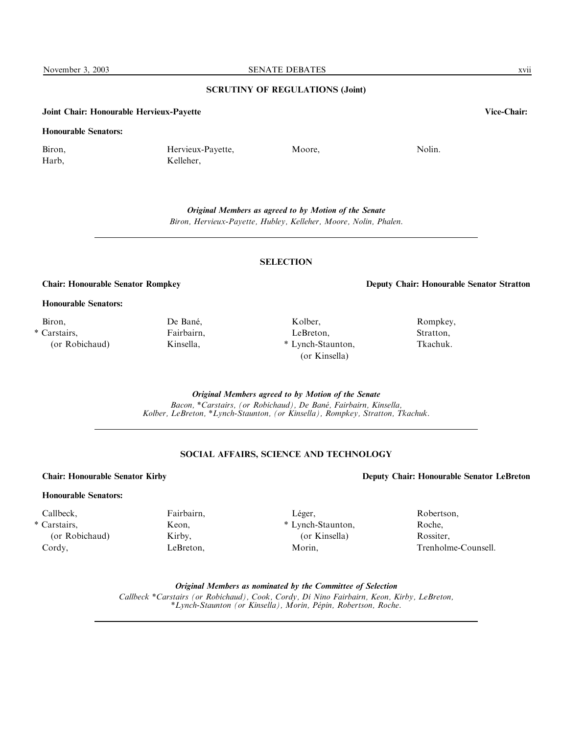# SCRUTINY OF REGULATIONS (Joint)

## Joint Chair: Honourable Hervieux-Payette Vice-Chair:

### Honourable Senators:

Biron, Harb,

Hervieux-Payette, Kelleher,

Moore. Nolin.

Original Members as agreed to by Motion of the Senate Biron, Hervieux-Payette, Hubley, Kelleher, Moore, Nolin, Phalen.

### **SELECTION**

Chair: Honourable Senator Rompkey Deputy Chair: Honourable Senator Stratton

Rompkey, Stratton, Tkachuk.

Honourable Senators:

Biron, \* Carstairs, (or Robichaud)

Fairbairn, Kinsella,

Fairbairn, Keon, Kirby, LeBreton,

De Bané,

Kolber, LeBreton, \* Lynch-Staunton, (or Kinsella)

Original Members agreed to by Motion of the Senate

Bacon, \*Carstairs, (or Robichaud), De Ban*é*, Fairbairn, Kinsella, Kolber, LeBreton, \*Lynch-Staunton, (or Kinsella), Rompkey, Stratton, Tkachuk.

## SOCIAL AFFAIRS, SCIENCE AND TECHNOLOGY

Léger,

Morin,

\* Lynch-Staunton, (or Kinsella)

## Honourable Senators:

Callbeck, \* Carstairs, (or Robichaud) Cordy,

Original Members as nominated by the Committee of Selection

Callbeck \*Carstairs (or Robichaud), Cook, Cordy, Di Nino Fairbairn, Keon, Kirby, LeBreton, \*Lynch-Staunton (or Kinsella), Morin, P*é*pin, Robertson, Roche.

Chair: Honourable Senator Kirby Deputy Chair: Honourable Senator LeBreton

Robertson, Roche, Rossiter, Trenholme-Counsell.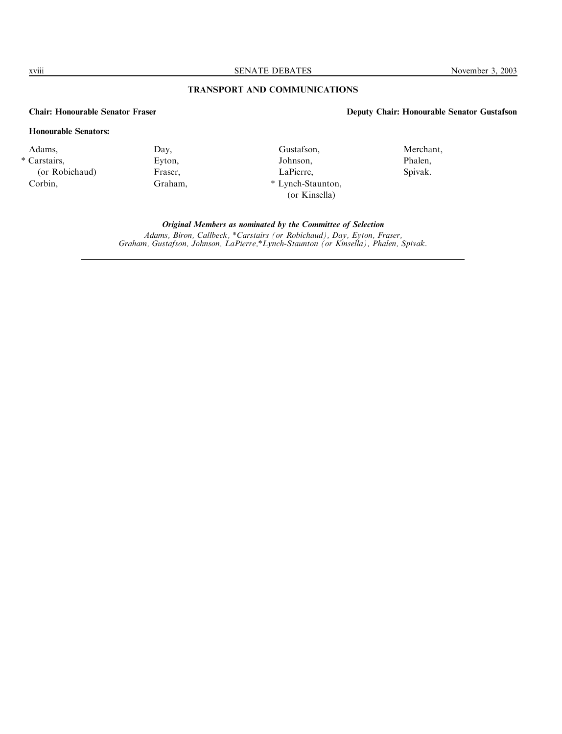xviii SENATE DEBATES November 3, 2003

## TRANSPORT AND COMMUNICATIONS

## Chair: Honourable Senator Fraser Deputy Chair: Honourable Senator Gustafson

## Honourable Senators:

Adams, \* Carstairs, (or Robichaud) Corbin,

Day, Eyton, Fraser, Graham,

Gustafson, Johnson, LaPierre, \* Lynch-Staunton, (or Kinsella)

Merchant, Phalen, Spivak.

Original Members as nominated by the Committee of Selection Adams, Biron, Callbeck, \*Carstairs (or Robichaud), Day, Eyton, Fraser, Graham, Gustafson, Johnson, LaPierre,\*Lynch-Staunton (or Kinsella), Phalen, Spivak.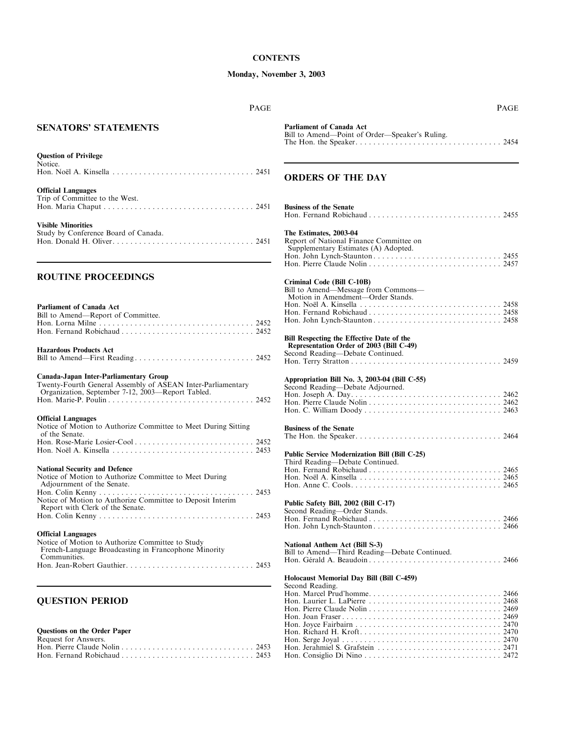### **CONTENTS**

## Monday, November 3, 2003

| PAGE                                                                                                                                                       | <b>PAGE</b>                                                                                               |
|------------------------------------------------------------------------------------------------------------------------------------------------------------|-----------------------------------------------------------------------------------------------------------|
| <b>SENATORS' STATEMENTS</b>                                                                                                                                | <b>Parliament of Canada Act</b><br>Bill to Amend-Point of Order-Speaker's Ruling.                         |
| <b>Question of Privilege</b>                                                                                                                               |                                                                                                           |
| Notice.                                                                                                                                                    | <b>ORDERS OF THE DAY</b>                                                                                  |
| <b>Official Languages</b><br>Trip of Committee to the West.                                                                                                | <b>Business of the Senate</b>                                                                             |
| <b>Visible Minorities</b>                                                                                                                                  |                                                                                                           |
| Study by Conference Board of Canada.                                                                                                                       | The Estimates, 2003-04<br>Report of National Finance Committee on<br>Supplementary Estimates (A) Adopted. |
| <b>ROUTINE PROCEEDINGS</b>                                                                                                                                 | Criminal Code (Bill C-10B)                                                                                |
| <b>Parliament of Canada Act</b><br>Bill to Amend-Report of Committee.                                                                                      | Bill to Amend-Message from Commons-<br>Motion in Amendment-Order Stands.                                  |
|                                                                                                                                                            | Bill Respecting the Effective Date of the                                                                 |
| <b>Hazardous Products Act</b>                                                                                                                              | Representation Order of 2003 (Bill C-49)<br>Second Reading-Debate Continued.                              |
| Canada-Japan Inter-Parliamentary Group<br>Twenty-Fourth General Assembly of ASEAN Inter-Parliamentary<br>Organization, September 7-12, 2003-Report Tabled. | Appropriation Bill No. 3, 2003-04 (Bill C-55)<br>Second Reading-Debate Adjourned.                         |
| <b>Official Languages</b><br>Notice of Motion to Authorize Committee to Meet During Sitting                                                                |                                                                                                           |
| of the Senate.                                                                                                                                             | <b>Business of the Senate</b>                                                                             |
|                                                                                                                                                            | Public Service Modernization Bill (Bill C-25)<br>Third Reading-Debate Continued.                          |
| <b>National Security and Defence</b><br>Notice of Motion to Authorize Committee to Meet During<br>Adjournment of the Senate.                               |                                                                                                           |
| Notice of Motion to Authorize Committee to Deposit Interim                                                                                                 | Public Safety Bill, 2002 (Bill C-17)                                                                      |
| Report with Clerk of the Senate.                                                                                                                           | Second Reading—Order Stands.                                                                              |
| <b>Official Languages</b><br>Notice of Motion to Authorize Committee to Study<br>French-Language Broadcasting in Francophone Minority<br>Communities.      | National Anthem Act (Bill S-3)<br>Bill to Amend-Third Reading-Debate Continued.                           |
|                                                                                                                                                            | Holocaust Memorial Day Bill (Bill C-459)                                                                  |
| <b>QUESTION PERIOD</b>                                                                                                                                     | Second Reading.                                                                                           |
| Questions on the Order Paper<br>Request for Answers.                                                                                                       |                                                                                                           |
|                                                                                                                                                            |                                                                                                           |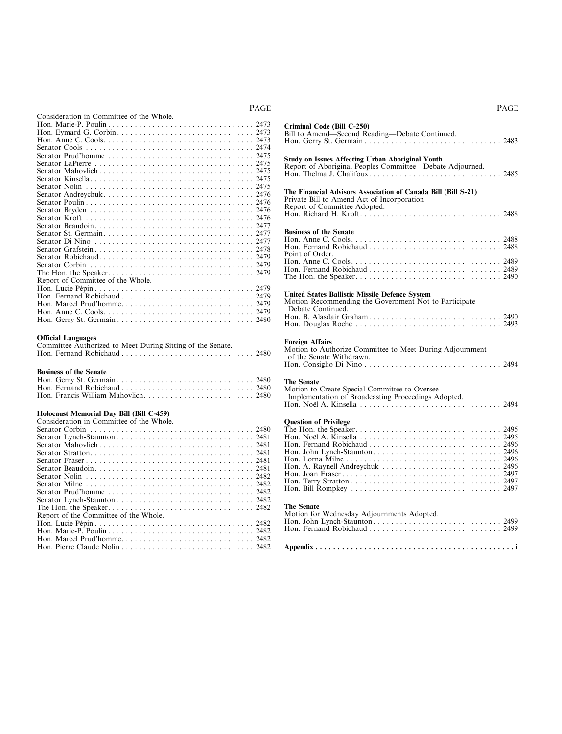| Consideration in Committee of the Whole. |
|------------------------------------------|
|                                          |
|                                          |
|                                          |
|                                          |
|                                          |
|                                          |
|                                          |
|                                          |
|                                          |
|                                          |
|                                          |
|                                          |
|                                          |
|                                          |
|                                          |
|                                          |
|                                          |
|                                          |
|                                          |
|                                          |
| Report of Committee of the Whole.        |
|                                          |
|                                          |
|                                          |
|                                          |
|                                          |

### Official Languages

| <b>Official Languages</b>                                  |  |
|------------------------------------------------------------|--|
| Committee Authorized to Meet During Sitting of the Senate. |  |
|                                                            |  |

### Business of the Senate

### Holocaust Memorial Day Bill (Bill C-459)

Consideration in Committee of the Whole.

| Report of the Committee of the Whole. |
|---------------------------------------|
|                                       |
|                                       |
|                                       |
|                                       |

| Criminal Code (Bill C-250)<br>Bill to Amend-Second Reading-Debate Continued.                                                                 |  |
|----------------------------------------------------------------------------------------------------------------------------------------------|--|
| <b>Study on Issues Affecting Urban Aboriginal Youth</b><br>Report of Aboriginal Peoples Committee-Debate Adjourned.                          |  |
| The Financial Advisors Association of Canada Bill (Bill S-21)<br>Private Bill to Amend Act of Incorporation—<br>Report of Committee Adopted. |  |
| <b>Business of the Senate</b><br>Point of Order.                                                                                             |  |
| <b>United States Ballistic Missile Defence System</b><br>Motion Recommending the Government Not to Participate—<br>Debate Continued          |  |

### Foreign Affairs

Motion to Authorize Committee to Meet During Adjournment of the Senate Withdrawn. Hon. Consiglio Di Nino . . . . . . . . . . . . . . . . . . . . . . . . . . . . . . . 2494

## The Senate

| The Senate                                          |  |
|-----------------------------------------------------|--|
| Motion to Create Special Committee to Oversee       |  |
| Implementation of Broadcasting Proceedings Adopted. |  |
|                                                     |  |

### Question of Privilege

### The Senate

| Motion for Wednesday Adjournments Adopted. |  |
|--------------------------------------------|--|
|                                            |  |
|                                            |  |
|                                            |  |

### PAGE

## PAGE